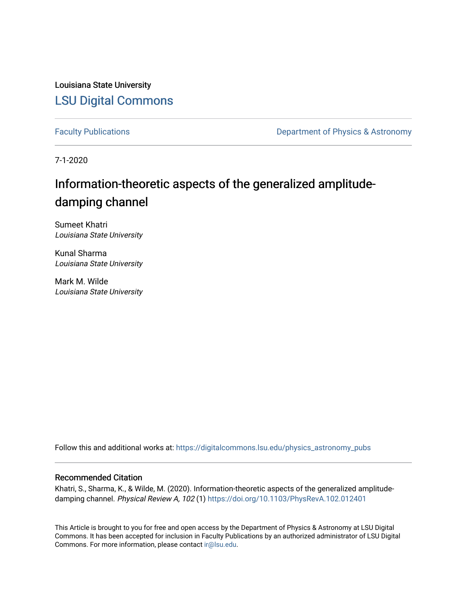Louisiana State University [LSU Digital Commons](https://digitalcommons.lsu.edu/)

[Faculty Publications](https://digitalcommons.lsu.edu/physics_astronomy_pubs) **Exercise 2 and Table 2 and Table 2 and Table 2 and Table 2 and Table 2 and Table 2 and Table 2 and Table 2 and Table 2 and Table 2 and Table 2 and Table 2 and Table 2 and Table 2 and Table 2 and Table** 

7-1-2020

# Information-theoretic aspects of the generalized amplitudedamping channel

Sumeet Khatri Louisiana State University

Kunal Sharma Louisiana State University

Mark M. Wilde Louisiana State University

Follow this and additional works at: [https://digitalcommons.lsu.edu/physics\\_astronomy\\_pubs](https://digitalcommons.lsu.edu/physics_astronomy_pubs?utm_source=digitalcommons.lsu.edu%2Fphysics_astronomy_pubs%2F5600&utm_medium=PDF&utm_campaign=PDFCoverPages) 

# Recommended Citation

Khatri, S., Sharma, K., & Wilde, M. (2020). Information-theoretic aspects of the generalized amplitudedamping channel. Physical Review A, 102 (1)<https://doi.org/10.1103/PhysRevA.102.012401>

This Article is brought to you for free and open access by the Department of Physics & Astronomy at LSU Digital Commons. It has been accepted for inclusion in Faculty Publications by an authorized administrator of LSU Digital Commons. For more information, please contact [ir@lsu.edu](mailto:ir@lsu.edu).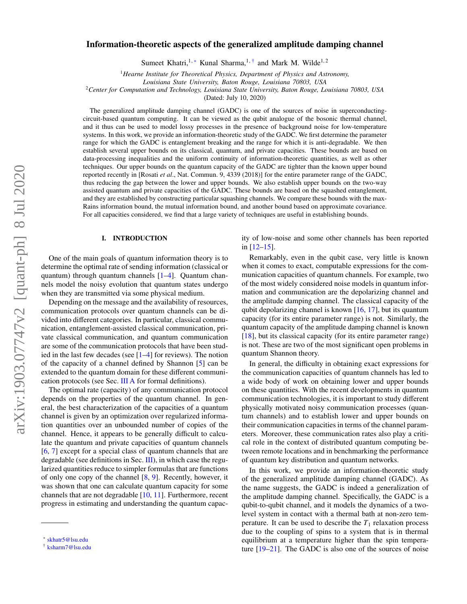# Information-theoretic aspects of the generalized amplitude damping channel

Sumeet Khatri,<sup>1,\*</sup> Kunal Sharma,<sup>1,[†](#page-1-1)</sup> and Mark M. Wilde<sup>1,2</sup>

<sup>1</sup>*Hearne Institute for Theoretical Physics, Department of Physics and Astronomy,*

*Louisiana State University, Baton Rouge, Louisiana 70803, USA*

<sup>2</sup>*Center for Computation and Technology, Louisiana State University, Baton Rouge, Louisiana 70803, USA*

(Dated: July 10, 2020)

The generalized amplitude damping channel (GADC) is one of the sources of noise in superconductingcircuit-based quantum computing. It can be viewed as the qubit analogue of the bosonic thermal channel, and it thus can be used to model lossy processes in the presence of background noise for low-temperature systems. In this work, we provide an information-theoretic study of the GADC. We first determine the parameter range for which the GADC is entanglement breaking and the range for which it is anti-degradable. We then establish several upper bounds on its classical, quantum, and private capacities. These bounds are based on data-processing inequalities and the uniform continuity of information-theoretic quantities, as well as other techniques. Our upper bounds on the quantum capacity of the GADC are tighter than the known upper bound reported recently in [Rosati *et al*., Nat. Commun. 9, 4339 (2018)] for the entire parameter range of the GADC, thus reducing the gap between the lower and upper bounds. We also establish upper bounds on the two-way assisted quantum and private capacities of the GADC. These bounds are based on the squashed entanglement, and they are established by constructing particular squashing channels. We compare these bounds with the max-Rains information bound, the mutual information bound, and another bound based on approximate covariance. For all capacities considered, we find that a large variety of techniques are useful in establishing bounds.

# I. INTRODUCTION

One of the main goals of quantum information theory is to determine the optimal rate of sending information (classical or quantum) through quantum channels [\[1–](#page-29-0)[4\]](#page-29-1). Quantum channels model the noisy evolution that quantum states undergo when they are transmitted via some physical medium.

Depending on the message and the availability of resources, communication protocols over quantum channels can be divided into different categories. In particular, classical communication, entanglement-assisted classical communication, private classical communication, and quantum communication are some of the communication protocols that have been studied in the last few decades (see  $[1-4]$  $[1-4]$  for reviews). The notion of the capacity of a channel defined by Shannon [\[5\]](#page-29-2) can be extended to the quantum domain for these different communication protocols (see Sec. [III A](#page-4-0) for formal definitions).

The optimal rate (capacity) of any communication protocol depends on the properties of the quantum channel. In general, the best characterization of the capacities of a quantum channel is given by an optimization over regularized information quantities over an unbounded number of copies of the channel. Hence, it appears to be generally difficult to calculate the quantum and private capacities of quantum channels [\[6,](#page-30-0) [7\]](#page-30-1) except for a special class of quantum channels that are degradable (see definitions in Sec. [III\)](#page-3-0), in which case the regularized quantities reduce to simpler formulas that are functions of only one copy of the channel [\[8,](#page-30-2) [9\]](#page-30-3). Recently, however, it was shown that one can calculate quantum capacity for some channels that are not degradable [\[10,](#page-30-4) [11\]](#page-30-5). Furthermore, recent progress in estimating and understanding the quantum capacity of low-noise and some other channels has been reported in [\[12–](#page-30-6)[15\]](#page-30-7).

Remarkably, even in the qubit case, very little is known when it comes to exact, computable expressions for the communication capacities of quantum channels. For example, two of the most widely considered noise models in quantum information and communication are the depolarizing channel and the amplitude damping channel. The classical capacity of the qubit depolarizing channel is known  $[16, 17]$  $[16, 17]$  $[16, 17]$ , but its quantum capacity (for its entire parameter range) is not. Similarly, the quantum capacity of the amplitude damping channel is known [\[18\]](#page-30-10), but its classical capacity (for its entire parameter range) is not. These are two of the most significant open problems in quantum Shannon theory.

In general, the difficulty in obtaining exact expressions for the communication capacities of quantum channels has led to a wide body of work on obtaining lower and upper bounds on these quantities. With the recent developments in quantum communication technologies, it is important to study different physically motivated noisy communication processes (quantum channels) and to establish lower and upper bounds on their communication capacities in terms of the channel parameters. Moreover, these communication rates also play a critical role in the context of distributed quantum computing between remote locations and in benchmarking the performance of quantum key distribution and quantum networks.

In this work, we provide an information-theoretic study of the generalized amplitude damping channel (GADC). As the name suggests, the GADC is indeed a generalization of the amplitude damping channel. Specifically, the GADC is a qubit-to-qubit channel, and it models the dynamics of a twolevel system in contact with a thermal bath at non-zero temperature. It can be used to describe the  $T_1$  relaxation process due to the coupling of spins to a system that is in thermal equilibrium at a temperature higher than the spin temperature [\[19–](#page-30-11)[21\]](#page-30-12). The GADC is also one of the sources of noise

<span id="page-1-0"></span><sup>∗</sup> [skhatr5@lsu.edu](mailto:skhatr5@lsu.edu)

<span id="page-1-1"></span><sup>†</sup> [ksharm7@lsu.edu](mailto:ksharm7@lsu.edu)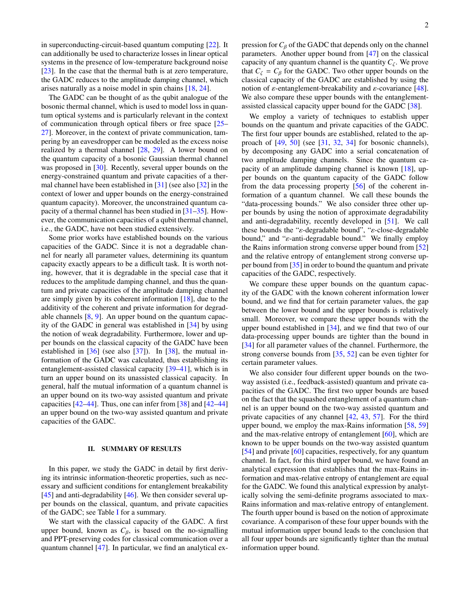in superconducting-circuit-based quantum computing [\[22\]](#page-30-13). It can additionally be used to characterize losses in linear optical systems in the presence of low-temperature background noise [\[23\]](#page-30-14). In the case that the thermal bath is at zero temperature, the GADC reduces to the amplitude damping channel, which arises naturally as a noise model in spin chains [\[18,](#page-30-10) [24\]](#page-30-15).

The GADC can be thought of as the qubit analogue of the bosonic thermal channel, which is used to model loss in quantum optical systems and is particularly relevant in the context of communication through optical fibers or free space [\[25–](#page-30-16) [27\]](#page-30-17). Moreover, in the context of private communication, tampering by an eavesdropper can be modeled as the excess noise realized by a thermal channel [\[28,](#page-30-18) [29\]](#page-30-19). A lower bound on the quantum capacity of a bosonic Gaussian thermal channel was proposed in [\[30\]](#page-30-20). Recently, several upper bounds on the energy-constrained quantum and private capacities of a thermal channel have been established in [\[31\]](#page-30-21) (see also [\[32\]](#page-30-22) in the context of lower and upper bounds on the energy-constrained quantum capacity). Moreover, the unconstrained quantum capacity of a thermal channel has been studied in [\[31–](#page-30-21)[35\]](#page-30-23). However, the communication capacities of a qubit thermal channel, i.e., the GADC, have not been studied extensively.

Some prior works have established bounds on the various capacities of the GADC. Since it is not a degradable channel for nearly all parameter values, determining its quantum capacity exactly appears to be a difficult task. It is worth noting, however, that it is degradable in the special case that it reduces to the amplitude damping channel, and thus the quantum and private capacities of the amplitude damping channel are simply given by its coherent information [\[18\]](#page-30-10), due to the additivity of the coherent and private information for degradable channels [\[8,](#page-30-2) [9\]](#page-30-3). An upper bound on the quantum capacity of the GADC in general was established in [\[34\]](#page-30-24) by using the notion of weak degradability. Furthermore, lower and upper bounds on the classical capacity of the GADC have been established in  $[36]$  (see also  $[37]$ ). In  $[38]$ , the mutual information of the GADC was calculated, thus establishing its entanglement-assisted classical capacity [\[39–](#page-30-28)[41\]](#page-31-0), which is in turn an upper bound on its unassisted classical capacity. In general, half the mutual information of a quantum channel is an upper bound on its two-way assisted quantum and private capacities  $[42-44]$  $[42-44]$ . Thus, one can infer from  $[38]$  and  $[42-44]$ an upper bound on the two-way assisted quantum and private capacities of the GADC.

# II. SUMMARY OF RESULTS

In this paper, we study the GADC in detail by first deriving its intrinsic information-theoretic properties, such as necessary and sufficient conditions for entanglement breakability [\[45\]](#page-31-3) and anti-degradability [\[46\]](#page-31-4). We then consider several upper bounds on the classical, quantum, and private capacities of the GADC; see Table [I](#page-3-1) for a summary.

We start with the classical capacity of the GADC. A first upper bound, known as  $C_{\beta}$ , is based on the no-signalling and PPT-preserving codes for classical communication over a quantum channel [\[47\]](#page-31-5). In particular, we find an analytical expression for  $C_\beta$  of the GADC that depends only on the channel parameters. Another upper bound from [\[47\]](#page-31-5) on the classical capacity of any quantum channel is the quantity  $C_{\zeta}$ . We prove that  $C_{\zeta} = C_{\beta}$  for the GADC. Two other upper bounds on the classical capacity of the GADC are established by using the notion of *ε*-entanglement-breakability and *ε*-covariance [\[48\]](#page-31-6). We also compare these upper bounds with the entanglementassisted classical capacity upper bound for the GADC [\[38\]](#page-30-27).

We employ a variety of techniques to establish upper bounds on the quantum and private capacities of the GADC. The first four upper bounds are established, related to the approach of [\[49,](#page-31-7) [50\]](#page-31-8) (see [\[31,](#page-30-21) [32,](#page-30-22) [34\]](#page-30-24) for bosonic channels), by decomposing any GADC into a serial concatenation of two amplitude damping channels. Since the quantum capacity of an amplitude damping channel is known [\[18\]](#page-30-10), upper bounds on the quantum capacity of the GADC follow from the data processing property [\[56\]](#page-31-9) of the coherent information of a quantum channel. We call these bounds the "data-processing bounds." We also consider three other upper bounds by using the notion of approximate degradability and anti-degradability, recently developed in [\[51\]](#page-31-10). We call these bounds the "ε-degradable bound", "ε-close-degradable bound," and "ε-anti-degradable bound." We finally employ the Rains information strong converse upper bound from [\[52\]](#page-31-11) and the relative entropy of entanglement strong converse upper bound from [\[35\]](#page-30-23) in order to bound the quantum and private capacities of the GADC, respectively.

We compare these upper bounds on the quantum capacity of the GADC with the known coherent information lower bound, and we find that for certain parameter values, the gap between the lower bound and the upper bounds is relatively small. Moreover, we compare these upper bounds with the upper bound established in [\[34\]](#page-30-24), and we find that two of our data-processing upper bounds are tighter than the bound in [\[34\]](#page-30-24) for all parameter values of the channel. Furthermore, the strong converse bounds from [\[35,](#page-30-23) [52\]](#page-31-11) can be even tighter for certain parameter values.

We also consider four different upper bounds on the twoway assisted (i.e., feedback-assisted) quantum and private capacities of the GADC. The first two upper bounds are based on the fact that the squashed entanglement of a quantum channel is an upper bound on the two-way assisted quantum and private capacities of any channel [\[42,](#page-31-1) [43,](#page-31-12) [57\]](#page-31-13). For the third upper bound, we employ the max-Rains information [\[58,](#page-31-14) [59\]](#page-31-15) and the max-relative entropy of entanglement [\[60\]](#page-31-16), which are known to be upper bounds on the two-way assisted quantum [\[54\]](#page-31-17) and private [\[60\]](#page-31-16) capacities, respectively, for any quantum channel. In fact, for this third upper bound, we have found an analytical expression that establishes that the max-Rains information and max-relative entropy of entanglement are equal for the GADC. We found this analytical expression by analytically solving the semi-definite programs associated to max-Rains information and max-relative entropy of entanglement. The fourth upper bound is based on the notion of approximate covariance. A comparison of these four upper bounds with the mutual information upper bound leads to the conclusion that all four upper bounds are significantly tighter than the mutual information upper bound.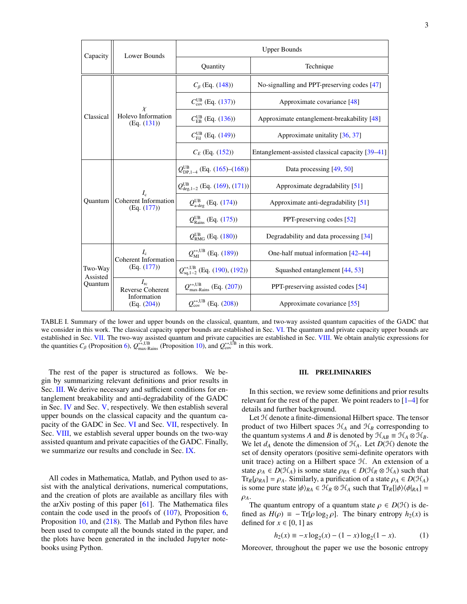| Capacity                       | Lower Bounds                                                          | <b>Upper Bounds</b>                                                |                                                  |
|--------------------------------|-----------------------------------------------------------------------|--------------------------------------------------------------------|--------------------------------------------------|
|                                |                                                                       | Quantity                                                           | Technique                                        |
| Classical                      | $\chi$<br>Holevo Information<br>(Eq. (131))                           | $C_{\beta}$ (Eq. (148))                                            | No-signalling and PPT-preserving codes [47]      |
|                                |                                                                       | $C_{\text{cov}}^{\text{UB}}$ (Eq. (137))                           | Approximate covariance [48]                      |
|                                |                                                                       | $C_{\text{FB}}^{\text{UB}}$ (Eq. (136))                            | Approximate entanglement-breakability [48]       |
|                                |                                                                       | $C_{\text{Fil}}^{\text{UB}}$ (Eq. (149))                           | Approximate unitality [36, 37]                   |
|                                |                                                                       | $C_F$ (Eq. (152))                                                  | Entanglement-assisted classical capacity [39–41] |
| Quantum                        | $I_{c}$<br><b>Coherent Information</b><br>(Eq. (177))                 | $Q_{\text{DP},1-4}^{\text{UB}}$ (Eq. (165)–(168))                  | Data processing $[49, 50]$                       |
|                                |                                                                       | $Q_{\text{deg},1-2}^{\text{UB}}$ (Eq. (169), (171))                | Approximate degradability [51]                   |
|                                |                                                                       | $Q_{\text{a-deg}}^{\text{UB}}$ (Eq. (174))                         | Approximate anti-degradability [51]              |
|                                |                                                                       | $Q_{\text{Rains}}^{\text{UB}}$ (Eq. (175))                         | PPT-preserving codes [52]                        |
|                                |                                                                       | $Q_{\rm RMG}^{\rm UB}$ (Eq. (180))                                 | Degradability and data processing [34]           |
| Two-Way<br>Assisted<br>Quantum | $I_{c}$<br><b>Coherent Information</b><br>(Eq. (177))                 | $Q_{\text{MI}}^{\leftrightarrow, \text{UB}}$ (Eq. (189))           | One-half mutual information [42–44]              |
|                                |                                                                       | $Q_{\text{sq,1-2}}^{\leftrightarrow,\text{UB}}$ (Eq. (190), (192)) | Squashed entanglement [44, 53]                   |
|                                | $I_{\rm rc}$<br><b>Reverse Coherent</b><br>Information<br>(Eq. (204)) | $Q_{\text{max-Rains}}^{\leftrightarrow, \text{UB}}$ (Eq. (207))    | PPT-preserving assisted codes [54]               |
|                                |                                                                       | $Q_{\rm cov}^{\leftrightarrow, \text{UB}}$ (Eq. (208))             | Approximate covariance [55]                      |

<span id="page-3-1"></span>TABLE I. Summary of the lower and upper bounds on the classical, quantum, and two-way assisted quantum capacities of the GADC that we consider in this work. The classical capacity upper bounds are established in Sec. [VI.](#page-12-3) The quantum and private capacity upper bounds are established in Sec. [VII.](#page-14-1) The two-way assisted quantum and private capacities are established in Sec. [VIII.](#page-17-0) We obtain analytic expressions for the quantities  $C_\beta$  (Proposition [6\)](#page-13-2),  $Q_{\text{max-Rains}}^{\leftrightarrow,UB}$  (Proposition [10\)](#page-19-3), and  $Q_{\text{cov}}^{\leftrightarrow,UB}$  in this work.

The rest of the paper is structured as follows. We begin by summarizing relevant definitions and prior results in Sec. [III.](#page-3-0) We derive necessary and sufficient conditions for entanglement breakability and anti-degradability of the GADC in Sec. [IV](#page-10-0) and Sec. [V,](#page-11-0) respectively. We then establish several upper bounds on the classical capacity and the quantum capacity of the GADC in Sec. [VI](#page-12-3) and Sec. [VII,](#page-14-1) respectively. In Sec. [VIII,](#page-17-0) we establish several upper bounds on the two-way assisted quantum and private capacities of the GADC. Finally, we summarize our results and conclude in Sec. [IX.](#page-21-0)

All codes in Mathematica, Matlab, and Python used to assist with the analytical derivations, numerical computations, and the creation of plots are available as ancillary files with the arXiv posting of this paper [\[61\]](#page-31-20). The Mathematica files contain the code used in the proofs of [\(107\)](#page-11-1), Proposition [6,](#page-13-2) Proposition [10,](#page-19-3) and [\(218\)](#page-20-0). The Matlab and Python files have been used to compute all the bounds stated in the paper, and the plots have been generated in the included Jupyter notebooks using Python.

## <span id="page-3-0"></span>III. PRELIMINARIES

In this section, we review some definitions and prior results relevant for the rest of the paper. We point readers to [\[1–](#page-29-0)[4\]](#page-29-1) for details and further background.

Let  $H$  denote a finite-dimensional Hilbert space. The tensor product of two Hilbert spaces  $\mathcal{H}_A$  and  $\mathcal{H}_B$  corresponding to the quantum systems *A* and *B* is denoted by  $\mathcal{H}_{AB} \equiv \mathcal{H}_A \otimes \mathcal{H}_B$ . We let  $d_A$  denote the dimension of  $H_A$ . Let  $D(H)$  denote the set of density operators (positive semi-definite operators with unit trace) acting on a Hilbert space H. An extension of a state  $\rho_A \in D(\mathcal{H}_A)$  is some state  $\rho_{RA} \in D(\mathcal{H}_R \otimes \mathcal{H}_A)$  such that  $Tr_R[\rho_{RA}] = \rho_A$ . Similarly, a purification of a state  $\rho_A \in D(\mathcal{H}_A)$ is some pure state  $|\phi\rangle_{RA} \in \mathcal{H}_R \otimes \mathcal{H}_A$  such that  $Tr_R[|\phi\rangle\langle\phi|_{RA}] =$  $\rho_A$ .

The quantum entropy of a quantum state  $\rho \in D(\mathcal{H})$  is defined as  $H(\rho) = -\text{Tr}[\rho \log_2 \rho]$ . The binary entropy  $h_2(x)$  is defined for  $x \in [0, 1]$  as

$$
h_2(x) \equiv -x \log_2(x) - (1 - x) \log_2(1 - x). \tag{1}
$$

Moreover, throughout the paper we use the bosonic entropy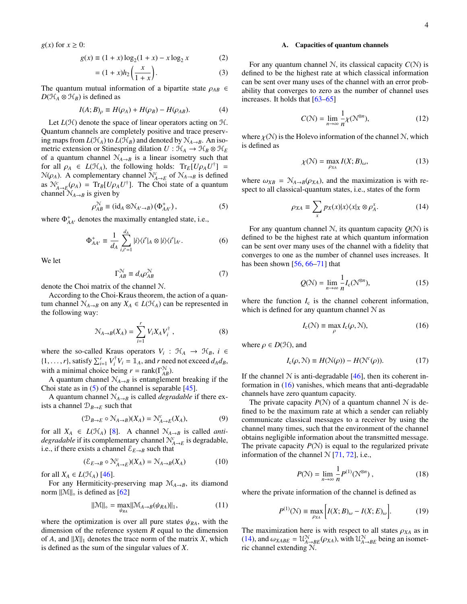$g(x)$  for  $x \geq 0$ :

$$
g(x) \equiv (1+x)\log_2(1+x) - x\log_2 x \tag{2}
$$

$$
= (1+x)h_2\left(\frac{x}{1+x}\right). \tag{3}
$$

The quantum mutual information of a bipartite state  $\rho_{AB} \in$  $D(\mathcal{H}_A \otimes \mathcal{H}_B)$  is defined as

$$
I(A;B)_{\rho} \equiv H(\rho_A) + H(\rho_B) - H(\rho_{AB}). \tag{4}
$$

Let  $L(\mathcal{H})$  denote the space of linear operators acting on  $\mathcal{H}$ . Quantum channels are completely positive and trace preserving maps from  $L(\mathcal{H}_A)$  to  $L(\mathcal{H}_B)$  and denoted by  $\mathcal{N}_{A\rightarrow B}$ . An isometric extension or Stinespring dilation  $U : \mathcal{H}_A \to \mathcal{H}_B \otimes \mathcal{H}_E$ of a quantum channel  $N_{A\rightarrow B}$  is a linear isometry such that for all  $\rho_A \in L(\mathcal{H}_A)$ , the following holds:  $Tr_E[U\rho_A U^{\dagger}] =$  $N(\rho_A)$ . A complementary channel  $N^c_{A\to E}$  of  $N_{A\to B}$  is defined as  $N_{A\rightarrow E}^{c}(\rho_{A}) = Tr_{B}[U\rho_{A}U^{\dagger}]$ . The Choi state of a quantum channel  $N_{A\rightarrow B}$  is given by

$$
\rho_{AB}^{\mathcal{N}} \equiv (\mathrm{id}_A \otimes \mathcal{N}_{A' \to B}) (\Phi_{AA'}^+), \tag{5}
$$

where  $\Phi_{AA'}^+$  denotes the maximally entangled state, i.e.,

$$
\Phi_{AA'}^+ \equiv \frac{1}{d_A} \sum_{i,i'=1}^{d_A} |i\rangle\langle i'|_A \otimes |i\rangle\langle i'|_{A'}.\tag{6}
$$

We let

$$
\Gamma_{AB}^{\mathcal{N}} \equiv d_A \rho_{AB}^{\mathcal{N}} \tag{7}
$$

denote the Choi matrix of the channel N.

According to the Choi-Kraus theorem, the action of a quantum channel  $\mathcal{N}_{A\rightarrow B}$  on any  $X_A \in L(\mathcal{H}_A)$  can be represented in the following way:

$$
\mathcal{N}_{A \to B}(X_A) = \sum_{i=1}^r V_i X_A V_i^{\dagger} , \qquad (8)
$$

where the so-called Kraus operators  $V_i$ :  $\mathcal{H}_A \rightarrow \mathcal{H}_B$ ,  $i \in$  $\{1, \ldots, r\}$ , satisfy  $\sum_{i=1}^r V_i^{\dagger} V_i = \mathbb{1}_A$ , and *r* need not exceed  $d_A d_B$ , with a minimal choice being  $r = \text{rank}(\Gamma^N_{AB})$ .

A quantum channel  $N_{A\rightarrow B}$  is entanglement breaking if the Choi state as in  $(5)$  of the channel is separable  $[45]$ .

A quantum channel  $N_{A\rightarrow B}$  is called *degradable* if there exists a channel  $\mathcal{D}_{B\to E}$  such that

$$
(\mathcal{D}_{B \to E} \circ \mathcal{N}_{A \to B})(X_A) = \mathcal{N}_{A \to E}^c(X_A), \tag{9}
$$

for all  $X_A \in L(\mathcal{H}_A)$  [\[8\]](#page-30-2). A channel  $\mathcal{N}_{A\rightarrow B}$  is called *antidegradable* if its complementary channel  $\mathcal{N}_{A\to E}^c$  is degradable, i.e., if there exists a channel  $\mathcal{E}_{E\rightarrow B}$  such that

<span id="page-4-4"></span>
$$
(\mathcal{E}_{E \to B} \circ \mathcal{N}_{A \to E}^c)(X_A) = \mathcal{N}_{A \to B}(X_A)
$$
 (10)

for all  $X_A \in L(\mathcal{H}_A)$  [\[46\]](#page-31-4).

For any Hermiticity-preserving map  $\mathcal{M}_{A\rightarrow B}$ , its diamond norm  $\|\mathcal{M}\|_{\diamond}$  is defined as [\[62\]](#page-31-21)

<span id="page-4-7"></span>
$$
\|\mathcal{M}\|_{\diamond} = \max_{\psi_{RA}} \|\mathcal{M}_{A \to B}(\psi_{RA})\|_{1},\tag{11}
$$

where the optimization is over all pure states  $\psi_{RA}$ , with the dimension of the reference system *R* equal to the dimension of *A*, and  $||X||_1$  denotes the trace norm of the matrix *X*, which is defined as the sum of the singular values of *X*.

# <span id="page-4-0"></span>A. Capacities of quantum channels

For any quantum channel  $N$ , its classical capacity  $C(N)$  is defined to be the highest rate at which classical information can be sent over many uses of the channel with an error probability that converges to zero as the number of channel uses increases. It holds that [\[63](#page-31-22)[–65\]](#page-31-23)

<span id="page-4-6"></span>
$$
C(\mathcal{N}) = \lim_{n \to \infty} \frac{1}{n} \chi(\mathcal{N}^{\otimes n}),\tag{12}
$$

where  $\chi(\mathcal{N})$  is the Holevo information of the channel  $\mathcal{N}$ , which is defined as

<span id="page-4-5"></span>
$$
\chi(\mathcal{N}) = \max_{\rho_{XA}} I(X; B)_{\omega},\tag{13}
$$

<span id="page-4-1"></span>where  $\omega_{XB} = \mathcal{N}_{A\rightarrow B}(\rho_{XA})$ , and the maximization is with respect to all classical-quantum states, i.e., states of the form

<span id="page-4-3"></span>
$$
\rho_{XA} \equiv \sum_{x} p_X(x) |x\rangle\langle x|_X \otimes \rho_A^x. \tag{14}
$$

For any quantum channel N, its quantum capacity  $Q(N)$  is defined to be the highest rate at which quantum information can be sent over many uses of the channel with a fidelity that converges to one as the number of channel uses increases. It has been shown [\[56,](#page-31-9) [66–](#page-31-24)[71\]](#page-31-25) that

$$
Q(\mathcal{N}) = \lim_{n \to \infty} \frac{1}{n} I_c(\mathcal{N}^{\otimes n}),
$$
 (15)

where the function  $I_c$  is the channel coherent information, which is defined for any quantum channel  $N$  as

<span id="page-4-2"></span>
$$
I_{c}(\mathcal{N}) \equiv \max_{\rho} I_{c}(\rho, \mathcal{N}), \tag{16}
$$

where  $\rho \in D(\mathcal{H})$ , and

$$
I_{c}(\rho, \mathcal{N}) \equiv H(\mathcal{N}(\rho)) - H(\mathcal{N}^{c}(\rho)).
$$
 (17)

If the channel  $N$  is anti-degradable [\[46\]](#page-31-4), then its coherent information in [\(16\)](#page-4-2) vanishes, which means that anti-degradable channels have zero quantum capacity.

The private capacity  $P(N)$  of a quantum channel N is defined to be the maximum rate at which a sender can reliably communicate classical messages to a receiver by using the channel many times, such that the environment of the channel obtains negligible information about the transmitted message. The private capacity  $P(N)$  is equal to the regularized private information of the channel  $N$  [\[71,](#page-31-25) [72\]](#page-31-26), i.e.,

$$
P(\mathcal{N}) = \lim_{n \to \infty} \frac{1}{n} P^{(1)}(\mathcal{N}^{\otimes n}), \qquad (18)
$$

where the private information of the channel is defined as

$$
P^{(1)}(\mathcal{N}) \equiv \max_{\rho_{XA}} \left[ I(X;B)_{\omega} - I(X;E)_{\omega} \right]. \tag{19}
$$

The maximization here is with respect to all states  $\rho_{XA}$  as in [\(14\)](#page-4-3), and  $\omega_{XABE} = \mathcal{U}_{A \to BE}^{\mathcal{N}}(\rho_{XA})$ , with  $\mathcal{U}_{A \to BE}^{\mathcal{N}}$  being an isometric channel extending N.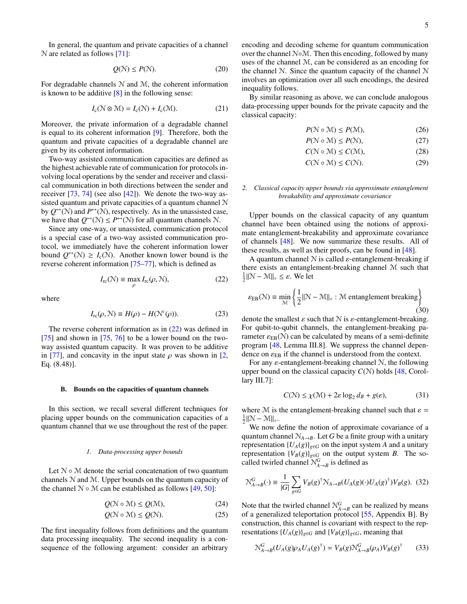In general, the quantum and private capacities of a channel N are related as follows [\[71\]](#page-31-25):

<span id="page-5-6"></span>
$$
Q(\mathcal{N}) \le P(\mathcal{N}).\tag{20}
$$

For degradable channels  $N$  and  $M$ , the coherent information is known to be additive  $[8]$  in the following sense:

$$
I_{c}(\mathcal{N}\otimes\mathcal{M})=I_{c}(\mathcal{N})+I_{c}(\mathcal{M}).
$$
\n(21)

Moreover, the private information of a degradable channel is equal to its coherent information [\[9\]](#page-30-3). Therefore, both the quantum and private capacities of a degradable channel are given by its coherent information.

Two-way assisted communication capacities are defined as the highest achievable rate of communication for protocols involving local operations by the sender and receiver and classical communication in both directions between the sender and receiver [\[73,](#page-31-27) [74\]](#page-31-28) (see also [\[42\]](#page-31-1)). We denote the two-way assisted quantum and private capacities of a quantum channel N by  $Q^{\leftrightarrow}(\mathcal{N})$  and  $P^{\leftrightarrow}(\mathcal{N})$ , respectively. As in the unassisted case, we have that  $Q^{\leftrightarrow}(\mathcal{N}) \le P^{\leftrightarrow}(\mathcal{N})$  for all quantum channels  $\mathcal{N}$ .

Since any one-way, or unassisted, communication protocol is a special case of a two-way assisted communication protocol, we immediately have the coherent information lower bound  $Q^{\leftrightarrow}(\mathcal{N}) \geq I_c(\mathcal{N})$ . Another known lower bound is the reverse coherent information [\[75](#page-31-29)[–77\]](#page-31-30), which is defined as

<span id="page-5-0"></span>
$$
I_{\rm rc}(\mathcal{N}) \equiv \max_{\rho} I_{\rm rc}(\rho, \mathcal{N}),\tag{22}
$$

where

$$
I_{\rm rc}(\rho, \mathcal{N}) \equiv H(\rho) - H(\mathcal{N}^c(\rho)).\tag{23}
$$

The reverse coherent information as in [\(22\)](#page-5-0) was defined in  $[75]$  and shown in  $[75, 76]$  $[75, 76]$  $[75, 76]$  to be a lower bound on the twoway assisted quantum capacity. It was proven to be additive in [\[77\]](#page-31-30), and concavity in the input state  $\rho$  was shown in [\[2,](#page-29-3) Eq. (8.48)].

#### <span id="page-5-5"></span>B. Bounds on the capacities of quantum channels

In this section, we recall several different techniques for placing upper bounds on the communication capacities of a quantum channel that we use throughout the rest of the paper.

#### *1. Data-processing upper bounds*

Let  $N \circ M$  denote the serial concatenation of two quantum channels N and M. Upper bounds on the quantum capacity of the channel  $N \circ M$  can be established as follows [\[49,](#page-31-7) [50\]](#page-31-8):

$$
Q(\mathcal{N} \circ \mathcal{M}) \le Q(\mathcal{M}),\tag{24}
$$

$$
Q(\mathcal{N} \circ \mathcal{M}) \le Q(\mathcal{N}).\tag{25}
$$

The first inequality follows from definitions and the quantum data processing inequality. The second inequality is a consequence of the following argument: consider an arbitrary encoding and decoding scheme for quantum communication over the channel N◦M. Then this encoding, followed by many uses of the channel M, can be considered as an encoding for the channel N. Since the quantum capacity of the channel N involves an optimization over all such encodings, the desired inequality follows.

By similar reasoning as above, we can conclude analogous data-processing upper bounds for the private capacity and the classical capacity:

<span id="page-5-10"></span><span id="page-5-9"></span>
$$
P(\mathcal{N} \circ \mathcal{M}) \le P(\mathcal{M}),\tag{26}
$$

$$
P(\mathcal{N} \circ \mathcal{M}) \le P(\mathcal{N}),\tag{27}
$$

$$
C(\mathcal{N} \circ \mathcal{M}) \le C(\mathcal{M}),\tag{28}
$$

$$
C(\mathcal{N} \circ \mathcal{M}) \le C(\mathcal{N}).\tag{29}
$$

# <span id="page-5-1"></span>*2. Classical capacity upper bounds via approximate entanglement breakability and approximate covariance*

Upper bounds on the classical capacity of any quantum channel have been obtained using the notions of approximate entanglement-breakability and approximate covariance of channels [\[48\]](#page-31-6). We now summarize these results. All of these results, as well as their proofs, can be found in [\[48\]](#page-31-6).

A quantum channel  $N$  is called  $\varepsilon$ -entanglement-breaking if there exists an entanglement-breaking channel M such that  $\frac{1}{2} \|\mathcal{N} - \mathcal{M}\|_{\diamond} \leq \varepsilon$ . We let

<span id="page-5-4"></span>
$$
\varepsilon_{\text{EB}}(\mathcal{N}) \equiv \min_{\mathcal{M}} \left\{ \frac{1}{2} ||\mathcal{N} - \mathcal{M}||_{\diamond} : \mathcal{M} \text{ entanglement breaking} \right\}
$$
(30)

denote the smallest  $\varepsilon$  such that  $N$  is  $\varepsilon$ -entanglement-breaking. For qubit-to-qubit channels, the entanglement-breaking parameter  $\varepsilon_{EB}(\mathcal{N})$  can be calculated by means of a semi-definite program [\[48,](#page-31-6) Lemma III.8]. We suppress the channel dependence on  $\varepsilon_{\text{EB}}$  if the channel is understood from the context.

For any  $\varepsilon$ -entanglement-breaking channel  $\mathcal{N}$ , the following upper bound on the classical capacity  $C(N)$  holds  $[48, \text{Corol-}$  $[48, \text{Corol-}$ lary III.7]:

<span id="page-5-3"></span>
$$
C(\mathcal{N}) \le \chi(\mathcal{M}) + 2\varepsilon \log_2 d_B + g(\varepsilon),\tag{31}
$$

where M is the entanglement-breaking channel such that  $\varepsilon =$  $\frac{1}{2} \|\mathcal{N} - \mathcal{M}\|_{\diamond}.$ 

We now define the notion of approximate covariance of a quantum channel  $\mathcal{N}_{A\rightarrow B}$ . Let *G* be a finite group with a unitary representation  ${U_A(g)}_{g \in G}$  on the input system *A* and a unitary representation  ${V_B(g)}_{g \in G}$  on the output system *B*. The socalled twirled channel  $\mathcal{N}_{A\rightarrow B}^G$  is defined as

<span id="page-5-2"></span>
$$
\mathcal{N}_{A\to B}^G(\cdot) \equiv \frac{1}{|G|} \sum_{g\in G} V_B(g)^\dagger \mathcal{N}_{A\to B} (U_A(g)(\cdot) U_A(g)^\dagger) V_B(g). \tag{32}
$$

<span id="page-5-8"></span><span id="page-5-7"></span>Note that the twirled channel  $N_{A\rightarrow B}^G$  can be realized by means of a generalized teleportation protocol [\[55,](#page-31-19) Appendix B]. By construction, this channel is covariant with respect to the representations  ${U_A(g)}_{g \in G}$  and  ${V_B(g)}_{g \in G}$ , meaning that

$$
\mathcal{N}_{A\to B}^G (U_A(g)\rho_A U_A(g)^{\dagger}) = V_B(g)\mathcal{N}_{A\to B}^G(\rho_A) V_B(g)^{\dagger}
$$
 (33)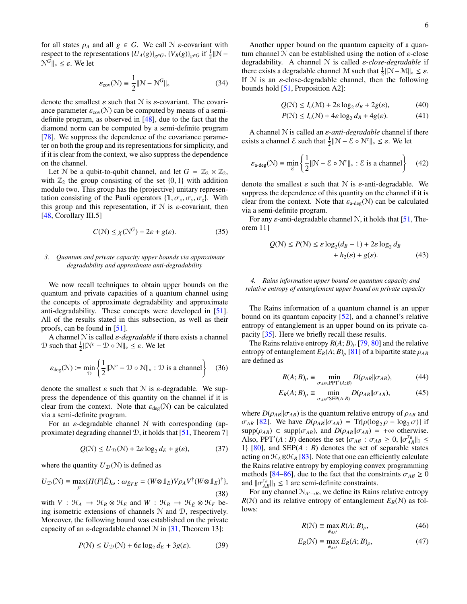for all states  $\rho_A$  and all  $g \in G$ . We call  $\mathcal N$  *ε*-covariant with respect to the representations  $\{U_A(g)\}_{g \in G}$ ,  $\{V_B(g)\}_{g \in G}$  if  $\frac{1}{2} \|\mathcal{N} - \mathcal{N}\|$  $\mathcal{N}^G\|_{\infty} \leq \varepsilon$ . We let

$$
\varepsilon_{\text{cov}}(\mathcal{N}) \equiv \frac{1}{2} ||\mathcal{N} - \mathcal{N}^G||_{\diamond} \tag{34}
$$

denote the smallest  $\varepsilon$  such that  $N$  is  $\varepsilon$ -covariant. The covariance parameter  $\varepsilon_{\text{cov}}(\mathcal{N})$  can be computed by means of a semidefinite program, as observed in [\[48\]](#page-31-6), due to the fact that the diamond norm can be computed by a semi-definite program [\[78\]](#page-32-0). We suppress the dependence of the covariance parameter on both the group and its representations for simplicity, and if it is clear from the context, we also suppress the dependence on the channel.

Let N be a qubit-to-qubit channel, and let  $G = \mathbb{Z}_2 \times \mathbb{Z}_2$ , with  $\mathbb{Z}_2$  the group consisting of the set  $\{0, 1\}$  with addition modulo two. This group has the (projective) unitary representation consisting of the Pauli operators  $\{\mathbb{1}, \sigma_x, \sigma_y, \sigma_z\}$ . With this group and this representation, if  $N$  is  $\varepsilon$ -covariant, then [\[48,](#page-31-6) Corollary III.5]

<span id="page-6-2"></span>
$$
C(\mathcal{N}) \le \chi(\mathcal{N}^G) + 2\varepsilon + g(\varepsilon). \tag{35}
$$

# *3. Quantum and private capacity upper bounds via approximate degradability and approximate anti-degradability*

We now recall techniques to obtain upper bounds on the quantum and private capacities of a quantum channel using the concepts of approximate degradability and approximate anti-degradability. These concepts were developed in [\[51\]](#page-31-10). All of the results stated in this subsection, as well as their proofs, can be found in [\[51\]](#page-31-10).

A channel N is called ε*-degradable* if there exists a channel  $\mathcal{D}$  such that  $\frac{1}{2} \|\mathcal{N}^c - \mathcal{D} \circ \mathcal{N}\|_{\diamond} \leq \varepsilon$ . We let

$$
\varepsilon_{\text{deg}}(\mathcal{N}) \coloneqq \min_{\mathcal{D}} \left\{ \frac{1}{2} ||\mathcal{N}^c - \mathcal{D} \circ \mathcal{N}||_{\diamond} : \mathcal{D} \text{ is a channel} \right\} \tag{36}
$$

denote the smallest  $\varepsilon$  such that  $N$  is  $\varepsilon$ -degradable. We suppress the dependence of this quantity on the channel if it is clear from the context. Note that  $\varepsilon_{\text{deg}}(\mathcal{N})$  can be calculated via a semi-definite program.

For an  $\varepsilon$ -degradable channel  $N$  with corresponding (approximate) degrading channel  $\mathcal{D}$ , it holds that [\[51,](#page-31-10) Theorem 7]

$$
Q(\mathcal{N}) \le U_{\mathcal{D}}(\mathcal{N}) + 2\varepsilon \log_2 d_E + g(\varepsilon), \tag{37}
$$

where the quantity  $U_{\mathcal{D}}(\mathcal{N})$  is defined as

$$
U_{\mathcal{D}}(\mathcal{N}) \equiv \max_{\rho} \{ H(F|\tilde{E})_{\omega} : \omega_{\tilde{E}FE} = (W \otimes \mathbb{1}_E) V \rho_A V^{\dagger} (W \otimes \mathbb{1}_E)^{\dagger} \},
$$
\n(38)

with  $V : \mathcal{H}_A \to \mathcal{H}_B \otimes \mathcal{H}_E$  and  $W : \mathcal{H}_B \to \mathcal{H}_{\tilde{E}} \otimes \mathcal{H}_F$  being isometric extensions of channels N and D, respectively. Moreover, the following bound was established on the private capacity of an  $\varepsilon$ -degradable channel  $\mathcal N$  in [\[31,](#page-30-21) Theorem 13]:

$$
P(\mathcal{N}) \le U_{\mathcal{D}}(\mathcal{N}) + 6\varepsilon \log_2 d_E + 3g(\varepsilon). \tag{39}
$$

Another upper bound on the quantum capacity of a quantum channel  $N$  can be established using the notion of  $\varepsilon$ -close degradability. A channel N is called ε*-close-degradable* if there exists a degradable channel M such that  $\frac{1}{2} ||\mathcal{N} - \mathcal{M}||_{\diamond} \leq \varepsilon$ . If  $N$  is an  $\varepsilon$ -close-degradable channel, then the following bounds hold [\[51,](#page-31-10) Proposition A2]:

$$
Q(\mathcal{N}) \le I_c(\mathcal{M}) + 2\varepsilon \log_2 d_B + 2g(\varepsilon),\tag{40}
$$

<span id="page-6-6"></span><span id="page-6-5"></span>
$$
P(\mathcal{N}) \le I_c(\mathcal{N}) + 4\varepsilon \log_2 d_B + 4g(\varepsilon). \tag{41}
$$

A channel N is called an ε*-anti-degradable* channel if there exists a channel  $\mathcal E$  such that  $\frac{1}{2} \|\mathcal N - \mathcal E \circ \mathcal N^c\|_{\diamond} \leq \varepsilon$ . We let

$$
\varepsilon_{\text{a-deg}}(\mathcal{N}) \equiv \min_{\mathcal{E}} \left\{ \frac{1}{2} ||\mathcal{N} - \mathcal{E} \circ \mathcal{N}^c||_{\diamond} : \mathcal{E} \text{ is a channel} \right\} \tag{42}
$$

denote the smallest  $\varepsilon$  such that  $N$  is  $\varepsilon$ -anti-degradable. We suppress the dependence of this quantity on the channel if it is clear from the context. Note that  $\varepsilon_{a\text{-dec}}(N)$  can be calculated via a semi-definite program.

For any  $\varepsilon$ -anti-degradable channel N, it holds that [\[51,](#page-31-10) Theorem 11]

<span id="page-6-7"></span>
$$
Q(\mathcal{N}) \le P(\mathcal{N}) \le \varepsilon \log_2(d_B - 1) + 2\varepsilon \log_2 d_B
$$
  
+  $h_2(\varepsilon) + g(\varepsilon).$  (43)

# *4. Rains information upper bound on quantum capacity and relative entropy of entanglement upper bound on private capacity*

The Rains information of a quantum channel is an upper bound on its quantum capacity [\[52\]](#page-31-11), and a channel's relative entropy of entanglement is an upper bound on its private capacity [\[35\]](#page-30-23). Here we briefly recall these results.

The Rains relative entropy  $R(A; B)$ <sub>ρ</sub> [\[79,](#page-32-1) [80\]](#page-32-2) and the relative entropy of entanglement  $E_R(A;B)$ <sub>ρ</sub> [\[81\]](#page-32-3) of a bipartite state  $\rho_{AB}$ are defined as

$$
R(A;B)_{\rho} \equiv \min_{\sigma_{AB} \in \text{PPT}'(A:B)} D(\rho_{AB} || \sigma_{AB}), \tag{44}
$$

$$
E_R(A;B)_{\rho} \equiv \min_{\sigma_{AB} \in \text{SEP}(A:B)} D(\rho_{AB} || \sigma_{AB}), \tag{45}
$$

<span id="page-6-3"></span>where  $D(\rho_{AB}||\sigma_{AB})$  is the quantum relative entropy of  $\rho_{AB}$  and  $\sigma_{AB}$  [\[82\]](#page-32-4). We have  $D(\rho_{AB}||\sigma_{AB}) = Tr[\rho(\log_2 \rho - \log_2 \sigma)]$  if  $supp(\rho_{AB}) \subset supp(\sigma_{AB})$ , and  $D(\rho_{AB}||\sigma_{AB}) = +\infty$  otherwise. Also, PPT'(*A* : *B*) denotes the set { $\sigma_{AB}$  :  $\sigma_{AB} \ge 0$ ,  $||\sigma_{AB}^{\tau_B}||_1 \le$ 1} [\[80\]](#page-32-2), and SEP(*A* : *B*) denotes the set of separable states acting on  $\mathcal{H}_A \otimes \mathcal{H}_B$  [\[83\]](#page-32-5). Note that one can efficiently calculate the Rains relative entropy by employing convex programming methods [\[84–](#page-32-6)[86\]](#page-32-7), due to the fact that the constraints  $\sigma_{AB} \ge 0$ and  $\|\sigma_{AB}^{\tau_B}\|_1 \leq 1$  are semi-definite constraints.

<span id="page-6-4"></span>For any channel  $\mathcal{N}_{A' \to B}$ , we define its Rains relative entropy  $R(N)$  and its relative entropy of entanglement  $E_R(N)$  as follows:

<span id="page-6-1"></span><span id="page-6-0"></span>
$$
R(\mathcal{N}) \equiv \max_{\phi_{AA'}} R(A;B)_{\rho},\tag{46}
$$

$$
E_R(\mathcal{N}) \equiv \max_{\phi_{AA'}} E_R(A;B)_{\rho},\tag{47}
$$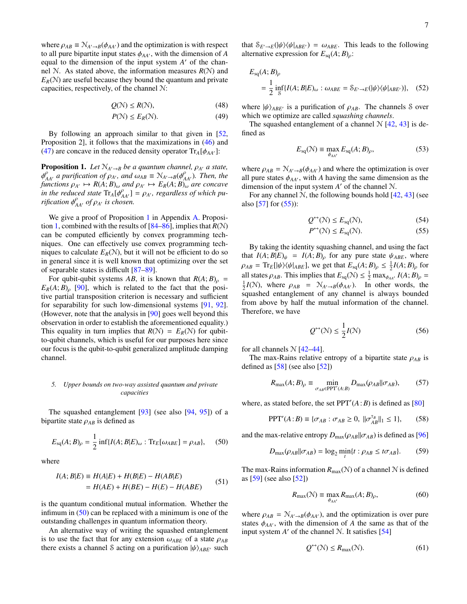where  $\rho_{AB} \equiv \mathcal{N}_{A' \to B}(\phi_{AA'})$  and the optimization is with respect to all pure bipartite input states  $\phi_{AA'}$ , with the dimension of *A* equal to the dimension of the input system  $A'$  of the channel N. As stated above, the information measures  $R(N)$  and  $E_R(\mathcal{N})$  are useful because they bound the quantum and private capacities, respectively, of the channel N:

$$
Q(\mathcal{N}) \le R(\mathcal{N}),\tag{48}
$$

$$
P(\mathcal{N}) \le E_R(\mathcal{N}).\tag{49}
$$

By following an approach similar to that given in [\[52,](#page-31-11) Proposition 2], it follows that the maximizations in [\(46\)](#page-6-0) and [\(47\)](#page-6-1) are concave in the reduced density operator  $Tr_A[\phi_{AA'}]$ :

<span id="page-7-0"></span>**Proposition 1.** Let  $\mathbb{N}_{A'\to B}$  be a quantum channel,  $\rho_{A'}$  a state,  $\phi_{AA}^{\rho}$  *a purification of*  $\rho_{A'}$ *, and*  $\omega_{AB} \equiv \mathcal{N}_{A'\to B}(\phi_{AA'}^{\rho})$ *. Then, the functions*  $\rho_{A'} \mapsto R(A;B)_{\omega}$  *and*  $\rho_{A'} \mapsto E_R(A;B)_{\omega}$  *are concave*  $\int$ *in the reduced state*  $Tr_A[\phi^{\rho}_{AA'}] = \rho_{A'}$ , *regardless of which purification*  $\phi_{AA}^{\rho}$  *of*  $\rho_{A}$  *is chosen.* 

We give a proof of Proposition [1](#page-7-0) in Appendix [A.](#page-21-1) Proposi-tion [1,](#page-7-0) combined with the results of  $[84–86]$  $[84–86]$ , implies that  $R(\mathcal{N})$ can be computed efficiently by convex programming techniques. One can effectively use convex programming techniques to calculate  $E_R(\mathcal{N})$ , but it will not be efficient to do so in general since it is well known that optimizing over the set of separable states is difficult [\[87](#page-32-8)[–89\]](#page-32-9).

For qubit-qubit systems *AB*, it is known that  $R(A;B)_{\rho}$  =  $E_R(A; B)$ <sub>0</sub> [\[90\]](#page-32-10), which is related to the fact that the positive partial transposition criterion is necessary and sufficient for separability for such low-dimensional systems [\[91,](#page-32-11) [92\]](#page-32-12). (However, note that the analysis in [\[90\]](#page-32-10) goes well beyond this observation in order to establish the aforementioned equality.) This equality in turn implies that  $R(N) = E_R(N)$  for qubitto-qubit channels, which is useful for our purposes here since our focus is the qubit-to-qubit generalized amplitude damping channel.

# *5. Upper bounds on two-way assisted quantum and private capacities*

The squashed entanglement [\[93\]](#page-32-13) (see also [\[94,](#page-32-14) [95\]](#page-32-15)) of a bipartite state  $\rho_{AB}$  is defined as

<span id="page-7-1"></span>
$$
E_{\rm sq}(A;B)_{\rho} = \frac{1}{2} \inf \{ I(A;B|E)_{\omega} : {\rm Tr}_E[\omega_{ABE}] = \rho_{AB} \}, \quad (50)
$$

where

<span id="page-7-8"></span>
$$
I(A;B|E) \equiv H(A|E) + H(B|E) - H(AB|E)
$$
  
= 
$$
H(AE) + H(BE) - H(E) - H(ABE)
$$
 (51)

is the quantum conditional mutual information. Whether the infimum in [\(50\)](#page-7-1) can be replaced with a minimum is one of the outstanding challenges in quantum information theory.

An alternative way of writing the squashed entanglement is to use the fact that for any extension  $\omega_{ABE}$  of a state  $\rho_{AB}$ there exists a channel S acting on a purification  $|\psi\rangle_{ABE}$  such

that  $S_{E'\to E}(|\psi\rangle\langle\psi|_{ABE'}) = \omega_{ABE}$ . This leads to the following alternative expression for  $E_{\text{sq}}(A;B)_{\rho}$ :

$$
E_{\text{sq}}(A;B)_{\rho}
$$
  
=  $\frac{1}{2}$  inf{ $I(A;B|E)_{\omega}$  :  $\omega_{ABE} = \mathcal{S}_{E' \to E}(|\psi\rangle\langle\psi|_{ABE'})$ }, (52)

<span id="page-7-4"></span><span id="page-7-3"></span>where  $|\psi\rangle_{ABE}$  is a purification of  $\rho_{AB}$ . The channels S over which we optimize are called *squashing channels*.

The squashed entanglement of a channel  $\mathcal{N}$  [\[42,](#page-31-1) [43\]](#page-31-12) is defined as

$$
E_{\text{sq}}(\mathcal{N}) \equiv \max_{\phi_{AA'}} E_{\text{sq}}(A;B)_{\rho},\tag{53}
$$

where  $\rho_{AB} = \mathcal{N}_{A' \to B}(\phi_{AA'})$  and where the optimization is over all pure states  $\phi_{AA'}$ , with *A* having the same dimension as the dimension of the input system  $A'$  of the channel  $N$ .

For any channel N, the following bounds hold  $[42, 43]$  $[42, 43]$  $[42, 43]$  (see also [\[57\]](#page-31-13) for [\(55\)](#page-7-2)):

$$
Q^{\leftrightarrow}(\mathcal{N}) \le E_{\text{sq}}(\mathcal{N}),\tag{54}
$$

<span id="page-7-2"></span>
$$
P^{\leftrightarrow}(\mathcal{N}) \le E_{\text{sq}}(\mathcal{N}).\tag{55}
$$

By taking the identity squashing channel, and using the fact that  $I(A; B|E)_{\psi} = I(A; B)_{\rho}$  for any pure state  $\psi_{ABE}$ , where  $\rho_{AB} = \text{Tr}_{E}[\psi \rangle \langle \psi |_{ABE}]$ , we get that  $E_{sq}(A;B)_{\rho} \leq \frac{1}{2}I(A;B)_{\rho}$  for all states  $\rho_{AB}$ . This implies that  $E_{sq}(\mathcal{N}) \leq \frac{1}{2} \max_{\phi_{AA'}} I(A;B)_{\rho} =$  $\frac{1}{2}I(\mathcal{N})$ , where  $\rho_{AB} = \mathcal{N}_{A'\rightarrow B}(\phi_{AA'})$ . In other words, the squashed entanglement of any channel is always bounded from above by half the mutual information of the channel. Therefore, we have

<span id="page-7-5"></span>
$$
Q^{\leftrightarrow}(\mathcal{N}) \le \frac{1}{2}I(\mathcal{N})\tag{56}
$$

for all channels  $\mathcal{N}$  [\[42–](#page-31-1)[44\]](#page-31-2).

The max-Rains relative entropy of a bipartite state  $\rho_{AB}$  is defined as  $[58]$  (see also  $[52]$ )

$$
R_{\max}(A;B)_{\rho} \equiv \min_{\sigma_{AB} \in \text{PPT}'(A:B)} D_{\max}(\rho_{AB} || \sigma_{AB}), \tag{57}
$$

where, as stated before, the set  $PPT'(A:B)$  is defined as [\[80\]](#page-32-2)

$$
PPT'(A:B) \equiv \{ \sigma_{AB} : \sigma_{AB} \ge 0, \ ||\sigma_{AB}^{\tau_B}||_1 \le 1 \}, \qquad (58)
$$

and the max-relative entropy  $D_{\text{max}}(\rho_{AB}||\sigma_{AB})$  is defined as [\[96\]](#page-32-16)

$$
D_{\max}(\rho_{AB}||\sigma_{AB}) = \log_2 \min_t \{t : \rho_{AB} \le t\sigma_{AB}\}.
$$
 (59)

The max-Rains information  $R_{\text{max}}(\mathcal{N})$  of a channel  $\mathcal N$  is defined as [\[59\]](#page-31-15) (see also [\[52\]](#page-31-11))

<span id="page-7-7"></span>
$$
R_{\max}(\mathcal{N}) \equiv \max_{\phi_{AA'}} R_{\max}(A;B)_{\rho},\tag{60}
$$

where  $\rho_{AB} = \mathcal{N}_{A' \to B}(\phi_{AA'})$ , and the optimization is over pure states  $\phi_{AA'}$ , with the dimension of *A* the same as that of the input system  $A'$  of the channel  $N$ . It satisfies  $[54]$ 

<span id="page-7-6"></span>
$$
Q^{\leftrightarrow}(\mathcal{N}) \le R_{\text{max}}(\mathcal{N}).\tag{61}
$$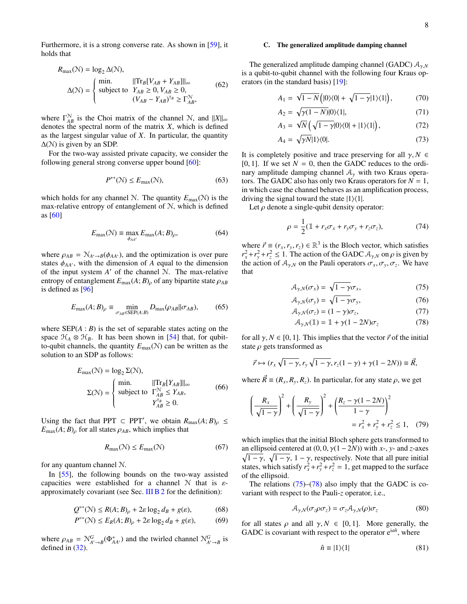Furthermore, it is a strong converse rate. As shown in [\[59\]](#page-31-15), it holds that

<span id="page-8-7"></span>
$$
R_{\text{max}}(\mathcal{N}) = \log_2 \Delta(\mathcal{N}),
$$
  
\n
$$
\Delta(\mathcal{N}) = \begin{cases} \text{min.} & \| \text{Tr}_B[V_{AB} + Y_{AB}] \|_{\infty} \\ \text{subject to} & Y_{AB} \ge 0, V_{AB} \ge 0, \\ & (V_{AB} - Y_{AB})^{\text{T}_B} \ge \Gamma_{AB}^{\mathcal{N}}, \end{cases} \tag{62}
$$

where  $\Gamma_{AB}^{\mathcal{N}}$  is the Choi matrix of the channel N, and  $||X||_{\infty}$ denotes the spectral norm of the matrix *X*, which is defined as the largest singular value of *X*. In particular, the quantity  $\Delta(N)$  is given by an SDP.

For the two-way assisted private capacity, we consider the following general strong converse upper bound [\[60\]](#page-31-16):

$$
P^{\leftrightarrow}(\mathcal{N}) \le E_{\text{max}}(\mathcal{N}),\tag{63}
$$

which holds for any channel N. The quantity  $E_{\text{max}}(\mathcal{N})$  is the max-relative entropy of entanglement of N, which is defined as [\[60\]](#page-31-16)

$$
E_{\text{max}}(\mathcal{N}) \equiv \max_{\phi_{AA'}} E_{\text{max}}(A; B)_{\rho},\tag{64}
$$

where  $\rho_{AB} = \mathcal{N}_{A'\rightarrow B}(\phi_{AA'})$ , and the optimization is over pure states  $\phi_{AA'}$ , with the dimension of *A* equal to the dimension of the input system  $A'$  of the channel  $N$ . The max-relative entropy of entanglement  $E_{\text{max}}(A; B)$ <sub>ρ</sub> of any bipartite state  $\rho_{AB}$ is defined as [\[96\]](#page-32-16)

$$
E_{\text{max}}(A;B)_{\rho} \equiv \min_{\sigma_{AB} \in \text{SEP}(A:B)} D_{\text{max}}(\rho_{AB} || \sigma_{AB}),\tag{65}
$$

where  $\text{SEP}(A : B)$  is the set of separable states acting on the space  $\mathcal{H}_A \otimes \mathcal{H}_B$ . It has been shown in [\[54\]](#page-31-17) that, for qubitto-qubit channels, the quantity  $E_{\text{max}}(\mathcal{N})$  can be written as the solution to an SDP as follows:

<span id="page-8-8"></span>
$$
E_{\text{max}}(\mathcal{N}) = \log_2 \Sigma(\mathcal{N}),
$$
  
\n
$$
\Sigma(\mathcal{N}) = \begin{cases} \min. & ||\text{Tr}_B[Y_{AB}]||_{\infty} \\ \text{subject to} & \Gamma_{AB}^{\mathcal{N}} \le Y_{AB}, \\ & Y_{AB}^{\tau_B} \ge 0. \end{cases}
$$
(66)

Using the fact that PPT  $\subset$  PPT', we obtain  $R_{\text{max}}(A; B)_{\rho} \leq$  $E_{\text{max}}(A; B)$ <sub>ρ</sub> for all states  $\rho_{AB}$ , which implies that

<span id="page-8-4"></span>
$$
R_{\max}(\mathcal{N}) \le E_{\max}(\mathcal{N})\tag{67}
$$

for any quantum channel N.

In [\[55\]](#page-31-19), the following bounds on the two-way assisted capacities were established for a channel  $N$  that is  $\varepsilon$ approximately covariant (see Sec. [III B 2](#page-5-1) for the definition):

$$
Q^{\leftrightarrow}(\mathcal{N}) \le R(A; B)_{\rho} + 2\varepsilon \log_2 d_B + g(\varepsilon), \tag{68}
$$

$$
P^{\leftrightarrow}(\mathcal{N}) \le E_R(A;B)_{\rho} + 2\varepsilon \log_2 d_B + g(\varepsilon),\tag{69}
$$

where  $\rho_{AB} = \mathcal{N}_{A'\to B}^G(\Phi_{AA'}^+)$  and the twirled channel  $\mathcal{N}_{A'\to B}^G$  is defined in [\(32\)](#page-5-2).

## C. The generalized amplitude damping channel

The generalized amplitude damping channel (GADC) Aγ,*<sup>N</sup>* is a qubit-to-qubit channel with the following four Kraus operators (in the standard basis) [\[19\]](#page-30-11):

$$
A_1 = \sqrt{1-N} \left( |0\rangle\langle 0| + \sqrt{1-\gamma} |1\rangle\langle 1| \right), \tag{70}
$$

$$
A_2 = \sqrt{\gamma(1-N)} |0\rangle\langle 1|,\tag{71}
$$

$$
A_3 = \sqrt{N} \left( \sqrt{1 - \gamma} |0\rangle\langle0| + |1\rangle\langle1| \right),\tag{72}
$$

$$
A_4 = \sqrt{\gamma N} |1\rangle\langle 0|.\tag{73}
$$

It is completely positive and trace preserving for all  $\gamma$ ,  $N \in$ [0, 1]. If we set  $N = 0$ , then the GADC reduces to the ordinary amplitude damping channel  $A_{\gamma}$  with two Kraus operators. The GADC also has only two Kraus operators for  $N = 1$ , in which case the channel behaves as an amplification process, driving the signal toward the state  $|1\rangle\langle1|$ .

Let  $\rho$  denote a single-qubit density operator:

$$
\rho = \frac{1}{2}(\mathbb{1} + r_x \sigma_x + r_y \sigma_y + r_z \sigma_z),\tag{74}
$$

where  $\vec{r} \equiv (r_x, r_y, r_z) \in \mathbb{R}^3$  is the Bloch vector, which satisfies  $r_x^2 + r_y^2 + r_z^2 \le 1$ . The action of the GADC  $A_{\gamma,N}$  on  $\rho$  is given by the action of  $A_{\gamma,N}$  on the Pauli operators  $\sigma_x, \sigma_y, \sigma_z$ . We have that

<span id="page-8-0"></span>
$$
\mathcal{A}_{\gamma,N}(\sigma_x) = \sqrt{1 - \gamma} \sigma_x,\tag{75}
$$

$$
\mathcal{A}_{\gamma,N}(\sigma_{y}) = \sqrt{1 - \gamma} \sigma_{y},\tag{76}
$$

$$
\mathcal{A}_{\gamma,N}(\sigma_z) = (1 - \gamma)\sigma_z, \tag{77}
$$

<span id="page-8-1"></span>
$$
\mathcal{A}_{\gamma,N}(\mathbb{1}) = \mathbb{1} + \gamma (1 - 2N) \sigma_z \tag{78}
$$

for all  $\gamma$ ,  $N \in [0, 1]$ . This implies that the vector  $\vec{r}$  of the initial state  $\rho$  gets transformed as

$$
\vec{r} \mapsto (r_x \sqrt{1-\gamma}, r_y \sqrt{1-\gamma}, r_z(1-\gamma) + \gamma(1-2N)) \equiv \vec{R},
$$

where  $\vec{R} \equiv (R_x, R_y, R_z)$ . In particular, for any state  $\rho$ , we get

$$
\left(\frac{R_x}{\sqrt{1-\gamma}}\right)^2 + \left(\frac{R_y}{\sqrt{1-\gamma}}\right)^2 + \left(\frac{R_z - \gamma(1-2N)}{1-\gamma}\right)^2
$$
  
=  $r_x^2 + r_y^2 + r_z^2 \le 1$ , (79)

which implies that the initial Bloch sphere gets transformed to an ellipsoid centered at  $(0, 0, \gamma(1 - 2N))$  with *x*-, *y*- and *z*-axes  $\sqrt{1-\gamma}$ ,  $\sqrt{1-\gamma}$ ,  $1-\gamma$ , respectively. Note that all pure initial states, which satisfy  $r_x^2 + r_y^2 + r_z^2 = 1$ , get mapped to the surface of the ellipsoid.

The relations  $(75)$ – $(78)$  also imply that the GADC is covariant with respect to the Pauli-*z* operator, i.e.,

<span id="page-8-3"></span>
$$
\mathcal{A}_{\gamma,N}(\sigma_z \rho \sigma_z) = \sigma_z \mathcal{A}_{\gamma,N}(\rho) \sigma_z \tag{80}
$$

<span id="page-8-6"></span><span id="page-8-5"></span>for all states  $\rho$  and all  $\gamma$ ,  $N \in [0, 1]$ . More generally, the GADC is covariant with respect to the operator e<sup>ian</sup>, where

<span id="page-8-2"></span>
$$
\hat{n} \equiv |1\rangle\langle 1| \tag{81}
$$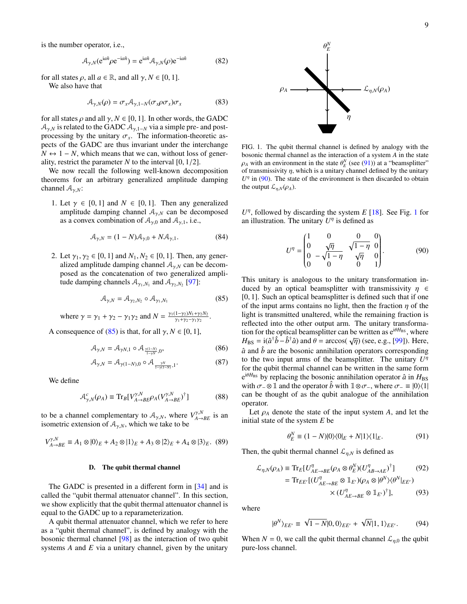is the number operator, i.e.,

$$
\mathcal{A}_{\gamma,N}(e^{ia\hat{n}}\rho e^{-ia\hat{n}}) = e^{ia\hat{n}}\mathcal{A}_{\gamma,N}(\rho)e^{-ia\hat{n}} \tag{82}
$$

for all states  $\rho$ , all  $a \in \mathbb{R}$ , and all  $\gamma, N \in [0, 1]$ .

We also have that

<span id="page-9-10"></span>
$$
\mathcal{A}_{\gamma,N}(\rho) = \sigma_x \mathcal{A}_{\gamma,1-N}(\sigma_x \rho \sigma_x) \sigma_x \tag{83}
$$

for all states  $\rho$  and all  $\gamma$ ,  $N \in [0, 1]$ . In other words, the GADC  $A_{\gamma,N}$  is related to the GADC  $A_{\gamma,1-N}$  via a simple pre- and postprocessing by the unitary  $\sigma_x$ . The information-theoretic aspects of the GADC are thus invariant under the interchange  $N \leftrightarrow 1 - N$ , which means that we can, without loss of generality, restrict the parameter *N* to the interval [0, 1/2].

We now recall the following well-known decomposition theorems for an arbitrary generalized amplitude damping channel Aγ,*N*:

1. Let  $\gamma \in [0, 1]$  and  $N \in [0, 1]$ . Then any generalized amplitude damping channel  $A_{\gamma,N}$  can be decomposed as a convex combination of  $A_{\gamma,0}$  and  $A_{\gamma,1}$ , i.e.,

$$
\mathcal{A}_{\gamma,N} = (1 - N)\mathcal{A}_{\gamma,0} + N\mathcal{A}_{\gamma,1}.
$$
 (84)

2. Let  $\gamma_1, \gamma_2 \in [0, 1]$  and  $N_1, N_2 \in [0, 1]$ . Then, any generalized amplitude damping channel  $A_{\gamma,N}$  can be decomposed as the concatenation of two generalized amplitude damping channels  $A_{\gamma_1, N_1}$  and  $A_{\gamma_2, N_2}$  [\[97\]](#page-32-17):

<span id="page-9-0"></span>
$$
\mathcal{A}_{\gamma,N} = \mathcal{A}_{\gamma_2,N_2} \circ \mathcal{A}_{\gamma_1,N_1} \tag{85}
$$

where 
$$
\gamma = \gamma_1 + \gamma_2 - \gamma_1 \gamma_2
$$
 and  $N = \frac{\gamma_1 (1 - \gamma_2) N_1 + \gamma_2 N_2}{\gamma_1 + \gamma_2 - \gamma_1 \gamma_2}$ .

A consequence of [\(85\)](#page-9-0) is that, for all  $\gamma$ ,  $N \in [0, 1]$ ,

$$
\mathcal{A}_{\gamma,N} = \mathcal{A}_{\gamma N,1} \circ \mathcal{A}_{\frac{\gamma(1-N)}{1-\gamma N},0},\tag{86}
$$

$$
\mathcal{A}_{\gamma,N} = \mathcal{A}_{\gamma(1-N),0} \circ \mathcal{A}_{\frac{\gamma N}{1-\gamma(1-N)},1}.
$$
 (87)

We define

<span id="page-9-8"></span>
$$
\mathcal{A}_{\gamma,N}^c(\rho_A) \equiv \text{Tr}_B[V_{A\to BE}^{\gamma,N}\rho_A(V_{A\to BE}^{\gamma,N})^\dagger] \tag{88}
$$

to be a channel complementary to  $A_{\gamma,N}$ , where  $V^{\gamma,N}_{A\to BE}$  is an isometric extension of  $A_{\gamma,N}$ , which we take to be

<span id="page-9-11"></span>
$$
V^{\gamma,N}_{A \to BE} \equiv A_1 \otimes |0\rangle_E + A_2 \otimes |1\rangle_E + A_3 \otimes |2\rangle_E + A_4 \otimes |3\rangle_E. \tag{89}
$$

#### <span id="page-9-7"></span>D. The qubit thermal channel

The GADC is presented in a different form in [\[34\]](#page-30-24) and is called the "qubit thermal attenuator channel". In this section, we show explicitly that the qubit thermal attenuator channel is equal to the GADC up to a reparameterization.

A qubit thermal attenuator channel, which we refer to here as a "qubit thermal channel", is defined by analogy with the bosonic thermal channel [\[98\]](#page-32-18) as the interaction of two qubit systems *A* and *E* via a unitary channel, given by the unitary



<span id="page-9-3"></span>FIG. 1. The qubit thermal channel is defined by analogy with the bosonic thermal channel as the interaction of a system *A* in the state  $\rho_A$  with an environment in the state  $\theta_E^N$  (see [\(91\)](#page-9-1)) at a "beamsplitter" of transmissivity  $\eta$ , which is a unitary channel defined by the unitary  $U^{\eta}$  in [\(90\)](#page-9-2). The state of the environment is then discarded to obtain the output  $\mathcal{L}_{n,N}(\rho_A)$ .

<span id="page-9-9"></span> $U^{\eta}$ , followed by discarding the system *E* [\[18\]](#page-30-10). See Fig. [1](#page-9-3) for an illustration. The unitary  $U^{\eta}$  is defined as

<span id="page-9-2"></span>
$$
U^{\eta} = \begin{pmatrix} 1 & 0 & 0 & 0 \\ 0 & \sqrt{\eta} & \sqrt{1-\eta} & 0 \\ 0 & -\sqrt{1-\eta} & \sqrt{\eta} & 0 \\ 0 & 0 & 0 & 1 \end{pmatrix}.
$$
 (90)

<span id="page-9-5"></span>This unitary is analogous to the unitary transformation induced by an optical beamsplitter with transmissivity  $\eta \in$ [0, 1]. Such an optical beamsplitter is defined such that if one of the input arms contains no light, then the fraction  $\eta$  of the light is transmitted unaltered, while the remaining fraction is reflected into the other output arm. The unitary transformation for the optical beamsplitter can be written as  $e^{i\theta H_{BS}}$ , where  $H_{\text{BS}} = \text{i}(\hat{a}^\dagger \hat{b} - \hat{b}^\dagger \hat{a})$  and  $\theta = \arccos(\sqrt{\eta})$  (see, e.g., [\[99\]](#page-32-19)). Here,  $\hat{a}$  and  $\hat{b}$  are the bosonic annihilation operators corresponding to the two input arms of the beamsplitter. The unitary  $U^{\eta}$ for the qubit thermal channel can be written in the same form  $e^{i\theta H_{BS}}$  by replacing the bosonic annihilation operator  $\hat{a}$  in  $H_{BS}$ with  $\sigma_-\otimes \mathbbm{1}$  and the operator  $\hat{b}$  with  $\mathbbm{1} \otimes \sigma_-\$ , where  $\sigma_-\equiv |0\rangle\langle 1|$ can be thought of as the qubit analogue of the annihilation operator.

<span id="page-9-6"></span>Let  $\rho_A$  denote the state of the input system *A*, and let the initial state of the system *E* be

<span id="page-9-4"></span><span id="page-9-1"></span>
$$
\theta_E^N \equiv (1 - N)|0\rangle\langle 0|_E + N|1\rangle\langle 1|_E. \tag{91}
$$

Then, the qubit thermal channel  $\mathcal{L}_{\eta,N}$  is defined as

$$
\mathcal{L}_{\eta,N}(\rho_A) \equiv \text{Tr}_E[U_{AE \to BE}^{\eta}(\rho_A \otimes \theta_E^N)(U_{AB \to AE}^{\eta})^{\dagger}]
$$
(92)  

$$
= \text{Tr}_{EE'}[(U_{AE \to BE}^{\eta} \otimes \mathbb{1}_{E'})(\rho_A \otimes |\theta^N\rangle\langle\theta^N|_{EE'})
$$

$$
\times (U_{AE \to BE}^{\eta} \otimes \mathbb{1}_{E'})^{\dagger}],
$$
(93)

where

$$
|\theta^{N}\rangle_{EE'} \equiv \sqrt{1 - N}|0,0\rangle_{EE'} + \sqrt{N}|1,1\rangle_{EE'}.
$$
 (94)

When  $N = 0$ , we call the qubit thermal channel  $\mathcal{L}_{\eta,0}$  the qubit pure-loss channel.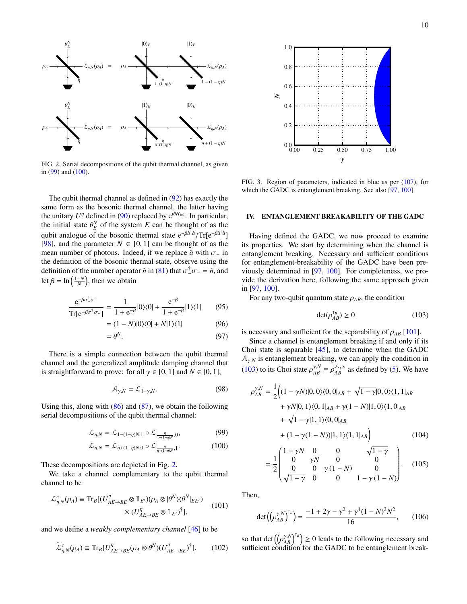



 $\rho_A$ .

 $\theta_F^N$ *E*

 $\theta_{\scriptscriptstyle F}^N$ 

<span id="page-10-3"></span>FIG. 2. Serial decompositions of the qubit thermal channel, as given in  $(99)$  and  $(100)$ .

The qubit thermal channel as defined in [\(92\)](#page-9-4) has exactly the same form as the bosonic thermal channel, the latter having the unitary  $U^{\eta}$  defined in [\(90\)](#page-9-2) replaced by  $e^{i\theta H_{BS}}$ . In particular, the initial state  $\theta_E^N$  of the system *E* can be thought of as the qubit analogue of the bosonic thermal state e<sup>−βa†a</sup>/Tr[e<sup>−βa†a</sup>] [\[98\]](#page-32-18), and the parameter  $N \in [0, 1]$  can be thought of as the mean number of photons. Indeed, if we replace  $\hat{a}$  with  $\sigma$ <sub>-</sub> in the definition of the bosonic thermal state, observe using the definition of the number operator  $\hat{n}$  in [\(81\)](#page-8-2) that  $\sigma^{\dagger} \sigma = \hat{n}$ , and let  $\beta = \ln\left(\frac{1-N}{N}\right)$ , then we obtain

$$
\frac{e^{-\beta \sigma_-^{\dagger} \sigma_-}}{\text{Tr}[e^{-\beta \sigma_-^{\dagger} \sigma_-}]} = \frac{1}{1 + e^{-\beta}} |0\rangle\langle 0| + \frac{e^{-\beta}}{1 + e^{-\beta}} |1\rangle\langle 1| \qquad (95)
$$

$$
= (1 - N)|0\rangle\langle 0| + N|1\rangle\langle 1| \tag{96}
$$

$$
=\theta^N.\tag{97}
$$

There is a simple connection between the qubit thermal channel and the generalized amplitude damping channel that is straightforward to prove: for all  $\gamma \in [0, 1]$  and  $N \in [0, 1]$ ,

<span id="page-10-6"></span>
$$
\mathcal{A}_{\gamma,N} = \mathcal{L}_{1-\gamma,N}.\tag{98}
$$

Using this, along with [\(86\)](#page-9-5) and [\(87\)](#page-9-6), we obtain the following serial decompositions of the qubit thermal channel:

$$
\mathcal{L}_{\eta,N} = \mathcal{L}_{1-(1-\eta)N,1} \circ \mathcal{L}_{\frac{\eta}{1-(1-\eta)N},0}, \tag{99}
$$

$$
\mathcal{L}_{\eta,N} = \mathcal{L}_{\eta + (1-\eta)N,0} \circ \mathcal{L}_{\frac{\eta}{\eta + (1-\eta)N},1}.
$$
 (100)

These decompositions are depicted in Fig. [2.](#page-10-3)

We take a channel complementary to the qubit thermal channel to be

$$
\mathcal{L}_{\eta,N}^c(\rho_A) \equiv \text{Tr}_B[(U_{AE \to BE}^{\eta} \otimes \mathbb{1}_{E'}) (\rho_A \otimes | \theta^N \rangle \langle \theta^N |_{EE'})
$$
\n
$$
\times (U_{AE \to BE}^{\eta} \otimes \mathbb{1}_{E'})^{\dagger}],
$$
\n(101)

and we define a *weakly complementary channel* [\[46\]](#page-31-4) to be

<span id="page-10-7"></span>
$$
\widetilde{\mathcal{L}}_{\eta,N}^c(\rho_A) \equiv \text{Tr}_B[U_{AE\to BE}^{\eta}(\rho_A \otimes \theta^N)(U_{AE\to BE}^{\eta})^{\dagger}]. \tag{102}
$$



<span id="page-10-5"></span>FIG. 3. Region of parameters, indicated in blue as per [\(107\)](#page-11-1), for which the GADC is entanglement breaking. See also [\[97,](#page-32-17) [100\]](#page-32-20).

# <span id="page-10-0"></span>IV. ENTANGLEMENT BREAKABILITY OF THE GADC

Having defined the GADC, we now proceed to examine its properties. We start by determining when the channel is entanglement breaking. Necessary and sufficient conditions for entanglement-breakability of the GADC have been previously determined in [\[97,](#page-32-17) [100\]](#page-32-20). For completeness, we provide the derivation here, following the same approach given in [\[97,](#page-32-17) [100\]](#page-32-20).

For any two-qubit quantum state  $\rho_{AB}$ , the condition

<span id="page-10-8"></span><span id="page-10-4"></span>
$$
\det(\rho_{AB}^{\tau_B}) \ge 0 \tag{103}
$$

is necessary and sufficient for the separability of  $\rho_{AB}$  [\[101\]](#page-32-21).

Since a channel is entanglement breaking if and only if its Choi state is separable [\[45\]](#page-31-3), to determine when the GADC  $A_{\gamma,N}$  is entanglement breaking, we can apply the condition in [\(103\)](#page-10-4) to its Choi state  $\rho_{AB}^{\gamma,N} \equiv \rho_{AB}^{\mathcal{A}_{\gamma,N}}$  as defined by [\(5\)](#page-4-1). We have

$$
\rho_{AB}^{\gamma,N} = \frac{1}{2} \Big( (1 - \gamma N)|0,0\rangle\langle0,0|_{AB} + \sqrt{1 - \gamma}|0,0\rangle\langle1,1|_{AB} + \gamma N|0,1\rangle\langle0,1|_{AB} + \gamma(1 - N)|1,0\rangle\langle1,0|_{AB} + \sqrt{1 - \gamma}|1,1\rangle\langle0,0|_{AB} + (1 - \gamma(1 - N))|1,1\rangle\langle1,1|_{AB} \Big) \tag{104}
$$

<span id="page-10-2"></span><span id="page-10-1"></span>
$$
= \frac{1}{2} \begin{pmatrix} 1 - \gamma N & 0 & 0 & \sqrt{1 - \gamma} \\ 0 & \gamma N & 0 & 0 \\ 0 & 0 & \gamma (1 - N) & 0 \\ \sqrt{1 - \gamma} & 0 & 0 & 1 - \gamma (1 - N) \end{pmatrix} . \quad (105)
$$

Then,

$$
\det\left(\left(\rho_{AB}^{\gamma,N}\right)^{\tau_B}\right) = \frac{-1 + 2\gamma - \gamma^2 + \gamma^4 (1 - N)^2 N^2}{16},\qquad(106)
$$

so that det  $((\rho_{AB}^{\gamma,N})^{\tau_B}) \ge 0$  leads to the following necessary and sufficient condition for the GADC to be entanglement break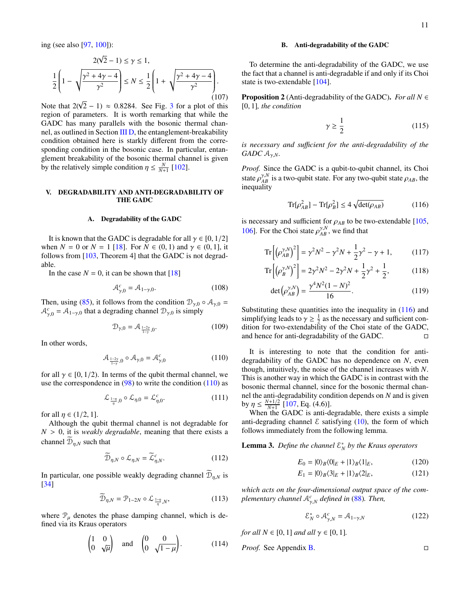ing (see also [\[97,](#page-32-17) [100\]](#page-32-20)):

<span id="page-11-1"></span>
$$
2(\sqrt{2} - 1) \le \gamma \le 1,
$$
  

$$
\frac{1}{2} \left( 1 - \sqrt{\frac{\gamma^2 + 4\gamma - 4}{\gamma^2}} \right) \le N \le \frac{1}{2} \left( 1 + \sqrt{\frac{\gamma^2 + 4\gamma - 4}{\gamma^2}} \right).
$$
(107)

Note that  $2(\sqrt{2} - 1) \approx 0.8284$ . See Fig. [3](#page-10-5) for a plot of this region of parameters. It is worth remarking that while the GADC has many parallels with the bosonic thermal channel, as outlined in Section [III D,](#page-9-7) the entanglement-breakability condition obtained here is starkly different from the corresponding condition in the bosonic case. In particular, entanglement breakability of the bosonic thermal channel is given by the relatively simple condition  $\eta \leq \frac{N}{N+1}$  [\[102\]](#page-32-22).

# <span id="page-11-0"></span>V. DEGRADABILITY AND ANTI-DEGRADABILITY OF THE GADC

#### A. Degradability of the GADC

It is known that the GADC is degradable for all  $\gamma \in [0, 1/2]$ when  $N = 0$  or  $N = 1$  [\[18\]](#page-30-10). For  $N \in (0, 1)$  and  $\gamma \in (0, 1]$ , it follows from [\[103,](#page-32-23) Theorem 4] that the GADC is not degradable.

In the case  $N = 0$ , it can be shown that [\[18\]](#page-30-10)

$$
\mathcal{A}_{\gamma,0}^c = \mathcal{A}_{1-\gamma,0}.\tag{108}
$$

Then, using [\(85\)](#page-9-0), it follows from the condition  $\mathcal{D}_{\gamma,0} \circ \mathcal{A}_{\gamma,0} =$  $A^c_{\gamma,0} = A_{1-\gamma,0}$  that a degrading channel  $\mathcal{D}_{\gamma,0}$  is simply

$$
\mathcal{D}_{\gamma,0} = \mathcal{A}_{\frac{1-2\gamma}{1-\gamma},0}.\tag{109}
$$

In other words,

<span id="page-11-2"></span>
$$
\mathcal{A}_{\frac{1-2\gamma}{1-\gamma},0} \circ \mathcal{A}_{\gamma,0} = \mathcal{A}_{\gamma,0}^c \tag{110}
$$

for all  $\gamma \in [0, 1/2)$ . In terms of the qubit thermal channel, we use the correspondence in  $(98)$  to write the condition  $(110)$  as

$$
\mathcal{L}_{\frac{1-\eta}{\eta},0} \circ \mathcal{L}_{\eta,0} = \mathcal{L}_{\eta,0}^c. \tag{111}
$$

for all  $\eta \in (1/2, 1]$ .

Although the qubit thermal channel is not degradable for  $N > 0$ , it is *weakly degradable*, meaning that there exists a channel  $\mathcal{D}_{n,N}$  such that

$$
\widetilde{\mathcal{D}}_{\eta,N} \circ \mathcal{L}_{\eta,N} = \widetilde{\mathcal{L}}_{\eta,N}^c. \tag{112}
$$

In particular, one possible weakly degrading channel  $\overline{\mathcal{D}}_{\eta,N}$  is [\[34\]](#page-30-24)

<span id="page-11-6"></span>
$$
\widetilde{\mathcal{D}}_{\eta,N} = \mathcal{P}_{1-2N} \circ \mathcal{L}_{\frac{1-\eta}{\eta},N},\tag{113}
$$

where  $\mathcal{P}_{\mu}$  denotes the phase damping channel, which is defined via its Kraus operators

$$
\begin{pmatrix} 1 & 0 \\ 0 & \sqrt{\mu} \end{pmatrix} \quad \text{and} \quad \begin{pmatrix} 0 & 0 \\ 0 & \sqrt{1 - \mu} \end{pmatrix}.
$$
 (114)

## B. Anti-degradability of the GADC

To determine the anti-degradability of the GADC, we use the fact that a channel is anti-degradable if and only if its Choi state is two-extendable [\[104\]](#page-32-24).

**Proposition 2** (Anti-degradability of the GADC). *For all*  $N \in$ [0, 1]*, the condition*

$$
\gamma \ge \frac{1}{2} \tag{115}
$$

*is necessary and su*ffi*cient for the anti-degradability of the GADC*  $A_{\gamma,N}$ *.* 

*Proof.* Since the GADC is a qubit-to-qubit channel, its Choi state  $\rho_{AB}^{\gamma,N}$  is a two-qubit state. For any two-qubit state  $\rho_{AB}$ , the inequality

<span id="page-11-3"></span>
$$
\operatorname{Tr}[\rho_{AB}^2] - \operatorname{Tr}[\rho_B^2] \le 4\sqrt{\det(\rho_{AB})}
$$
 (116)

is necessary and sufficient for  $\rho_{AB}$  to be two-extendable [\[105,](#page-32-25) [106\]](#page-32-26). For the Choi state  $\rho_{AB}^{\gamma,N}$ , we find that

$$
\text{Tr}\left[\left(\rho_{AB}^{\gamma,N}\right)^2\right] = \gamma^2 N^2 - \gamma^2 N + \frac{1}{2}\gamma^2 - \gamma + 1,\tag{117}
$$

$$
\operatorname{Tr}\left[\left(\rho_B^{\gamma,N}\right)^2\right] = 2\gamma^2 N^2 - 2\gamma^2 N + \frac{1}{2}\gamma^2 + \frac{1}{2},\tag{118}
$$

$$
\det\left(\rho_{AB}^{\gamma,N}\right) = \frac{\gamma^4 N^2 (1-N)^2}{16}.
$$
 (119)

Substituting these quantities into the inequality in  $(116)$  and simplifying leads to  $\gamma \geq \frac{1}{2}$  as the necessary and sufficient condition for two-extendability of the Choi state of the GADC, and hence for anti-degradability of the GADC.

It is interesting to note that the condition for antidegradability of the GADC has no dependence on *N*, even though, intuitively, the noise of the channel increases with *N*. This is another way in which the GADC is in contrast with the bosonic thermal channel, since for the bosonic thermal channel the anti-degradability condition depends on *N* and is given by  $\eta \leq \frac{N+1/2}{N+1}$  [\[107,](#page-32-27) Eq. (4.6)].

When the GADC is anti-degradable, there exists a simple anti-degrading channel  $\epsilon$  satisfying [\(10\)](#page-4-4), the form of which follows immediately from the following lemma.

<span id="page-11-4"></span>**Lemma 3.** Define the channel  $\mathcal{E}_N^*$  by the Kraus operators

$$
E_0 = |0\rangle_B \langle 0|_E + |1\rangle_B \langle 1|_E, \tag{120}
$$

$$
E_1 = |0\rangle_B \langle 3|_E + |1\rangle_B \langle 2|_E, \tag{121}
$$

*which acts on the four-dimensional output space of the complementary channel* A*<sup>c</sup>* γ,*N defined in* [\(88\)](#page-9-8)*. Then,*

<span id="page-11-5"></span>
$$
\mathcal{E}_N^* \circ \mathcal{A}_{\gamma,N}^c = \mathcal{A}_{1-\gamma,N} \tag{122}
$$

*for all*  $N \in [0, 1]$  *and all*  $\gamma \in [0, 1]$ *.* 

*Proof.* See Appendix [B.](#page-22-0)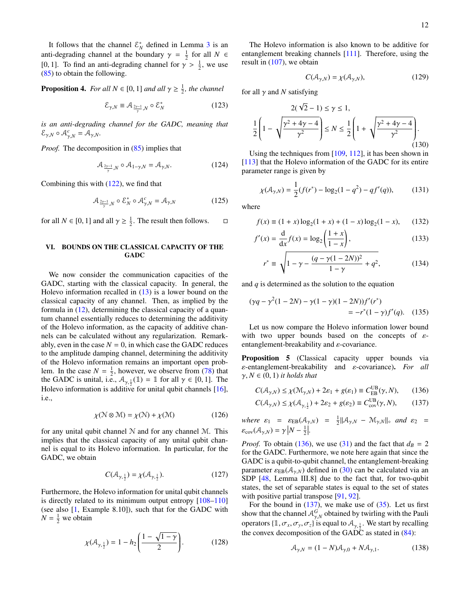It follows that the channel  $\mathcal{E}_N^*$  defined in Lemma [3](#page-11-4) is an anti-degrading channel at the boundary  $\gamma = \frac{1}{2}$  for all  $N \in$ [0, 1]. To find an anti-degrading channel for  $\gamma > \frac{1}{2}$ , we use [\(85\)](#page-9-0) to obtain the following.

**Proposition 4.** For all  $N \in [0, 1]$  and all  $\gamma \geq \frac{1}{2}$ , the channel

$$
\mathcal{E}_{\gamma,N} \equiv \mathcal{A}_{\frac{2\gamma-1}{\gamma},N} \circ \mathcal{E}_N^* \tag{123}
$$

*is an anti-degrading channel for the GADC, meaning that*  $\mathcal{E}_{\gamma,N} \circ \mathcal{A}_{\gamma,N}^c = \mathcal{A}_{\gamma,N}.$ 

*Proof.* The decomposition in [\(85\)](#page-9-0) implies that

$$
\mathcal{A}_{\frac{2\gamma-1}{\gamma},N} \circ \mathcal{A}_{1-\gamma,N} = \mathcal{A}_{\gamma,N}.
$$
 (124)

Combining this with [\(122\)](#page-11-5), we find that

$$
\mathcal{A}_{\frac{2\gamma-1}{\gamma},N} \circ \mathcal{E}_N^* \circ \mathcal{A}_{\gamma,N}^c = \mathcal{A}_{\gamma,N} \tag{125}
$$

for all  $N \in [0, 1]$  and all  $\gamma \ge \frac{1}{2}$ . The result then follows.  $\square$ 

# <span id="page-12-3"></span>VI. BOUNDS ON THE CLASSICAL CAPACITY OF THE **GADC**

We now consider the communication capacities of the GADC, starting with the classical capacity. In general, the Holevo information recalled in [\(13\)](#page-4-5) is a lower bound on the classical capacity of any channel. Then, as implied by the formula in [\(12\)](#page-4-6), determining the classical capacity of a quantum channel essentially reduces to determining the additivity of the Holevo information, as the capacity of additive channels can be calculated without any regularization. Remarkably, even in the case  $N = 0$ , in which case the GADC reduces to the amplitude damping channel, determining the additivity of the Holevo information remains an important open problem. In the case  $N = \frac{1}{2}$ , however, we observe from [\(78\)](#page-8-1) that the GADC is unital, i.e.,  $\mathcal{A}_{\gamma,\frac{1}{2}}(1) = 1$  for all  $\gamma \in [0,1]$ . The Holevo information is additive for unital qubit channels [\[16\]](#page-30-8), i.e.,

$$
\chi(\mathcal{N}\otimes\mathcal{M}) = \chi(\mathcal{N}) + \chi(\mathcal{M})
$$
 (126)

for any unital qubit channel  $N$  and for any channel  $M$ . This implies that the classical capacity of any unital qubit channel is equal to its Holevo information. In particular, for the GADC, we obtain

<span id="page-12-6"></span>
$$
C(\mathcal{A}_{\gamma,\frac{1}{2}}) = \chi(\mathcal{A}_{\gamma,\frac{1}{2}}). \tag{127}
$$

Furthermore, the Holevo information for unital qubit channels is directly related to its minimum output entropy [\[108–](#page-32-28)[110\]](#page-32-29) (see also [\[1,](#page-29-0) Example 8.10]), such that for the GADC with  $N = \frac{1}{2}$  we obtain

$$
\chi(\mathcal{A}_{\gamma,\frac{1}{2}}) = 1 - h_2 \left( \frac{1 - \sqrt{1 - \gamma}}{2} \right). \tag{128}
$$

The Holevo information is also known to be additive for entanglement breaking channels [\[111\]](#page-32-30). Therefore, using the result in [\(107\)](#page-11-1), we obtain

$$
C(\mathcal{A}_{\gamma,N}) = \chi(\mathcal{A}_{\gamma,N}),\tag{129}
$$

for all  $\gamma$  and *N* satisfying

$$
2(\sqrt{2} - 1) \le \gamma \le 1,
$$
  

$$
\frac{1}{2} \left( 1 - \sqrt{\frac{\gamma^2 + 4\gamma - 4}{\gamma^2}} \right) \le N \le \frac{1}{2} \left( 1 + \sqrt{\frac{\gamma^2 + 4\gamma - 4}{\gamma^2}} \right).
$$
(130)

Using the techniques from [\[109,](#page-32-31) [112\]](#page-32-32), it has been shown in [\[113\]](#page-32-33) that the Holevo information of the GADC for its entire parameter range is given by

<span id="page-12-0"></span>
$$
\chi(\mathcal{A}_{\gamma,N}) = \frac{1}{2}(f(r^*) - \log_2(1 - q^2) - qf'(q)),\tag{131}
$$

where

$$
f(x) \equiv (1+x)\log_2(1+x) + (1-x)\log_2(1-x), \quad (132)
$$

$$
f'(x) = \frac{d}{dx} f(x) = \log_2 \left( \frac{1+x}{1-x} \right),
$$
 (133)

$$
r^* \equiv \sqrt{1 - \gamma - \frac{(q - \gamma(1 - 2N))^2}{1 - \gamma} + q^2},\tag{134}
$$

and *q* is determined as the solution to the equation

$$
(\gamma q - \gamma^2 (1 - 2N) - \gamma (1 - \gamma)(1 - 2N)) f'(r^*)
$$
  
=  $-r^* (1 - \gamma) f'(q)$ . (135)

Let us now compare the Holevo information lower bound with two upper bounds based on the concepts of  $\varepsilon$ entanglement-breakability and  $\varepsilon$ -covariance.

<span id="page-12-5"></span>**Proposition 5** (Classical capacity upper bounds via ε-entanglement-breakability and ε-covariance). *For all*  $\gamma, N \in (0, 1)$  *it holds that* 

<span id="page-12-2"></span>
$$
C(\mathcal{A}_{\gamma,N}) \le \chi(\mathcal{M}_{\gamma,N}) + 2\varepsilon_1 + g(\varepsilon_1) \equiv C_{\text{EB}}^{\text{UB}}(\gamma, N), \qquad (136)
$$

<span id="page-12-1"></span>
$$
C(\mathcal{A}_{\gamma,N}) \le \chi(\mathcal{A}_{\gamma,\frac{1}{2}}) + 2\varepsilon_2 + g(\varepsilon_2) \equiv C_{\text{cov}}^{\text{UB}}(\gamma, N), \qquad (137)
$$

*where*  $\varepsilon_1 = \varepsilon_{EB}(\mathcal{A}_{\gamma,N}) = \frac{1}{2} ||\mathcal{A}_{\gamma,N} - \mathcal{M}_{\gamma,N}||_o$  *and*  $\varepsilon_2 =$  $\varepsilon_{\text{cov}}(\mathcal{A}_{\gamma,N}) = \gamma \left| N - \frac{1}{2} \right|.$ 

*Proof.* To obtain [\(136\)](#page-12-2), we use [\(31\)](#page-5-3) and the fact that  $d_B = 2$ for the GADC. Furthermore, we note here again that since the GADC is a qubit-to-qubit channel, the entanglement-breaking parameter  $\varepsilon_{EB}(\mathcal{A}_{\gamma,N})$  defined in [\(30\)](#page-5-4) can be calculated via an SDP [\[48,](#page-31-6) Lemma III.8] due to the fact that, for two-qubit states, the set of separable states is equal to the set of states with positive partial transpose [\[91,](#page-32-11) [92\]](#page-32-12).

For the bound in  $(137)$ , we make use of  $(35)$ . Let us first show that the channel  $A_{\gamma,N}^G$  obtained by twirling with the Pauli operators { $1, \sigma_x, \sigma_y, \sigma_z$ } is equal to  $A_{\gamma, \frac{1}{2}}$ . We start by recalling the convex decomposition of the GADC as stated in  $(84)$ :

<span id="page-12-4"></span>
$$
\mathcal{A}_{\gamma,N} = (1 - N)\mathcal{A}_{\gamma,0} + N\mathcal{A}_{\gamma,1}.
$$
 (138)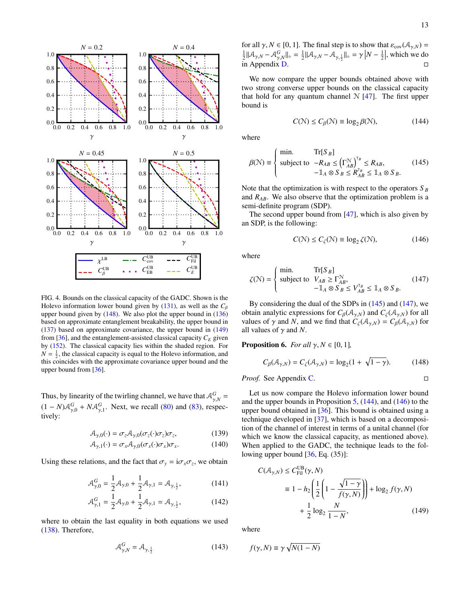

<span id="page-13-7"></span>FIG. 4. Bounds on the classical capacity of the GADC. Shown is the Holevo information lower bound given by  $(131)$ , as well as the  $C_\beta$ upper bound given by  $(148)$ . We also plot the upper bound in  $(136)$ based on approximate entanglement breakability, the upper bound in [\(137\)](#page-12-1) based on approximate covariance, the upper bound in [\(149\)](#page-13-1) from [\[36\]](#page-30-25), and the entanglement-assisted classical capacity  $C_E$  given by [\(152\)](#page-14-0). The classical capacity lies within the shaded region. For  $N = \frac{1}{2}$ , the classical capacity is equal to the Holevo information, and this coincides with the approximate covariance upper bound and the upper bound from [\[36\]](#page-30-25).

Thus, by linearity of the twirling channel, we have that  $A_{\gamma,N}^G$  $(1 - N)\mathcal{A}_{\gamma,0}^G + N\mathcal{A}_{\gamma,1}^G$ . Next, we recall [\(80\)](#page-8-3) and [\(83\)](#page-9-10), respectively:

$$
\mathcal{A}_{\gamma,0}(\cdot) = \sigma_z \mathcal{A}_{\gamma,0}(\sigma_z(\cdot)\sigma_z)\sigma_z,\tag{139}
$$

$$
\mathcal{A}_{\gamma,1}(\cdot) = \sigma_x \mathcal{A}_{\gamma,0}(\sigma_x(\cdot)\sigma_x)\sigma_x. \tag{140}
$$

Using these relations, and the fact that  $\sigma_y = i\sigma_x \sigma_z$ , we obtain

$$
\mathcal{A}_{\gamma,0}^G = \frac{1}{2}\mathcal{A}_{\gamma,0} + \frac{1}{2}\mathcal{A}_{\gamma,1} = \mathcal{A}_{\gamma,\frac{1}{2}},\tag{141}
$$

$$
\mathcal{A}_{\gamma,1}^G = \frac{1}{2}\mathcal{A}_{\gamma,0} + \frac{1}{2}\mathcal{A}_{\gamma,1} = \mathcal{A}_{\gamma,\frac{1}{2}},\tag{142}
$$

where to obtain the last equality in both equations we used [\(138\)](#page-12-4). Therefore,

<span id="page-13-8"></span>
$$
\mathcal{A}_{\gamma,N}^G = \mathcal{A}_{\gamma,\frac{1}{2}} \tag{143}
$$

for all  $\gamma$ ,  $N \in [0, 1]$ . The final step is to show that  $\varepsilon_{\text{cov}}(\mathcal{A}_{\gamma, N}) =$  $\frac{1}{2} \|\mathcal{A}_{\gamma,N} - \mathcal{A}_{\gamma,N}^G\|_{\diamond} = \frac{1}{2} \|\mathcal{A}_{\gamma,N} - \mathcal{A}_{\gamma,\frac{1}{2}}\|_{\diamond} = \gamma \left|N - \frac{1}{2}\right|$ , which we do in Appendix [D.](#page-25-0)

We now compare the upper bounds obtained above with two strong converse upper bounds on the classical capacity that hold for any quantum channel  $\mathcal{N}$  [\[47\]](#page-31-5). The first upper bound is

<span id="page-13-5"></span>
$$
C(\mathcal{N}) \le C_{\beta}(\mathcal{N}) \equiv \log_2 \beta(\mathcal{N}),\tag{144}
$$

where

<span id="page-13-3"></span>
$$
\beta(\mathcal{N}) \equiv \begin{cases} \min. & \text{Tr}[S_B] \\ \text{subject to} & -R_{AB} \le (\Gamma_{AB}^{\mathcal{N}})^{\tau_B} \le R_{AB}, \\ & -\mathbb{1}_A \otimes S_B \le R_{AB}^{\tau_B} \le \mathbb{1}_A \otimes S_B. \end{cases} \tag{145}
$$

Note that the optimization is with respect to the operators *S <sup>B</sup>* and  $R_{AB}$ . We also observe that the optimization problem is a semi-definite program (SDP).

The second upper bound from  $[47]$ , which is also given by an SDP, is the following:

<span id="page-13-6"></span>
$$
C(\mathcal{N}) \le C_{\zeta}(\mathcal{N}) \equiv \log_2 \zeta(\mathcal{N}),\tag{146}
$$

where

<span id="page-13-4"></span>
$$
\zeta(\mathcal{N}) = \begin{cases} \min. & \text{Tr}[S_B] \\ \text{subject to} & V_{AB} \ge \Gamma_{AB}^{\mathcal{N}}, \\ & -\mathbb{1}_A \otimes S_B \le V_{AB}^{\tau_B} \le \mathbb{1}_A \otimes S_B. \end{cases} \tag{147}
$$

By considering the dual of the SDPs in [\(145\)](#page-13-3) and [\(147\)](#page-13-4), we obtain analytic expressions for  $C_{\beta}(\mathcal{A}_{\gamma,N})$  and  $C_{\zeta}(\mathcal{A}_{\gamma,N})$  for all values of  $\gamma$  and *N*, and we find that  $C_{\zeta}(\mathcal{A}_{\gamma,N}) = C_{\beta}(\mathcal{A}_{\gamma,N})$  for all values of  $\gamma$  and N.

<span id="page-13-2"></span>**Proposition 6.** *For all*  $\gamma$ ,  $N \in [0, 1]$ *,* 

<span id="page-13-0"></span>
$$
C_{\beta}(\mathcal{A}_{\gamma,N}) = C_{\zeta}(\mathcal{A}_{\gamma,N}) = \log_2(1 + \sqrt{1 - \gamma}).
$$
 (148)

*Proof.* See Appendix [C.](#page-22-1)

Let us now compare the Holevo information lower bound and the upper bounds in Proposition  $5$ ,  $(144)$ , and  $(146)$  to the upper bound obtained in [\[36\]](#page-30-25). This bound is obtained using a technique developed in [\[37\]](#page-30-26), which is based on a decomposition of the channel of interest in terms of a unital channel (for which we know the classical capacity, as mentioned above). When applied to the GADC, the technique leads to the following upper bound  $[36, Eq. (35)]$  $[36, Eq. (35)]$ :

<span id="page-13-1"></span>
$$
C(\mathcal{A}_{\gamma,N}) \le C_{\text{Fil}}^{\text{UB}}(\gamma, N)
$$
  
\n
$$
\equiv 1 - h_2 \left( \frac{1}{2} \left( 1 - \frac{\sqrt{1 - \gamma}}{f(\gamma, N)} \right) \right) + \log_2 f(\gamma, N)
$$
  
\n
$$
+ \frac{1}{2} \log_2 \frac{N}{1 - N},
$$
\n(149)

where

$$
f(\gamma, N) \equiv \gamma \sqrt{N(1 - N)}
$$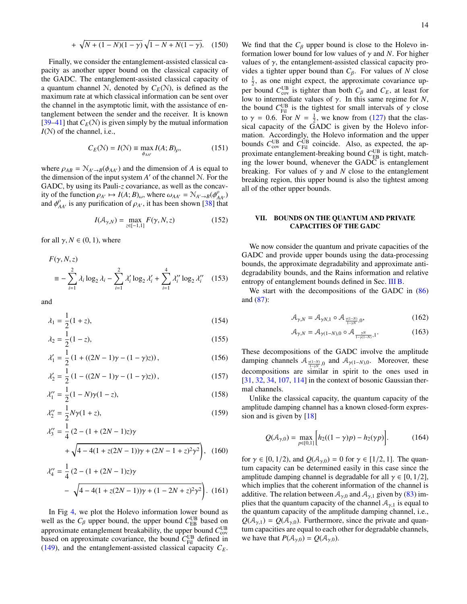+ 
$$
\sqrt{N + (1 - N)(1 - \gamma)} \sqrt{1 - N + N(1 - \gamma)}
$$
. (150)

Finally, we consider the entanglement-assisted classical capacity as another upper bound on the classical capacity of the GADC. The entanglement-assisted classical capacity of a quantum channel N, denoted by  $C_E(\mathcal{N})$ , is defined as the maximum rate at which classical information can be sent over the channel in the asymptotic limit, with the assistance of entanglement between the sender and the receiver. It is known [\[39](#page-30-28)[–41\]](#page-31-0) that  $C_F(\mathcal{N})$  is given simply by the mutual information *I*(N) of the channel, i.e.,

$$
C_E(\mathcal{N}) = I(\mathcal{N}) \equiv \max_{\phi_{AA'}} I(A; B)_{\rho}, \tag{151}
$$

where  $\rho_{AB} = \mathcal{N}_{A'\rightarrow B}(\phi_{AA'})$  and the dimension of *A* is equal to the dimension of the input system  $A'$  of the channel  $N$ . For the GADC, by using its Pauli-*z* covariance, as well as the concavity of the function  $\rho_{A'} \mapsto I(A; B)_{\omega}$ , where  $\omega_{AA'} = \mathcal{N}_{A'\to B}(\phi_{AA'}^{\rho})$ and  $\phi_{AA'}^{\rho}$  is any purification of  $\rho_{A'}$ , it has been shown [\[38\]](#page-30-27) that

<span id="page-14-0"></span>
$$
I(A_{\gamma,N}) = \max_{z \in [-1,1]} F(\gamma, N, z)
$$
 (152)

for all  $\gamma$ ,  $N \in (0, 1)$ , where

$$
F(\gamma, N, z)
$$
  
=  $-\sum_{i=1}^{2} \lambda_i \log_2 \lambda_i - \sum_{i=1}^{2} \lambda'_i \log_2 \lambda'_i + \sum_{i=1}^{4} \lambda''_i \log_2 \lambda''_i$  (153)

and

$$
\lambda_1 = \frac{1}{2}(1+z),\tag{154}
$$

$$
\lambda_2 = \frac{1}{2}(1 - z),\tag{155}
$$

$$
\lambda_1' = \frac{1}{2} \left( 1 + ((2N - 1)\gamma - (1 - \gamma)z) \right),\tag{156}
$$

$$
\lambda_2' = \frac{1}{2} \left( 1 - ((2N - 1)\gamma - (1 - \gamma)z) \right),\tag{157}
$$

$$
\lambda_1'' = \frac{1}{2}(1 - N)\gamma(1 - z),\tag{158}
$$

$$
\lambda_2'' = \frac{1}{2} N \gamma (1 + z),\tag{159}
$$

$$
\lambda_3'' = \frac{1}{4} \left( 2 - (1 + (2N - 1)z) \gamma + \sqrt{4 - 4(1 + z(2N - 1))\gamma + (2N - 1 + z)^2 \gamma^2} \right), \quad (160)
$$

$$
\lambda_4'' = \frac{1}{4} (2 - (1 + (2N - 1)z)\gamma
$$

$$
- \sqrt{4 - 4(1 + z(2N - 1))\gamma + (1 - 2N + z)^2 \gamma^2}.
$$
 (161)

In Fig [4,](#page-13-7) we plot the Holevo information lower bound as well as the  $C_\beta$  upper bound, the upper bound  $C_{\text{EB}}^{\text{UB}}$  based on approximate entanglement breakability, the upper bound  $C_{\text{cov}}^{\text{UB}}$ based on approximate covariance, the bound  $C_{\text{Fil}}^{\text{UB}}$  defined in [\(149\)](#page-13-1), and the entanglement-assisted classical capacity  $C_E$ .

We find that the  $C_\beta$  upper bound is close to the Holevo information lower bound for low values of  $\gamma$  and *N*. For higher values of  $\gamma$ , the entanglement-assisted classical capacity provides a tighter upper bound than  $C_\beta$ . For values of *N* close to  $\frac{1}{2}$ , as one might expect, the approximate covariance upper bound  $C_{\text{cov}}^{\text{UB}}$  is tighter than both  $C_{\beta}$  and  $C_{E}$ , at least for low to intermediate values of γ. In this same regime for *N*, the bound  $C_{\text{Fil}}^{\text{UB}}$  is the tightest for small intervals of  $\gamma$  close to  $\gamma = 0.6$ . For  $N = \frac{1}{2}$ , we know from [\(127\)](#page-12-6) that the classical capacity of the GADC is given by the Holevo information. Accordingly, the Holevo information and the upper bounds  $C_{\text{cov}}^{\text{UB}}$  and  $C_{\text{Fil}}^{\text{UB}}$  coincide. Also, as expected, the approximate entanglement-breaking bound  $C_{\text{EB}}^{\text{UB}}$  is tight, matching the lower bound, whenever the GADC is entanglement breaking. For values of  $\gamma$  and *N* close to the entanglement breaking region, this upper bound is also the tightest among all of the other upper bounds.

# <span id="page-14-1"></span>VII. BOUNDS ON THE QUANTUM AND PRIVATE CAPACITIES OF THE GADC

We now consider the quantum and private capacities of the GADC and provide upper bounds using the data-processing bounds, the approximate degradability and approximate antidegradability bounds, and the Rains information and relative entropy of entanglement bounds defined in Sec. [III B.](#page-5-5)

We start with the decompositions of the GADC in  $(86)$ and [\(87\)](#page-9-6):

<span id="page-14-3"></span><span id="page-14-2"></span>
$$
\mathcal{A}_{\gamma,N} = \mathcal{A}_{\gamma N,1} \circ \mathcal{A}_{\frac{\gamma(1-N)}{1-\gamma N},0},\tag{162}
$$

$$
\mathcal{A}_{\gamma,N} = \mathcal{A}_{\gamma(1-N),0} \circ \mathcal{A}_{\frac{\gamma N}{1-\gamma(1-N)},1}.
$$
 (163)

These decompositions of the GADC involve the amplitude damping channels  $A_{\frac{\gamma(1-N)}{1-\gamma N},0}$  and  $A_{\gamma(1-N),0}$ . Moreover, these  $\frac{1-\gamma N}{N}$  decompositions are similar in spirit to the ones used in [\[31,](#page-30-21) [32,](#page-30-22) [34,](#page-30-24) [107,](#page-32-27) [114\]](#page-32-34) in the context of bosonic Gaussian thermal channels.

Unlike the classical capacity, the quantum capacity of the amplitude damping channel has a known closed-form expression and is given by  $[18]$ 

<span id="page-14-4"></span>
$$
Q(\mathcal{A}_{\gamma,0}) = \max_{p \in [0,1]} \left[ h_2((1-\gamma)p) - h_2(\gamma p) \right].
$$
 (164)

for  $\gamma \in [0, 1/2)$ , and  $Q(\mathcal{A}_{\gamma,0}) = 0$  for  $\gamma \in [1/2, 1]$ . The quantum capacity can be determined easily in this case since the amplitude damping channel is degradable for all  $\gamma \in [0, 1/2]$ , which implies that the coherent information of the channel is additive. The relation between  $A_{\gamma,0}$  and  $A_{\gamma,1}$  given by [\(83\)](#page-9-10) implies that the quantum capacity of the channel  $A_{\gamma,1}$  is equal to the quantum capacity of the amplitude damping channel, i.e.,  $Q(\mathcal{A}_{\gamma,1}) = Q(\mathcal{A}_{\gamma,0})$ . Furthermore, since the private and quantum capacities are equal to each other for degradable channels, we have that  $P(A_{\gamma,0}) = Q(A_{\gamma,0}).$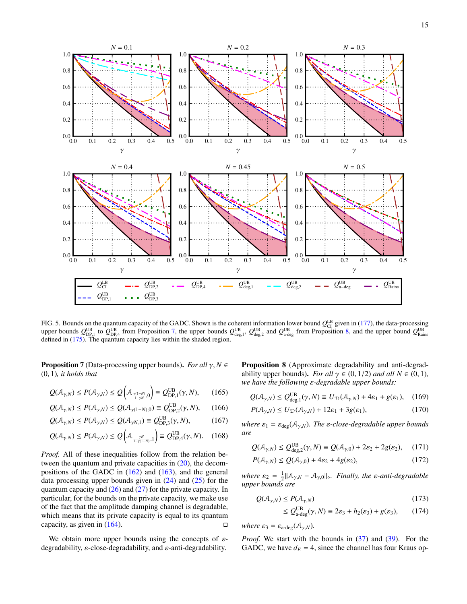

<span id="page-15-9"></span>FIG. 5. Bounds on the quantum capacity of the GADC. Shown is the coherent information lower bound  $Q_{CI}^{LB}$  given in [\(177\)](#page-16-0), the data-processing upper bounds  $Q_{\text{DP},1}^{\text{UB}}$  to  $Q_{\text{DP},4}^{\text{UB}}$  from Proposition [7,](#page-15-5) the upper bounds  $Q_{\text{deg},1}^{\text{UB}}, Q_{\text{deg},2}^{\text{UB}}$  and  $Q_{\text{a-deg}}^{\text{UB}}$  from Proposition [8,](#page-15-6) and the upper bound  $Q_{\text{Rains}}^{\text{UB}}$ <br>defined in [\(175\)](#page-16-1). Th

<span id="page-15-5"></span>**Proposition 7** (Data-processing upper bounds). *For all*  $\gamma$ ,  $N \in$ (0, 1)*, it holds that*

$$
Q(\mathcal{A}_{\gamma,N}) \le P(\mathcal{A}_{\gamma,N}) \le Q\left(\mathcal{A}_{\frac{\gamma(1-N)}{1-\gamma N},0}\right) \equiv Q_{\text{DP},1}^{\text{UB}}(\gamma,N),\qquad(165)
$$

$$
Q(\mathcal{A}_{\gamma,N}) \le P(\mathcal{A}_{\gamma,N}) \le Q(\mathcal{A}_{\gamma(1-N),0}) \equiv Q_{\text{DP},2}^{\text{UB}}(\gamma,N),\qquad(166)
$$

$$
Q(\mathcal{A}_{\gamma,N}) \le P(\mathcal{A}_{\gamma,N}) \le Q(\mathcal{A}_{\gamma N,1}) \equiv Q_{\text{DP},3}^{\text{UB}}(\gamma,N),\tag{167}
$$

$$
Q(\mathcal{A}_{\gamma,N}) \le P(\mathcal{A}_{\gamma,N}) \le Q\left(\mathcal{A}_{\frac{\gamma N}{1-\gamma(1-N)},1}\right) \equiv Q_{\text{DP},4}^{\text{UB}}(\gamma,N). \quad (168)
$$

*Proof.* All of these inequalities follow from the relation between the quantum and private capacities in [\(20\)](#page-5-6), the decompositions of the GADC in  $(162)$  and  $(163)$ , and the general data processing upper bounds given in  $(24)$  and  $(25)$  for the quantum capacity and  $(26)$  and  $(27)$  for the private capacity. In particular, for the bounds on the private capacity, we make use of the fact that the amplitude damping channel is degradable, which means that its private capacity is equal to its quantum capacity, as given in  $(164)$ .

We obtain more upper bounds using the concepts of  $\varepsilon$ degradability,  $\varepsilon$ -close-degradability, and  $\varepsilon$ -anti-degradability.

<span id="page-15-6"></span><span id="page-15-0"></span>Proposition 8 (Approximate degradability and anti-degradability upper bounds). *For all*  $\gamma \in (0, 1/2)$  *and all*  $N \in (0, 1)$ *, we have the following* ε*-degradable upper bounds:*

<span id="page-15-2"></span>
$$
Q(\mathcal{A}_{\gamma,N}) \le Q_{\text{deg},1}^{\text{UB}}(\gamma, N) \equiv U_{\mathcal{D}}(\mathcal{A}_{\gamma,N}) + 4\varepsilon_1 + g(\varepsilon_1), \quad (169)
$$

<span id="page-15-7"></span>
$$
P(\mathcal{A}_{\gamma,N}) \le U_{\mathcal{D}}(\mathcal{A}_{\gamma,N}) + 12\varepsilon_1 + 3g(\varepsilon_1),\tag{170}
$$

<span id="page-15-10"></span><span id="page-15-1"></span>*where*  $\varepsilon_1 = \varepsilon_{\text{deg}}(\mathcal{A}_{\gamma,N})$ *. The*  $\varepsilon$ *-close-degradable upper bounds are*

$$
Q(\mathcal{A}_{\gamma,N}) \le Q_{\text{deg},2}^{\text{UB}}(\gamma, N) \equiv Q(\mathcal{A}_{\gamma,0}) + 2\varepsilon_2 + 2g(\varepsilon_2), \quad (171)
$$

$$
P(\mathcal{A}_{\gamma,N}) \le Q(\mathcal{A}_{\gamma,0}) + 4\varepsilon_2 + 4g(\varepsilon_2),\tag{172}
$$

*where*  $\varepsilon_2 = \frac{1}{2} ||A_{\gamma,N} - A_{\gamma,0}||_{\diamond}$ *. Finally, the*  $\varepsilon$ *-anti-degradable upper bounds are*

$$
Q(\mathcal{A}_{\gamma,N}) \le P(\mathcal{A}_{\gamma,N})
$$
\n(173)

<span id="page-15-8"></span><span id="page-15-4"></span><span id="page-15-3"></span>
$$
\leq Q_{\text{a-deg}}^{\text{UB}}(\gamma, N) \equiv 2\varepsilon_3 + h_2(\varepsilon_3) + g(\varepsilon_3), \qquad (174)
$$

*where*  $\varepsilon_3 = \varepsilon_{\text{a-deg}}(\mathcal{A}_{\gamma,N}).$ 

*Proof.* We start with the bounds in [\(37\)](#page-6-3) and [\(39\)](#page-6-4). For the GADC, we have  $d_E = 4$ , since the channel has four Kraus op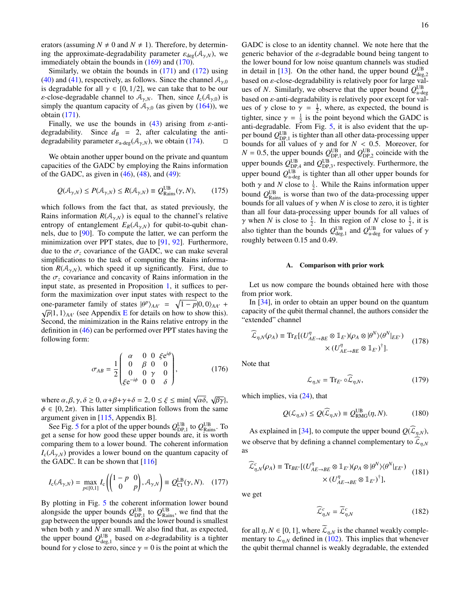erators (assuming  $N \neq 0$  and  $N \neq 1$ ). Therefore, by determining the approximate-degradability parameter  $\varepsilon_{\text{deg}}(\mathcal{A}_{\gamma,N})$ , we immediately obtain the bounds in [\(169\)](#page-15-2) and [\(170\)](#page-15-7).

Similarly, we obtain the bounds in  $(171)$  and  $(172)$  using [\(40\)](#page-6-5) and [\(41\)](#page-6-6), respectively, as follows. Since the channel  $A_{\gamma,0}$ is degradable for all  $\gamma \in [0, 1/2]$ , we can take that to be our *ε*-close-degradable channel to  $A_{\gamma,N}$ . Then, since  $I_c(A_{\gamma,0})$  is simply the quantum capacity of  $A_{\gamma,0}$  (as given by [\(164\)](#page-14-4)), we obtain [\(171\)](#page-15-3).

Finally, we use the bounds in [\(43\)](#page-6-7) arising from  $\varepsilon$ -antidegradability. Since  $d_B = 2$ , after calculating the antidegradability parameter  $\varepsilon_{a\text{-deg}}(\mathcal{A}_{\gamma,N})$ , we obtain [\(174\)](#page-15-4).

We obtain another upper bound on the private and quantum capacities of the GADC by employing the Rains information of the GADC, as given in  $(46)$ ,  $(48)$ , and  $(49)$ :

<span id="page-16-1"></span>
$$
Q(\mathcal{A}_{\gamma,N}) \le P(\mathcal{A}_{\gamma,N}) \le R(\mathcal{A}_{\gamma,N}) \equiv Q_{\text{Rains}}^{\text{UB}}(\gamma, N), \qquad (175)
$$

which follows from the fact that, as stated previously, the Rains information  $R(A_{\gamma,N})$  is equal to the channel's relative entropy of entanglement  $E_R(\mathcal{A}_{\gamma,N})$  for qubit-to-qubit channels, due to [\[90\]](#page-32-10). To compute the latter, we can perform the minimization over PPT states, due to [\[91,](#page-32-11) [92\]](#page-32-12). Furthermore, due to the  $\sigma_z$  covariance of the GADC, we can make several simplifications to the task of computing the Rains information  $R(A_{\gamma,N})$ , which speed it up significantly. First, due to the  $\sigma_z$  covariance and concavity of Rains information in the input state, as presented in Proposition [1,](#page-7-0) it suffices to perform the maximization over input states with respect to the one-parameter family of states  $|\theta^p\rangle_{AA'} = \sqrt{1-p}|0,0\rangle_{AA'} +$  $\sqrt{p}$ |1, 1)<sub>*AA'*</sub> (see Appendix [E](#page-26-0) for details on how to show this). Second, the minimization in the Rains relative entropy in the definition in [\(46\)](#page-6-0) can be performed over PPT states having the following form:

$$
\sigma_{AB} = \frac{1}{2} \begin{pmatrix} \alpha & 0 & 0 & \xi e^{i\phi} \\ 0 & \beta & 0 & 0 \\ 0 & 0 & \gamma & 0 \\ \xi e^{-i\phi} & 0 & 0 & \delta \end{pmatrix}, \tag{176}
$$

where  $\alpha, \beta, \gamma, \delta \ge 0$ ,  $\alpha + \beta + \gamma + \delta = 2$ ,  $0 \le \xi \le \min\{\sqrt{\alpha\delta}, \sqrt{\beta\gamma}\}\$ ,  $\phi \in [0, 2\pi)$ . This latter simplification follows from the same argument given in [\[115,](#page-32-35) Appendix B].

See Fig. [5](#page-15-9) for a plot of the upper bounds  $Q_{\text{DP},1}^{\text{UB}}$  to  $Q_{\text{Rains}}^{\text{UB}}$ . To get a sense for how good these upper bounds are, it is worth comparing them to a lower bound. The coherent information  $I_c(\mathcal{A}_{\gamma,N})$  provides a lower bound on the quantum capacity of the GADC. It can be shown that [\[116\]](#page-33-0)

<span id="page-16-0"></span>
$$
I_{\mathrm{c}}(\mathcal{A}_{\gamma,N}) = \max_{p \in [0,1]} I_{\mathrm{c}}\left(\begin{pmatrix} 1-p & 0\\ 0 & p \end{pmatrix}, \mathcal{A}_{\gamma,N}\right) \equiv Q_{\mathrm{CI}}^{\mathrm{LB}}(\gamma, N). \quad (177)
$$

By plotting in Fig. [5](#page-15-9) the coherent information lower bound alongside the upper bounds  $Q_{\text{DP},1}^{\text{UB}}$  to  $Q_{\text{Rains}}^{\text{UB}}$ , we find that the gap between the upper bounds and the lower bound is smallest when both  $\gamma$  and  $N$  are small. We also find that, as expected, the upper bound  $Q_{\text{deg},1}^{\text{UB}}$  based on *ε*-degradability is a tighter bound for  $\gamma$  close to zero, since  $\gamma = 0$  is the point at which the GADC is close to an identity channel. We note here that the generic behavior of the  $\varepsilon$ -degradable bound being tangent to the lower bound for low noise quantum channels was studied in detail in [\[13\]](#page-30-29). On the other hand, the upper bound  $Q^{\text{UB}}_{\text{deg},2}$ based on ε-close-degradability is relatively poor for large values of *N*. Similarly, we observe that the upper bound  $Q_{\text{a-deg}}^{\text{UB}}$ based on  $\varepsilon$ -anti-degradability is relatively poor except for values of  $\gamma$  close to  $\gamma = \frac{1}{2}$ , where, as expected, the bound is tighter, since  $\gamma = \frac{1}{2}$  is the point beyond which the GADC is anti-degradable. From Fig. [5,](#page-15-9) it is also evident that the upper bound  $Q_{\text{DP 1}}^{\text{UB}}$  is tighter than all other data-processing upper bounds for all values of  $\gamma$  and for  $N < 0.5$ . Moreover, for  $N = 0.5$ , the upper bounds  $Q_{\text{DP},1}^{\text{UB}}$  and  $Q_{\text{DP},2}^{\text{UB}}$  coincide with the upper bounds  $Q_{\text{DP},4}^{\text{UB}}$  and  $Q_{\text{DP},3}^{\text{UB}}$ , respectively. Furthermore, the upper bound  $Q_{\text{a-deg}}^{\text{UB}}$  is tighter than all other upper bounds for both  $\gamma$  and *N* close to  $\frac{1}{2}$ . While the Rains information upper bound  $Q_{\text{Rains}}^{\text{UB}}$  is worse than two of the data-processing upper bounds for all values of  $\gamma$  when *N* is close to zero, it is tighter than all four data-processing upper bounds for all values of  $\gamma$  when *N* is close to  $\frac{1}{2}$ . In this region of *N* close to  $\frac{1}{2}$ , it is also tighter than the bounds  $Q_{\text{deg},1}^{\text{UB}}$  and  $Q_{\text{a-deg}}^{\text{UB}}$  for values of  $\gamma$ roughly between 0.15 and 0.49.

#### A. Comparison with prior work

Let us now compare the bounds obtained here with those from prior work.

In [\[34\]](#page-30-24), in order to obtain an upper bound on the quantum capacity of the qubit thermal channel, the authors consider the "extended" channel

$$
\widehat{\mathcal{L}}_{\eta,N}(\rho_A) \equiv \text{Tr}_E \left[ (U_{AE \to BE}^{\eta} \otimes \mathbb{1}_{E'}) (\rho_A \otimes |\theta^N \rangle \langle \theta^N|_{EE'}) \right] \times (U_{AE \to BE}^{\eta} \otimes \mathbb{1}_{E'})^{\dagger} \right].
$$
\n(178)

Note that

<span id="page-16-3"></span>
$$
\mathcal{L}_{\eta,N} = \text{Tr}_{E'} \circ \widehat{\mathcal{L}}_{\eta,N},\tag{179}
$$

which implies, via [\(24\)](#page-5-7), that

<span id="page-16-2"></span>
$$
Q(\mathcal{L}_{\eta,N}) \le Q(\widehat{\mathcal{L}}_{\eta,N}) \equiv Q_{\text{RMG}}^{\text{UB}}(\eta,N). \tag{180}
$$

As explained in [\[34\]](#page-30-24), to compute the upper bound  $Q(\mathcal{L}_{\eta,N})$ , we observe that by defining a channel complementary to  $\mathcal{L}_{n,N}$ as

$$
\widehat{\mathcal{L}}_{\eta,N}^c(\rho_A) \equiv \text{Tr}_{BE'}[(U_{AE \to BE}^{\eta} \otimes \mathbb{1}_{E'})(\rho_A \otimes |\theta^N\rangle\langle\theta^N|_{EE'}) \quad (181)
$$
\n
$$
\times (U_{AE \to BE}^{\eta} \otimes \mathbb{1}_{E'})^{\dagger}],
$$

we get

$$
\widehat{\mathcal{L}}_{\eta,N}^c = \widetilde{\mathcal{L}}_{\eta,N}^c \tag{182}
$$

for all  $\eta$ ,  $N \in [0, 1]$ , where  $\mathcal{L}_{\eta, N}$  is the channel weakly complementary to  $\mathcal{L}_{n,N}$  defined in [\(102\)](#page-10-7). This implies that whenever the qubit thermal channel is weakly degradable, the extended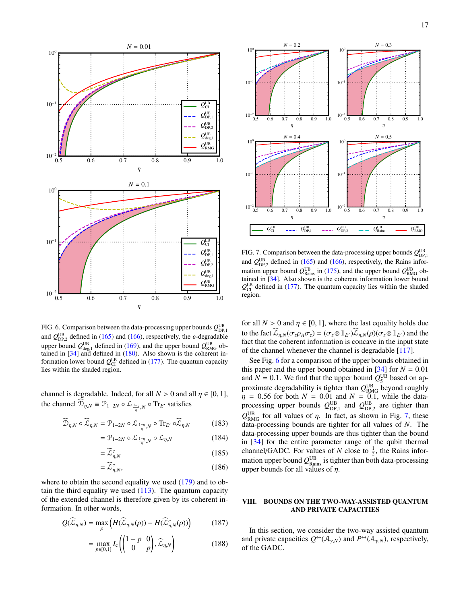

<span id="page-17-1"></span>FIG. 6. Comparison between the data-processing upper bounds  $Q_{\text{DP},1}^{\text{UB}}$ and  $Q_{\text{DP},2}^{\text{UB}}$  defined in [\(165\)](#page-15-0) and [\(166\)](#page-15-10), respectively, the *ε*-degradable upper bound  $Q_{\text{deg},1}^{\text{UB}}$  defined in [\(169\)](#page-15-2), and the upper bound  $Q_{\text{RMG}}^{\text{UB}}$  obtained in [\[34\]](#page-30-24) and defined in [\(180\)](#page-16-2). Also shown is the coherent information lower bound  $Q_{\text{CI}}^{\text{LB}}$  defined in [\(177\)](#page-16-0). The quantum capacity lies within the shaded region.

channel is degradable. Indeed, for all  $N > 0$  and all  $\eta \in [0, 1]$ , the channel  $\mathcal{D}_{\eta,N} \equiv \mathcal{P}_{1-2N} \circ \mathcal{L}_{\frac{1-\eta}{\eta},N} \circ \text{Tr}_{E'}$  satisfies

$$
\widehat{\mathcal{D}}_{\eta,N} \circ \widehat{\mathcal{L}}_{\eta,N} = \mathcal{P}_{1-2N} \circ \mathcal{L}_{\frac{1-\eta}{\eta},N} \circ \mathrm{Tr}_{E'} \circ \widehat{\mathcal{L}}_{\eta,N} \tag{183}
$$

$$
= \mathcal{P}_{1-2N} \circ \mathcal{L}_{\frac{1-\eta}{\eta},N} \circ \mathcal{L}_{\eta,N} \tag{184}
$$

$$
=\widetilde{\mathcal{L}}_{\eta,N}^c\tag{185}
$$

$$
=\widehat{\mathcal{L}}_{\eta,N}^c,\tag{186}
$$

where to obtain the second equality we used [\(179\)](#page-16-3) and to obtain the third equality we used  $(113)$ . The quantum capacity of the extended channel is therefore given by its coherent information. In other words,

$$
Q(\widehat{\mathcal{L}}_{\eta,N}) = \max_{\rho} \left( H(\widehat{\mathcal{L}}_{\eta,N}(\rho)) - H(\widehat{\mathcal{L}}_{\eta,N}^c(\rho)) \right) \tag{187}
$$

$$
= \max_{p \in [0,1]} I_c \left( \begin{pmatrix} 1-p & 0 \\ 0 & p \end{pmatrix}, \widehat{\mathcal{L}}_{\eta,N} \right) \tag{188}
$$



<span id="page-17-2"></span>FIG. 7. Comparison between the data-processing upper bounds  $Q_{\text{DP},1}^{\text{UB}}$ and  $Q_{\text{DP},2}^{\text{UB}}$  defined in [\(165\)](#page-15-0) and [\(166\)](#page-15-10), respectively, the Rains information upper bound  $Q_{\text{Rains}}^{\text{UB}}$  in [\(175\)](#page-16-1), and the upper bound  $Q_{\text{RMG}}^{\text{UB}}$  obtained in [\[34\]](#page-30-24). Also shown is the coherent information lower bound  $Q_{\text{CI}}^{\text{LB}}$  defined in [\(177\)](#page-16-0). The quantum capacity lies within the shaded region.

for all  $N > 0$  and  $\eta \in [0, 1]$ , where the last equality holds due to the fact  $\mathcal{L}_{\eta,N}(\sigma_z \rho_A \sigma_z) = (\sigma_z \otimes \mathbb{1}_{E'}) \mathcal{L}_{\eta,N}(\rho) (\sigma_z \otimes \mathbb{1}_{E'})$  and the fact that the coherent information is concave in the input state of the channel whenever the channel is degradable [\[117\]](#page-33-1).

See Fig. [6](#page-17-1) for a comparison of the upper bounds obtained in this paper and the upper bound obtained in  $[34]$  for  $N = 0.01$ and  $N = 0.1$ . We find that the upper bound  $Q_5^{\text{UB}}$  based on approximate degradability is tighter than  $Q_{\rm RMG}^{\rm UB}$  beyond roughly  $\eta = 0.56$  for both  $N = 0.01$  and  $N = 0.1$ , while the dataprocessing upper bounds  $Q_{\text{DP},1}^{\text{UB}}$  and  $Q_{\text{DP},2}^{\text{UB}}$  are tighter than  $Q_{\text{RMG}}^{\text{UB}}$  for all values of  $\eta$ . In fact, as shown in Fig. [7,](#page-17-2) these data-processing bounds are tighter for all values of *N*. The data-processing upper bounds are thus tighter than the bound in [\[34\]](#page-30-24) for the entire parameter range of the qubit thermal channel/GADC. For values of *N* close to  $\frac{1}{2}$ , the Rains information upper bound  $Q_{\text{Rains}}^{\text{UB}}$  is tighter than both data-processing upper bounds for all values of  $\eta$ .

# <span id="page-17-0"></span>VIII. BOUNDS ON THE TWO-WAY-ASSISTED QUANTUM AND PRIVATE CAPACITIES

In this section, we consider the two-way assisted quantum and private capacities  $Q^{\leftrightarrow}(\mathcal{A}_{\gamma,N})$  and  $P^{\leftrightarrow}(\mathcal{A}_{\gamma,N})$ , respectively, of the GADC.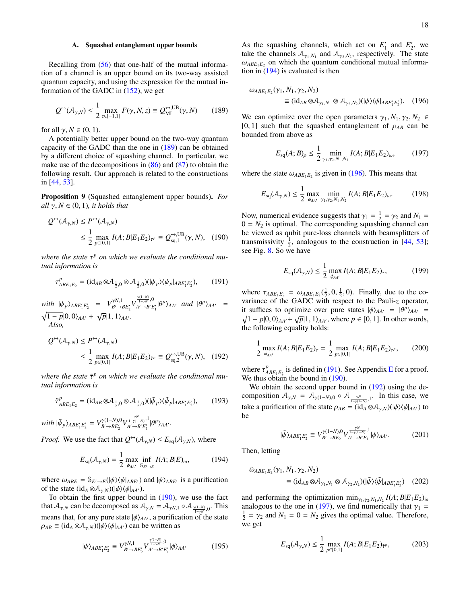# A. Squashed entanglement upper bounds

Recalling from [\(56\)](#page-7-5) that one-half of the mutual information of a channel is an upper bound on its two-way assisted quantum capacity, and using the expression for the mutual information of the GADC in [\(152\)](#page-14-0), we get

<span id="page-18-0"></span>
$$
Q^{\leftrightarrow}(\mathcal{A}_{\gamma,N}) \le \frac{1}{2} \max_{z \in [-1,1]} F(\gamma, N, z) \equiv Q_{\text{MI}}^{\leftrightarrow,\text{UB}}(\gamma, N) \tag{189}
$$

for all  $\gamma$ ,  $N \in (0, 1)$ .

A potentially better upper bound on the two-way quantum capacity of the GADC than the one in [\(189\)](#page-18-0) can be obtained by a different choice of squashing channel. In particular, we make use of the decompositions in  $(86)$  and  $(87)$  to obtain the following result. Our approach is related to the constructions in [\[44,](#page-31-2) [53\]](#page-31-18).

<span id="page-18-7"></span>Proposition 9 (Squashed entanglement upper bounds). *For all*  $\gamma$ ,  $N \in (0, 1)$ *, it holds that* 

$$
Q^{\leftrightarrow}(\mathcal{A}_{\gamma,N}) \le P^{\leftrightarrow}(\mathcal{A}_{\gamma,N})
$$
  
\$\le \frac{1}{2} \max\_{p \in [0,1]} I(A;B|E\_1E\_2)\_{\tau^p} \equiv Q^{\leftrightarrow, \text{UB}}\_{\text{sq},1}(\gamma,N), \quad (190)\$

*where the state* τ *<sup>p</sup> on which we evaluate the conditional mutual information is*

<span id="page-18-5"></span>
$$
\tau_{ABE_1E_2}^p = (\mathrm{id}_{AB} \otimes \mathcal{A}_{\frac{1}{2},0} \otimes \mathcal{A}_{\frac{1}{2},0})(|\psi_p\rangle\langle\psi_p|_{ABE_1'E_2'}),\tag{191}
$$

 $with \psi_p\rangle_{ABE'_1E'_2} = V_{B'\to B}^{\gamma N,1}$  $\gamma N, 1 \ B' \rightarrow BE'_{2}$   $V_{A' \rightarrow B'E}^{\frac{\gamma(1-N)}{1-\gamma N},0}$  $\int_{A' \to B'E_1'}^{\overline{1 \to N}},0} |\theta^p\rangle_{AA'}$  *and*  $|\theta^p\rangle_{AA'}$  =  $\sqrt{1-p}|0,0\rangle_{AA'} + \sqrt{p}|1,1\rangle_{AA'}.$ *Also,*

$$
Q^{\leftrightarrow}(\mathcal{A}_{\gamma,N}) \le P^{\leftrightarrow}(\mathcal{A}_{\gamma,N})
$$
  
\$\le \frac{1}{2} \max\_{p \in [0,1]} I(A; B | E\_1 E\_2)\_{\tilde{\tau}^p} \equiv Q^{\leftrightarrow, \text{UB}}\_{\text{sq},2}(\gamma, N), (192)\$

*where the state*  $\tilde{\tau}^p$  *on which we evaluate the conditional mutual information is*

$$
\tilde{\tau}_{ABE_1E_2}^p = (\mathrm{id}_{AB} \otimes A_{\frac{1}{2},0} \otimes A_{\frac{1}{2},0}) (\vert \tilde{\psi}_p \rangle \langle \tilde{\psi}_p \vert_{ABE_1'E_2'}, \qquad (193)
$$

with 
$$
|\tilde{\psi}_P\rangle_{ABE'_1E'_2} = V^{\gamma(1-N),0}_{B'\to BE'_2}V^{\frac{\gamma N}{1-\gamma(1-N)},1}_{A'\to B'E'_1}|\theta^P\rangle_{AA'}.
$$

*Proof.* We use the fact that  $Q^{\leftrightarrow}(\mathcal{A}_{\gamma,N}) \leq E_{sq}(\mathcal{A}_{\gamma,N})$ , where

<span id="page-18-3"></span>
$$
E_{\text{sq}}(\mathcal{A}_{\gamma,N}) = \frac{1}{2} \max_{\phi_{AA'}} \inf_{\mathcal{S}_{E'\to E}} I(A;B|E)_{\omega},\tag{194}
$$

where  $\omega_{ABE} = \mathcal{S}_{E'\to E}(|\psi\rangle\langle\psi|_{ABE'})$  and  $|\psi\rangle_{ABE'}$  is a purification of the state  $(id_A \otimes A_{\gamma,N})(|\phi\rangle\langle\phi|_{AA'})$ .

To obtain the first upper bound in  $(190)$ , we use the fact that  $A_{\gamma,N}$  can be decomposed as  $A_{\gamma,N} = A_{\gamma N,1} \circ A_{\frac{\gamma(1-N)}{1-\gamma N},0}$ . This means that, for any pure state  $|\phi\rangle_{AA'}$ , a purification of the state  $\rho_{AB} \equiv (\mathrm{id}_A \otimes A_{\gamma,N})(|\phi\rangle\langle\phi|_{AA'})$  can be written as

$$
|\psi\rangle_{ABE'_1E'_2} \equiv V^{\gamma N,1}_{B'\to BE'_2} V^{\frac{\gamma(1-N)}{1-\gamma N},0}_{A'\to BE'_1} |\phi\rangle_{AA'}
$$
 (195)

As the squashing channels, which act on  $E'_1$  and  $E'_2$ , we take the channels  $A_{\gamma_1, N_1}$  and  $A_{\gamma_2, N_2}$ , respectively. The state  $\omega_{ABE_1E_2}$  on which the quantum conditional mutual information in  $(194)$  is evaluated is then

$$
\omega_{ABE_1E_2}(\gamma_1, N_1, \gamma_2, N_2)
$$
  
\n
$$
\equiv (\mathrm{id}_{AB} \otimes \mathcal{A}_{\gamma_1, N_1} \otimes \mathcal{A}_{\gamma_2, N_2})(|\psi\rangle\langle\psi|_{ABE_1'E_2'}).
$$
 (196)

We can optimize over the open parameters  $\gamma_1$ ,  $N_1$ ,  $\gamma_2$ ,  $N_2 \in$  $[0, 1]$  such that the squashed entanglement of  $\rho_{AB}$  can be bounded from above as

<span id="page-18-6"></span><span id="page-18-4"></span>
$$
E_{\text{sq}}(A;B)_{\rho} \le \frac{1}{2} \min_{\gamma_1, \gamma_2, N_1, N_1} I(A;B|E_1E_2)_{\omega}, \qquad (197)
$$

where the state  $\omega_{ABE_1E_2}$  is given in [\(196\)](#page-18-4). This means that

$$
E_{\text{sq}}(\mathcal{A}_{\gamma,N}) \le \frac{1}{2} \max_{\phi_{AA'}} \min_{\gamma_1, \gamma_2, N_1, N_2} I(A; B | E_1 E_2)_{\omega}.
$$
 (198)

<span id="page-18-1"></span>Now, numerical evidence suggests that  $\gamma_1 = \frac{1}{2} = \gamma_2$  and  $N_1 =$  $0 = N_2$  is optimal. The corresponding squashing channel can be viewed as qubit pure-loss channels with beamsplitters of transmissivity  $\frac{1}{2}$ , analogous to the construction in [\[44,](#page-31-2) [53\]](#page-31-18); see Fig. [8.](#page-19-4) So we have

$$
E_{\text{sq}}(\mathcal{A}_{\gamma,N}) \le \frac{1}{2} \max_{\phi_{AA'}} I(A; B | E_1 E_2)_{\tau},
$$
 (199)

where  $\tau_{ABE_1E_2} = \omega_{ABE_1E_2}(\frac{1}{2}, 0, \frac{1}{2}, 0)$ . Finally, due to the covariance of the GADC with respect to the Pauli-*z* operator, it suffices to optimize over pure states  $|\phi\rangle_{AA'} = |\theta^p\rangle_{AA'} = \sqrt{1-p}|0,0\rangle_{AA'} + \sqrt{p}|1,1\rangle_{AA'}$ , where  $p \in [0,1]$ . In other words,  $\overline{1-p}|0,0\rangle_{AA'} + \sqrt{p}|1,1\rangle_{AA'}$ , where *p* ∈ [0, 1]. In other words, the following equality holds:

<span id="page-18-8"></span>
$$
\frac{1}{2} \max_{\phi_{AA'}} I(A; B | E_1 E_2)_{\tau} = \frac{1}{2} \max_{p \in [0,1]} I(A; B | E_1 E_2)_{\tau^p}, \quad (200)
$$

<span id="page-18-2"></span>where  $\tau_A^p$  $A_{BE_1E_2}^p$  $A_{BE_1E_2}^p$  $A_{BE_1E_2}^p$  is defined in [\(191\)](#page-18-5). See Appendix E for a proof. We thus obtain the bound in  $(190)$ .

We obtain the second upper bound in  $(192)$  using the decomposition  $A_{\gamma,N} = A_{\gamma(1-N),0} \circ A_{\frac{\gamma N}{1-\gamma(1-N)},1}$ . In this case, we take a purification of the state  $\rho_{AB} = (id_A \otimes A_{\gamma,N})(|\phi\rangle\langle\phi|_{AA})$  to be

$$
|\tilde{\psi}\rangle_{ABE_1'E_2'} \equiv V_{B'\to BE_2}^{\gamma(1-N),0} V_{A'\to B'E_1}^{\frac{\gamma N}{1-\gamma(1-N)},1} |\phi\rangle_{AA'}.
$$
 (201)

Then, letting

$$
\tilde{\omega}_{ABE_1E_2}(\gamma_1, N_1, \gamma_2, N_2)
$$
\n
$$
\equiv (\mathrm{id}_{AB} \otimes A_{\gamma_1, N_1} \otimes A_{\gamma_2, N_2}) (\vert \tilde{\psi} \rangle \langle \tilde{\psi} \vert_{ABE_1'E_2'}) \quad (202)
$$

and performing the optimization  $\min_{\gamma_1, \gamma_2, N_1, N_2} I(A; B | E_1 E_2)_{\tilde{\omega}}$ analogous to the one in [\(197\)](#page-18-6), we find numerically that  $\gamma_1$  =  $\frac{1}{2} = \gamma_2$  and  $N_1 = 0 = N_2$  gives the optimal value. Therefore, we get

$$
E_{\text{sq}}(\mathcal{A}_{\gamma,N}) \le \frac{1}{2} \max_{p \in [0,1]} I(A;B|E_1E_2)_{\tilde{\tau}^p},\tag{203}
$$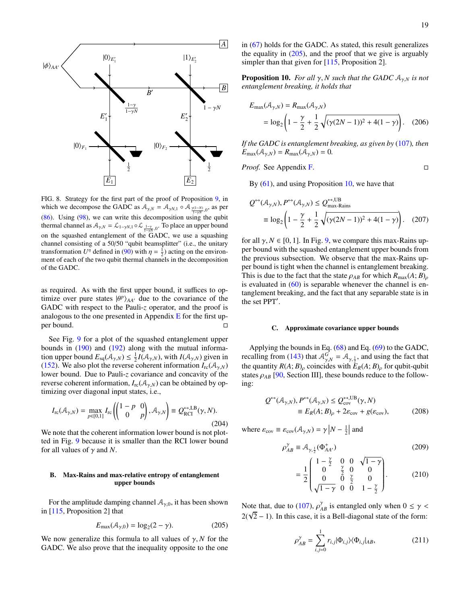

<span id="page-19-4"></span>FIG. 8. Strategy for the first part of the proof of Proposition [9,](#page-18-7) in which we decompose the GADC as  $A_{\gamma,N} = A_{\gamma N,1} \circ A_{\frac{\gamma(1-N)}{1-\gamma N},0}$ , as per [\(86\)](#page-9-5). Using [\(98\)](#page-10-6), we can write this decomposition using the qubit thermal channel as  $A_{\gamma,N} = \mathcal{L}_{1-\gamma N,1} \circ \mathcal{L}_{\frac{1-\gamma}{1-\gamma N},0}$ . To place an upper bound on the squashed entanglement of the GADC, we use a squashing channel consisting of a 50/50 "qubit beamsplitter" (i.e., the unitary transformation  $U^{\eta}$  defined in [\(90\)](#page-9-2) with  $\eta = \frac{1}{2}$ ) acting on the environment of each of the two qubit thermal channels in the decomposition of the GADC.

as required. As with the first upper bound, it suffices to optimize over pure states  $|\theta^p\rangle_{AA'}$  due to the covariance of the GADC with respect to the Pauli-*z* operator, and the proof is analogous to the one presented in Appendix  $E$  for the first upper bound.

See Fig. [9](#page-20-1) for a plot of the squashed entanglement upper bounds in  $(190)$  and  $(192)$  along with the mutual information upper bound  $E_{\text{sq}}(\mathcal{A}_{\gamma,N}) \leq \frac{1}{2}I(\mathcal{A}_{\gamma,N})$ , with  $I(\mathcal{A}_{\gamma,N})$  given in [\(152\)](#page-14-0). We also plot the reverse coherent information  $I_{rc}(\mathcal{A}_{\gamma,N})$ lower bound. Due to Pauli-*z* covariance and concavity of the reverse coherent information,  $I_{\text{rc}}(\mathcal{A}_{\gamma,N})$  can be obtained by optimizing over diagonal input states, i.e.,

<span id="page-19-0"></span>
$$
I_{\rm rc}(\mathcal{A}_{\gamma,N}) = \max_{p \in [0,1]} I_{\rm rc}\left(\begin{pmatrix}1-p & 0\\ 0 & p\end{pmatrix}, \mathcal{A}_{\gamma,N}\right) \equiv \mathcal{Q}_{\rm RCI}^{\leftrightarrow, \rm LB}(\gamma, N). \tag{204}
$$

We note that the coherent information lower bound is not plotted in Fig. [9](#page-20-1) because it is smaller than the RCI lower bound for all values of  $\gamma$  and *N*.

# B. Max-Rains and max-relative entropy of entanglement upper bounds

For the amplitude damping channel  $A_{\gamma,0}$ , it has been shown in [\[115,](#page-32-35) Proposition 2] that

<span id="page-19-5"></span>
$$
E_{\text{max}}(\mathcal{A}_{\gamma,0}) = \log_2(2-\gamma). \tag{205}
$$

We now generalize this formula to all values of  $\gamma$ , *N* for the GADC. We also prove that the inequality opposite to the one in [\(67\)](#page-8-4) holds for the GADC. As stated, this result generalizes the equality in  $(205)$ , and the proof that we give is arguably simpler than that given for [\[115,](#page-32-35) Proposition 2].

<span id="page-19-3"></span>**Proposition 10.** *For all*  $\gamma$ , *N such that the GADC*  $A_{\gamma N}$  *is not entanglement breaking, it holds that*

<span id="page-19-6"></span>
$$
E_{\max}(\mathcal{A}_{\gamma,N}) = R_{\max}(\mathcal{A}_{\gamma,N})
$$
  
=  $\log_2 \left(1 - \frac{\gamma}{2} + \frac{1}{2} \sqrt{(\gamma(2N-1))^2 + 4(1-\gamma)}\right)$ . (206)

*If the GADC is entanglement breaking, as given by* [\(107\)](#page-11-1)*, then*  $E_{\text{max}}(\mathcal{A}_{\gamma,N}) = R_{\text{max}}(\mathcal{A}_{\gamma,N}) = 0.$ 

*Proof.* See Appendix [F.](#page-27-0)

By  $(61)$ , and using Proposition [10,](#page-19-3) we have that

<span id="page-19-1"></span>
$$
Q^{\leftrightarrow}(\mathcal{A}_{\gamma,N}), P^{\leftrightarrow}(\mathcal{A}_{\gamma,N}) \le Q^{\leftrightarrow, \text{UB}}_{\text{max-Rains}}
$$
  

$$
\equiv \log_2 \left(1 - \frac{\gamma}{2} + \frac{1}{2} \sqrt{(\gamma(2N - 1))^2 + 4(1 - \gamma)}\right). \quad (207)
$$

for all  $\gamma$ ,  $N \in [0, 1]$ . In Fig. [9,](#page-20-1) we compare this max-Rains upper bound with the squashed entanglement upper bounds from the previous subsection. We observe that the max-Rains upper bound is tight when the channel is entanglement breaking. This is due to the fact that the state  $\rho_{AB}$  for which  $R_{\text{max}}(A; B)_{\rho}$ is evaluated in  $(60)$  is separable whenever the channel is entanglement breaking, and the fact that any separable state is in the set PPT'.

#### C. Approximate covariance upper bounds

Applying the bounds in Eq.  $(68)$  and Eq.  $(69)$  to the GADC, recalling from [\(143\)](#page-13-8) that  $A_{\gamma,N}^G = A_{\gamma,\frac{1}{2}}$ , and using the fact that the quantity  $R(A; B)$ <sub>ρ</sub> coincides with  $E_R(A; B)$ <sub>ρ</sub> for qubit-qubit states  $\rho_{AB}$  [\[90,](#page-32-10) Section III], these bounds reduce to the following:

$$
Q^{\leftrightarrow}(\mathcal{A}_{\gamma,N}), P^{\leftrightarrow}(\mathcal{A}_{\gamma,N}) \le Q^{\leftrightarrow, \text{UB}}_{\text{cov}}(\gamma, N)
$$
  

$$
\equiv E_R(A; B)_{\rho} + 2\varepsilon_{\text{cov}} + g(\varepsilon_{\text{cov}}),
$$
 (208)

where  $\varepsilon_{\text{cov}} \equiv \varepsilon_{\text{cov}} (\mathcal{A}_{\gamma,N}) = \gamma |N - \frac{1}{2}|$  and

$$
\rho_{AB}^{\gamma} \equiv \mathcal{A}_{\gamma, \frac{1}{2}}(\Phi_{AA'}^{+})
$$
\n(209)

<span id="page-19-2"></span>
$$
= \frac{1}{2} \begin{pmatrix} 1 - \frac{\gamma}{2} & 0 & 0 & \sqrt{1 - \gamma} \\ 0 & \frac{\gamma}{2} & 0 & 0 \\ 0 & 0 & \frac{\gamma}{2} & 0 \\ \sqrt{1 - \gamma} & 0 & 0 & 1 - \frac{\gamma}{2} \end{pmatrix} .
$$
 (210)

Note that, due to [\(107\)](#page-11-1),  $\rho_{AB}^{\gamma}$  is entangled only when  $0 \le \gamma$  $2(\sqrt{2} - 1)$ . In this case, it is a Bell-diagonal state of the form:

$$
\rho_{AB}^{\gamma} = \sum_{i,j=0}^{1} r_{i,j} |\Phi_{i,j}\rangle \langle \Phi_{i,j}|_{AB},
$$
\n(211)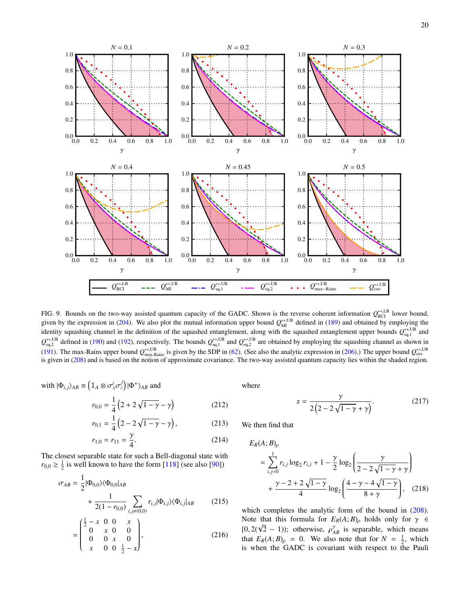

<span id="page-20-1"></span>FIG. 9. Bounds on the two-way assisted quantum capacity of the GADC. Shown is the reverse coherent information  $Q_{\text{RCI}}^{\leftrightarrow, \text{LB}}$  lower bound, given by the expression in [\(204\)](#page-19-0). We also plot the mutual information upper bound  $Q_{\text{MI}}^{\leftrightarrow, \text{UB}}$  defined in [\(189\)](#page-18-0) and obtained by employing the identity squashing channel in the definition of the squashed entanglement, along with the squashed entanglement upper bounds  $Q_{\rm sq,1}^{\leftrightarrow, \text{UB}}$  and  $Q_{\text{sq,2}}^{\leftrightarrow,\text{UB}}$  defined in [\(190\)](#page-18-1) and [\(192\)](#page-18-2), respectively. The bounds  $Q_{\text{sq,1}}^{\leftrightarrow,\text{UB}}$  and  $Q_{\text{sq,2}}^{\leftrightarrow,\text{UB}}$  are obtained by employing the squashing channel as shown in [\(191\)](#page-18-5). The max-Rains upper bound  $Q_{\text{max-Rains}}^{\leftrightarrow, \text{UB}}$  is given by the SDP in [\(62\)](#page-8-7). (See also the analytic expression in [\(206\)](#page-19-6).) The upper bound  $Q_{\text{cov}}^{\leftrightarrow, \text{UB}}$ is given in [\(208\)](#page-19-2) and is based on the notion of approximate covariance. The two-way assisted quantum capacity lies within the shaded region.

with 
$$
|\Phi_{i,j}\rangle_{AB} \equiv \left(\mathbb{1}_A \otimes \sigma_x^i \sigma_z^j\right) |\Phi^+\rangle_{AB}
$$
 and

$$
r_{0,0} = \frac{1}{4} \left( 2 + 2\sqrt{1 - \gamma} - \gamma \right) \tag{212}
$$

$$
r_{0,1} = \frac{1}{4} \left( 2 - 2\sqrt{1 - \gamma} - \gamma \right),\tag{213}
$$

$$
r_{1,0} = r_{11} = \frac{\gamma}{4}.
$$
 (214)

The closest separable state for such a Bell-diagonal state with  $r_{0,0} \geq \frac{1}{2}$  is well known to have the form [\[118\]](#page-33-2) (see also [\[90\]](#page-32-10))

$$
\sigma_{AB} = \frac{1}{2} |\Phi_{0,0}\rangle \langle \Phi_{0,0}|_{AB} + \frac{1}{2(1 - r_{0,0})} \sum_{i,j \neq (0,0)} r_{i,j} |\Phi_{i,j}\rangle \langle \Phi_{i,j}|_{AB}
$$
(215)

$$
= \begin{pmatrix} \frac{1}{2} - x & 0 & 0 & x \\ 0 & x & 0 & 0 \\ 0 & 0 & x & 0 \\ x & 0 & 0 & \frac{1}{2} - x \end{pmatrix},
$$
 (216)

where

<span id="page-20-0"></span>
$$
x = \frac{\gamma}{2(2 - 2\sqrt{1 - \gamma} + \gamma)}.
$$
 (217)

We then find that

$$
E_R(A; B)_{\rho}
$$
  
=  $\sum_{i,j=0}^{1} r_{i,j} \log_2 r_{i,j} + 1 - \frac{\gamma}{2} \log_2 \left( \frac{\gamma}{2 - 2\sqrt{1 - \gamma} + \gamma} \right)$   
+  $\frac{\gamma - 2 + 2\sqrt{1 - \gamma}}{4} \log_2 \left( \frac{4 - \gamma - 4\sqrt{1 - \gamma}}{8 + \gamma} \right)$ , (218)

which completes the analytic form of the bound in  $(208)$ . Note that this formula for  $E_R(A;B)$ <sub>ρ</sub> holds only for  $\gamma \in$ [0, 2( $\sqrt{2}$  – 1)); otherwise,  $\rho_{AB}^{\gamma}$  is separable, which means that  $E_R(A; B)$ <sub> $\rho$ </sub> = 0. We also note that for  $N = \frac{1}{2}$ , which is when the GADC is covariant with respect to the Pauli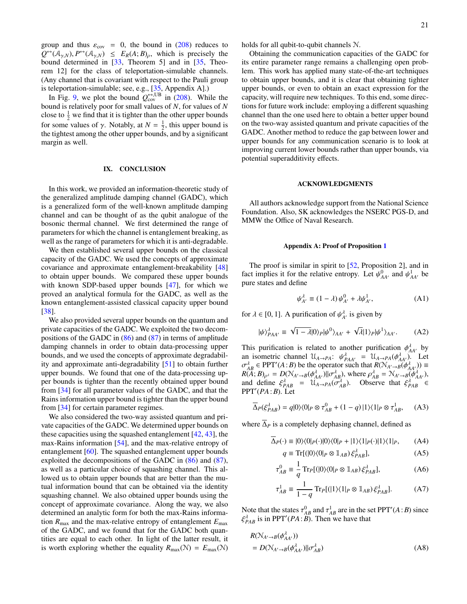group and thus  $\varepsilon_{\text{cov}} = 0$ , the bound in [\(208\)](#page-19-2) reduces to  $Q^{\leftrightarrow}(\mathcal{A}_{\gamma,N}), P^{\leftrightarrow}(\mathcal{A}_{\gamma,N}) \leq E_R(A;B)_{\rho}$ , which is precisely the bound determined in  $[33,$  Theorem 5] and in  $[35,$  Theorem 12] for the class of teleportation-simulable channels. (Any channel that is covariant with respect to the Pauli group is teleportation-simulable; see, e.g., [\[35,](#page-30-23) Appendix A].)

In Fig. [9,](#page-20-1) we plot the bound  $Q_{\text{cov}}^{\leftrightarrow, \text{UB}}$  in [\(208\)](#page-19-2). While the bound is relatively poor for small values of *N*, for values of *N* close to  $\frac{1}{2}$  we find that it is tighter than the other upper bounds for some values of  $\gamma$ . Notably, at  $N = \frac{1}{2}$ , this upper bound is the tightest among the other upper bounds, and by a significant margin as well.

# <span id="page-21-0"></span>IX. CONCLUSION

In this work, we provided an information-theoretic study of the generalized amplitude damping channel (GADC), which is a generalized form of the well-known amplitude damping channel and can be thought of as the qubit analogue of the bosonic thermal channel. We first determined the range of parameters for which the channel is entanglement breaking, as well as the range of parameters for which it is anti-degradable.

We then established several upper bounds on the classical capacity of the GADC. We used the concepts of approximate covariance and approximate entanglement-breakability [\[48\]](#page-31-6) to obtain upper bounds. We compared these upper bounds with known SDP-based upper bounds [\[47\]](#page-31-5), for which we proved an analytical formula for the GADC, as well as the known entanglement-assisted classical capacity upper bound [\[38\]](#page-30-27).

We also provided several upper bounds on the quantum and private capacities of the GADC. We exploited the two decompositions of the GADC in  $(86)$  and  $(87)$  in terms of amplitude damping channels in order to obtain data-processing upper bounds, and we used the concepts of approximate degradability and approximate anti-degradability [\[51\]](#page-31-10) to obtain further upper bounds. We found that one of the data-processing upper bounds is tighter than the recently obtained upper bound from [\[34\]](#page-30-24) for all parameter values of the GADC, and that the Rains information upper bound is tighter than the upper bound from [\[34\]](#page-30-24) for certain parameter regimes.

We also considered the two-way assisted quantum and private capacities of the GADC. We determined upper bounds on these capacities using the squashed entanglement  $[42, 43]$  $[42, 43]$  $[42, 43]$ , the max-Rains information [\[54\]](#page-31-17), and the max-relative entropy of entanglement [\[60\]](#page-31-16). The squashed entanglement upper bounds exploited the decompositions of the GADC in [\(86\)](#page-9-5) and [\(87\)](#page-9-6), as well as a particular choice of squashing channel. This allowed us to obtain upper bounds that are better than the mutual information bound that can be obtained via the identity squashing channel. We also obtained upper bounds using the concept of approximate covariance. Along the way, we also determined an analytic form for both the max-Rains information  $R_{\text{max}}$  and the max-relative entropy of entanglement  $E_{\text{max}}$ of the GADC, and we found that for the GADC both quantities are equal to each other. In light of the latter result, it is worth exploring whether the equality  $R_{\text{max}}(\mathcal{N}) = E_{\text{max}}(\mathcal{N})$ 

holds for all qubit-to-qubit channels N.

Obtaining the communication capacities of the GADC for its entire parameter range remains a challenging open problem. This work has applied many state-of-the-art techniques to obtain upper bounds, and it is clear that obtaining tighter upper bounds, or even to obtain an exact expression for the capacity, will require new techniques. To this end, some directions for future work include: employing a different squashing channel than the one used here to obtain a better upper bound on the two-way assisted quantum and private capacities of the GADC. Another method to reduce the gap between lower and upper bounds for any communication scenario is to look at improving current lower bounds rather than upper bounds, via potential superadditivity effects.

# ACKNOWLEDGMENTS

All authors acknowledge support from the National Science Foundation. Also, SK acknowledges the NSERC PGS-D, and MMW the Office of Naval Research.

#### <span id="page-21-1"></span>Appendix A: Proof of Proposition [1](#page-7-0)

The proof is similar in spirit to [\[52,](#page-31-11) Proposition 2], and in fact implies it for the relative entropy. Let  $\psi^0_{AA'}$  and  $\psi^1_{AA'}$  be pure states and define

$$
\psi_{A'}^{\lambda} \equiv (1 - \lambda) \psi_{A'}^0 + \lambda \psi_{A'}^1,\tag{A1}
$$

for  $\lambda \in [0, 1]$ . A purification of  $\psi_{A'}^{\lambda}$  is given by

$$
|\psi\rangle_{PAA'}^{\lambda} \equiv \sqrt{1-\lambda}|0\rangle_{P}|\psi^{0}\rangle_{AA'} + \sqrt{\lambda}|1\rangle_{P}|\psi^{1}\rangle_{AA'}.
$$
 (A2)

This purification is related to another purification  $\phi_{AA'}^{\lambda}$  by an isometric channel  $\mathcal{U}_{A\rightarrow PA}$ :  $\psi_{PAA'}^{\lambda} = \mathcal{U}_{A\rightarrow PA}(\phi_{AA'}^{\lambda})$ . Let  $\sigma_{AB}^{\lambda} \in \text{PPT}'(A:B)$  be the operator such that  $R(\mathcal{N}_{A'\to B}(\phi_{AA'}^{\lambda})) \equiv$  $R(A; B)_{\rho^{\lambda}} = D(\mathcal{N}_{A'\to B}(\phi_{AA'}^{\lambda})||\sigma_{AB}^{\lambda}, \text{ where } \rho_{AB}^{\lambda} = \mathcal{N}_{A'\to B}(\phi_{AA'}^{\lambda}),$ and define  $\xi_{PAB}^{\lambda} = \mathcal{U}_{A\rightarrow PA}(\sigma_{AB}^{\lambda})$ . Observe that  $\xi_{PAB}^{\lambda} \in$ PPT<sup>0</sup> (*PA*:*B*). Let

$$
\overline{\Delta}_P(\xi_{PAB}^{\lambda}) = q|0\rangle\langle 0|_P \otimes \tau_{AB}^0 + (1-q)|1\rangle\langle 1|_P \otimes \tau_{AB}^1, \quad \text{(A3)}
$$

where  $\overline{\Delta}_P$  is a completely dephasing channel, defined as

$$
\overline{\Delta}_P(\cdot) \equiv |0\rangle\langle 0|_P(\cdot)|0\rangle\langle 0|_P + |1\rangle\langle 1|_P(\cdot)|1\rangle\langle 1|_P,\tag{A4}
$$

$$
q \equiv \text{Tr}[(|0\rangle\langle 0|_P \otimes \mathbb{1}_{AB})\xi_{PAB}^{\lambda}], \tag{A5}
$$

$$
\tau_{AB}^0 \equiv \frac{1}{q} \operatorname{Tr}_P[(|0\rangle\langle 0|_P \otimes \mathbb{1}_{AB})\xi_{PAB}^{\lambda}], \tag{A6}
$$

$$
\tau_{AB}^1 \equiv \frac{1}{1-q} \operatorname{Tr}_P[(|1\rangle\langle 1|_P \otimes \mathbb{1}_{AB})\xi_{PAB}^{\lambda}]. \tag{A7}
$$

Note that the states  $\tau_{AB}^0$  and  $\tau_{AB}^1$  are in the set PPT'(*A*:*B*) since  $\xi_{PAB}^{\lambda}$  is in PPT'(*PA*:*B*). Then we have that

$$
R(\mathcal{N}_{A'\to B}(\phi_{AA'}^{\lambda}))
$$
  
=  $D(\mathcal{N}_{A'\to B}(\phi_{AA'}^{\lambda})||\sigma_{AB}^{\lambda})$  (A8)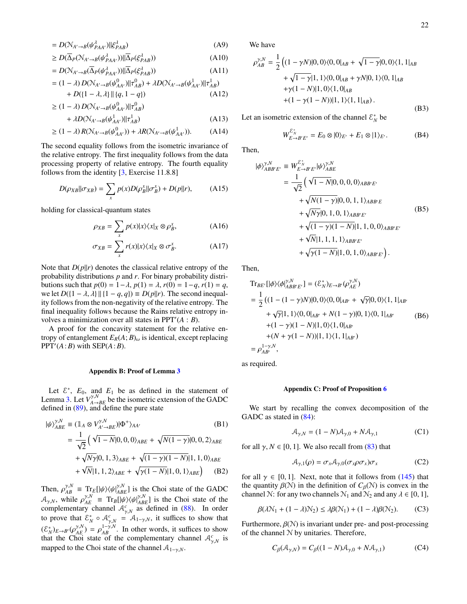$$
= D(\mathcal{N}_{A'\to B}(\psi_{PAA'}^{\lambda})||\xi_{PAB}^{\lambda})
$$
 (A9)

$$
\geq D(\overline{\Delta}_P(\mathcal{N}_{A'\to B}(\psi_{PAA'}^{\lambda}))||\overline{\Delta}_P(\xi_{PAB}^{\lambda}))\tag{A10}
$$

$$
= D(\mathcal{N}_{A'\to B}(\overline{\Delta}_P(\psi^{\lambda}_{PAA'}))||\overline{\Delta}_P(\xi^{\lambda}_{PAB})) \tag{A11}
$$

$$
= (1 - \lambda) D(\mathcal{N}_{A' \to B}(\psi_{AA'}^0) || \tau_{AB}^0) + \lambda D(\mathcal{N}_{A' \to B}(\psi_{AA'}^1) || \tau_{AB}^1) + D([1 - \lambda, \lambda] || {q, 1 - q})
$$
 (A12)

$$
\geq (1 - \lambda) D(\mathcal{N}_{A' \to B}(\psi_{AA'}^0) || \tau_{AB}^0)
$$
  
+ 
$$
D(\mathcal{N}_{A \to B}(\psi_{AA'}^1) || \tau_{AB}^1)
$$
 (A.13)

$$
+ \lambda D(\mathcal{N}_{A'\to B}(\psi_{AA'}^1)||\tau_{AB}^1) \tag{A13}
$$

$$
\geq (1 - \lambda) R(\mathcal{N}_{A' \to B}(\psi_{AA'}^0)) + \lambda R(\mathcal{N}_{A' \to B}(\psi_{AA'}^1)). \tag{A14}
$$

The second equality follows from the isometric invariance of the relative entropy. The first inequality follows from the data processing property of relative entropy. The fourth equality follows from the identity [\[3,](#page-29-4) Exercise 11.8.8]

$$
D(\rho_{XB}||\sigma_{XB}) = \sum_{x} p(x)D(\rho_B^x||\sigma_B^x) + D(p||r), \quad (A15)
$$

holding for classical-quantum states

$$
\rho_{XB} = \sum_{x} p(x)|x\rangle\langle x|_{X} \otimes \rho_{B}^{x}, \tag{A16}
$$

$$
\sigma_{XB} = \sum_{x} r(x)|x\rangle\langle x|_{X} \otimes \sigma_{B}^{x}.\tag{A17}
$$

Note that  $D(p||r)$  denotes the classical relative entropy of the probability distributions *p* and *r*. For binary probability distributions such that *p*(0) = 1−λ, *p*(1) = λ, *r*(0) = 1−*q*, *r*(1) = *q*, we let  $D({1 – \lambda, \lambda}) || {1 - q, q} \equiv D(p||r)$ . The second inequality follows from the non-negativity of the relative entropy. The final inequality follows because the Rains relative entropy involves a minimization over all states in  $PPT'(A : B)$ .

A proof for the concavity statement for the relative entropy of entanglement  $E_R(A; B)_{\omega}$  is identical, except replacing PPT' $(A:B)$  with SEP $(A:B)$ .

#### <span id="page-22-0"></span>Appendix B: Proof of Lemma [3](#page-11-4)

Let  $\mathcal{E}^*$ ,  $E_0$ , and  $E_1$  be as defined in the statement of Lemma [3.](#page-11-4) Let  $V^{\gamma,N}_{A\to BE}$  be the isometric extension of the GADC defined in  $(89)$ , and define the pure state

$$
|\psi\rangle_{ABE}^{\gamma,N} \equiv (\mathbb{1}_A \otimes V_{A'\to BE}^{\gamma,N})|\Phi^+\rangle_{AA'}
$$
\n(B1)  
\n
$$
= \frac{1}{\sqrt{2}} \left(\sqrt{1-N}|0,0,0\rangle_{ABE} + \sqrt{N(1-\gamma)}|0,0,2\rangle_{ABE} + \sqrt{N\gamma}|0,1,3\rangle_{ABE} + \sqrt{(1-\gamma)(1-N)}|1,1,0\rangle_{ABE} + \sqrt{N}|1,1,2\rangle_{ABE} + \sqrt{\gamma(1-N)}|1,0,1\rangle_{ABE} \right)
$$
\n(B2)

Then,  $\rho_{AB}^{\gamma,N} \equiv \text{Tr}_E[|\psi\rangle\langle\psi|_{ABE}^{\gamma,N}]$  is the Choi state of the GADC  $A_{\gamma,N}$ , while  $\rho_{AE}^{\gamma,N} = Tr_B[|\psi\rangle\langle\psi|_{ABE}^{\gamma,N}]$  is the Choi state of the complementary channel  $A_{\gamma,N}^c$  as defined in [\(88\)](#page-9-8). In order to prove that  $\mathcal{E}_N^* \circ \mathcal{A}_{\gamma,N}^c = \mathcal{A}_{1-\gamma,N}$ , it suffices to show that  $(\mathcal{E}_{N}^{*})_{E\to B'}(\rho_{AE}^{\gamma,N}) = \rho_{AB}^{1-\gamma,N}$ . In other words, it suffices to show that the Choi state of the complementary channel  $A_{\gamma,N}^c$  is mapped to the Choi state of the channel  $A_{1-\gamma,N}$ .

We have

$$
\rho_{AB}^{\gamma,N} = \frac{1}{2} \left( (1 - \gamma N)|0,0\rangle\langle0,0|_{AB} + \sqrt{1 - \gamma}|0,0\rangle\langle1,1|_{AB} + \sqrt{1 - \gamma}|1,1\rangle\langle0,0|_{AB} + \gamma N|0,1\rangle\langle0,1|_{AB} + \gamma(1 - N)|1,0\rangle\langle1,0|_{AB} + (1 - \gamma(1 - N))|1,1\rangle\langle1,1|_{AB} \right).
$$
\n(B3)

Let an isometric extension of the channel  $\mathcal{E}_N^*$  be

$$
W_{E \to B'E'}^{\varepsilon^*} = E_0 \otimes |0\rangle_{E'} + E_1 \otimes |1\rangle_{E'}.
$$
 (B4)

Then,

$$
|\phi\rangle_{ABB'E'}^{\gamma,N} = W_{E \to B'E'}^{\varepsilon_N^*} |\psi\rangle_{ABE}^{\gamma,N}
$$
  
=  $\frac{1}{\sqrt{2}} \left( \sqrt{1 - N} |0, 0, 0, 0\rangle_{ABB'E'} + \sqrt{N(1 - \gamma)} |0, 0, 1, 1\rangle_{ABB'E'} + \sqrt{N\gamma} |0, 1, 0, 1\rangle_{ABB'E'} + \sqrt{(1 - \gamma)(1 - N)} |1, 1, 0, 0\rangle_{ABB'E'} + \sqrt{N} |1, 1, 1, 1\rangle_{ABB'E'} + \sqrt{\gamma(1 - N)} |1, 0, 1, 0\rangle_{ABB'E'} \right). (B5)$ 

Then,

γ,*N*

$$
\begin{split} \text{Tr}_{BE'}[|\phi\rangle\langle\phi|^{y,N}_{AB'E'}] &= (\mathcal{E}_N^*)_{E\to B'}(\rho_{AE}^{y,N}) \\ &= \frac{1}{2} \left( (1 - (1 - \gamma)N)|0,0\rangle\langle0,0|_{AB'} + \sqrt{\gamma}|0,0\rangle\langle1,1|_{AB'} \right. \\ &\quad \left. + \sqrt{\gamma}|1,1\rangle\langle0,0|_{AB'} + N(1 - \gamma)|0,1\rangle\langle0,1|_{AB'} \right. \\ &\quad \left. + (1 - \gamma)(1 - N)|1,0\rangle\langle1,0|_{AB'} \right. \\ &\quad \left. + (N + \gamma(1 - N))|1,1\rangle\langle1,1|_{AB'} \right) \\ &= \rho_{AB'}^{1 - \gamma,N}, \end{split} \tag{B6}
$$

as required.

# <span id="page-22-1"></span>Appendix C: Proof of Proposition [6](#page-13-2)

We start by recalling the convex decomposition of the GADC as stated in [\(84\)](#page-9-9):

$$
\mathcal{A}_{\gamma,N} = (1 - N)\mathcal{A}_{\gamma,0} + N\mathcal{A}_{\gamma,1} \tag{C1}
$$

for all  $\gamma$ ,  $N \in [0, 1]$ . We also recall from [\(83\)](#page-9-10) that

<span id="page-22-2"></span>
$$
\mathcal{A}_{\gamma,1}(\rho) = \sigma_x \mathcal{A}_{\gamma,0}(\sigma_x \rho \sigma_x) \sigma_x \tag{C2}
$$

for all  $\gamma \in [0, 1]$ . Next, note that it follows from [\(145\)](#page-13-3) that the quantity  $\beta(N)$  in the definition of  $C_{\beta}(N)$  is convex in the channel N: for any two channels  $N_1$  and  $N_2$  and any  $\lambda \in [0, 1]$ ,

$$
\beta(\lambda \mathcal{N}_1 + (1 - \lambda)\mathcal{N}_2) \le \lambda \beta(\mathcal{N}_1) + (1 - \lambda)\beta(\mathcal{N}_2). \tag{C3}
$$

Furthermore,  $\beta(\mathcal{N})$  is invariant under pre- and post-processing of the channel N by unitaries. Therefore,

$$
C_{\beta}(\mathcal{A}_{\gamma,N}) = C_{\beta}((1-N)\mathcal{A}_{\gamma,0} + N\mathcal{A}_{\gamma,1})
$$
 (C4)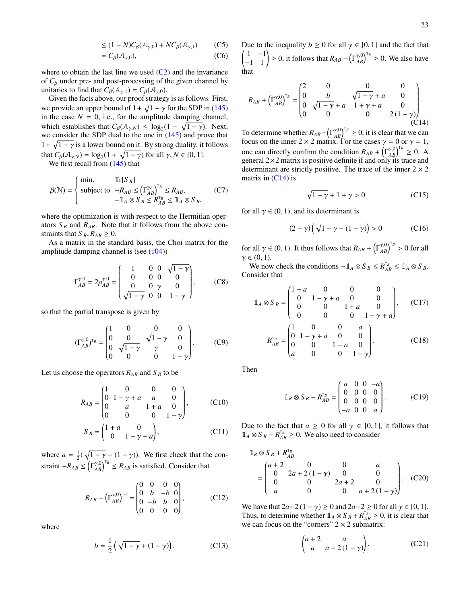$$
\leq (1 - N)C_{\beta}(\mathcal{A}_{\gamma,0}) + NC_{\beta}(\mathcal{A}_{\gamma,1})
$$
 (C5)

$$
=C_{\beta}(\mathcal{A}_{\gamma,0}),\tag{C6}
$$

where to obtain the last line we used  $(C2)$  and the invariance of  $C_\beta$  under pre- and post-processing of the given channel by unitaries to find that  $C_{\beta}(\mathcal{A}_{\gamma,1}) = C_{\beta}(\mathcal{A}_{\gamma,0}).$ 

Given the facts above, our proof strategy is as follows. First, we provide an upper bound of  $1 + \sqrt{1 - \gamma}$  for the SDP in [\(145\)](#page-13-3) in the case  $N = 0$ , i.e., for the amplitude damping channel, which establishes that  $C_{\beta}(\mathcal{A}_{\gamma,N}) \leq \log_2(1 + \sqrt{1 - \gamma})$ . Next, we consider the SDP dual to the one in [\(145\)](#page-13-3) and prove that  $1 + \sqrt{1 - \gamma}$  is a lower bound on it. By strong duality, it follows that  $C_{\beta}(\mathcal{A}_{\gamma,N}) = \log_2(1 + \sqrt{1-\gamma})$  for all  $\gamma, N \in [0, 1]$ .

We first recall from  $(145)$  that

<span id="page-23-1"></span>
$$
\beta(\mathcal{N}) = \begin{cases} \min. & \text{Tr}[S_B] \\ \text{subject to} & -R_{AB} \le (\Gamma_{AB}^{\mathcal{N}})^{T_B} \le R_{AB}, \\ & -\mathbb{1}_A \otimes S_B \le R_{AB}^{\tau_B} \le \mathbb{1}_A \otimes S_B, \end{cases} \tag{C7}
$$

where the optimization is with respect to the Hermitian operators  $S_B$  and  $R_{AB}$ . Note that it follows from the above constraints that  $S_B$ ,  $R_{AB} \geq 0$ .

As a matrix in the standard basis, the Choi matrix for the amplitude damping channel is (see  $(104)$ )

$$
\Gamma_{AB}^{\gamma,0} = 2\rho_{AB}^{\gamma,0} = \begin{pmatrix} 1 & 0 & 0 & \sqrt{1-\gamma} \\ 0 & 0 & 0 & 0 \\ 0 & 0 & \gamma & 0 \\ \sqrt{1-\gamma} & 0 & 0 & 1-\gamma \end{pmatrix}, \qquad (C8)
$$

so that the partial transpose is given by

$$
(\Gamma_{AB}^{\gamma,0})^{\tau_B} = \begin{pmatrix} 1 & 0 & 0 & 0 \\ 0 & 0 & \sqrt{1-\gamma} & 0 \\ 0 & \sqrt{1-\gamma} & \gamma & 0 \\ 0 & 0 & 0 & 1-\gamma \end{pmatrix} . \tag{C9}
$$

Let us choose the operators  $R_{AB}$  and  $S_B$  to be

$$
R_{AB} = \begin{pmatrix} 1 & 0 & 0 & 0 \\ 0 & 1 - \gamma + a & a & 0 \\ 0 & a & 1 + a & 0 \\ 0 & 0 & 0 & 1 - \gamma \end{pmatrix}, \qquad (C10)
$$

$$
S_B = \begin{pmatrix} 1+a & 0 \\ 0 & 1-\gamma+a \end{pmatrix},\tag{C11}
$$

where  $a = \frac{1}{2}(\sqrt{1-\gamma} - (1-\gamma))$ . We first check that the constraint  $-R_{AB} \leq (\Gamma_{AB}^{\gamma,0})^{\tau_B} \leq R_{AB}$  is satisfied. Consider that

$$
R_{AB} - \left(\Gamma_{AB}^{\gamma,0}\right)^{\tau_B} = \begin{pmatrix} 0 & 0 & 0 & 0 \\ 0 & b & -b & 0 \\ 0 & -b & b & 0 \\ 0 & 0 & 0 & 0 \end{pmatrix}, \tag{C12}
$$

where

$$
b = \frac{1}{2} \left( \sqrt{1 - \gamma} + (1 - \gamma) \right). \tag{C13}
$$

Due to the inequality  $b \ge 0$  for all  $\gamma \in [0, 1]$  and the fact that  $\begin{pmatrix} 1 & -1 \\ -1 & 1 \end{pmatrix}$  ≥ 0, it follows that  $R_{AB} - (\Gamma_{AB}^{\gamma,0})^{\tau_B}$  ≥ 0. We also have that

<span id="page-23-0"></span>
$$
R_{AB} + \left(\Gamma_{AB}^{\gamma,0}\right)^{\tau_B} = \begin{pmatrix} 2 & 0 & 0 & 0 \\ 0 & b & \sqrt{1-\gamma} + a & 0 \\ 0 & \sqrt{1-\gamma} + a & 1 + \gamma + a & 0 \\ 0 & 0 & 0 & 2(1-\gamma) \end{pmatrix}.
$$
 (C14)

To determine whether  $R_{AB} + (\Gamma_{AB}^{y,0})^{\tau_B} \ge 0$ , it is clear that we can focus on the inner 2 × 2 matrix. For the cases  $\gamma = 0$  or  $\gamma = 1$ , one can directly confirm the condition  $R_{AB} + (\Gamma_{AB}^{\gamma,0})^{\tau_B} \ge 0$ . A general 2×2 matrix is positive definite if and only its trace and determinant are strictly positive. The trace of the inner  $2 \times 2$ matrix in  $(C14)$  is

$$
\sqrt{1-\gamma} + 1 + \gamma > 0 \tag{C15}
$$

for all  $\gamma \in (0, 1)$ , and its determinant is

$$
(2 - \gamma) \left( \sqrt{1 - \gamma} - (1 - \gamma) \right) > 0 \tag{C16}
$$

for all  $\gamma \in (0, 1)$ . It thus follows that  $R_{AB} + (\Gamma_{AB}^{\gamma, 0})^{\tau_B} > 0$  for all  $\gamma \in (0, 1)$ .

We now check the conditions  $-\mathbb{1}_A \otimes S_B \le R_{AB}^{\tau_B} \le \mathbb{1}_A \otimes S_B$ . Consider that

$$
\mathbb{1}_A \otimes S_B = \begin{pmatrix} 1+a & 0 & 0 & 0 \\ 0 & 1-\gamma+a & 0 & 0 \\ 0 & 0 & 1+a & 0 \\ 0 & 0 & 0 & 1-\gamma+a \end{pmatrix}, \quad \text{(C17)}
$$

$$
R_{AB}^{\mathsf{T}_B} = \begin{pmatrix} 1 & 0 & 0 & a \\ 0 & 1-\gamma+a & 0 & 0 \\ 0 & 0 & 1+a & 0 \\ a & 0 & 0 & 1-\gamma \end{pmatrix} . \quad \text{(C18)}
$$

Then

$$
\mathbb{1}_R \otimes S_B - R_{AB}^{\mathsf{T}_B} = \begin{pmatrix} a & 0 & 0 & -a \\ 0 & 0 & 0 & 0 \\ 0 & 0 & 0 & 0 \\ -a & 0 & 0 & a \end{pmatrix} . \tag{C19}
$$

Due to the fact that  $a \geq 0$  for all  $\gamma \in [0, 1]$ , it follows that  $\mathbb{1}_A \otimes S_B - R_{AB}^{T_B} \ge 0$ . We also need to consider

$$
\mathbb{1}_R \otimes S_B + R_{AB}^{\mathsf{T}_B}
$$
\n
$$
= \begin{pmatrix}\na + 2 & 0 & 0 & a \\
0 & 2a + 2(1 - \gamma) & 0 & 0 \\
0 & 0 & 2a + 2 & 0 \\
a & 0 & 0 & a + 2(1 - \gamma)\n\end{pmatrix}.
$$
 (C20)

We have that  $2a+2(1-\gamma) \ge 0$  and  $2a+2 \ge 0$  for all  $\gamma \in [0, 1]$ . Thus, to determine whether  $\mathbb{1}_A \otimes S_B + R_{AB}^{\tau_B} \ge 0$ , it is clear that we can focus on the "corners"  $2 \times 2$  submatrix:

$$
\begin{pmatrix} a+2 & a \\ a & a+2(1-\gamma) \end{pmatrix}.
$$
 (C21)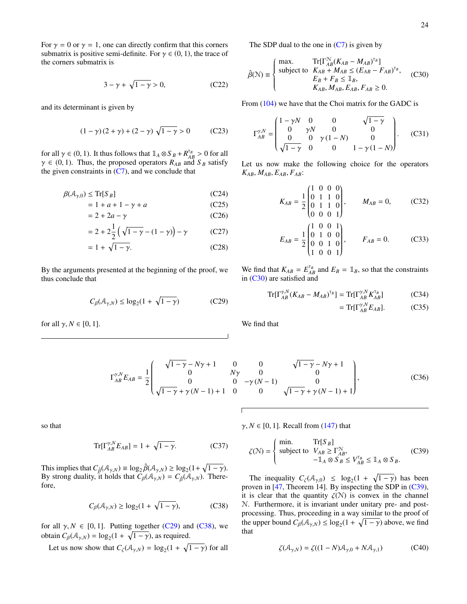For  $\gamma = 0$  or  $\gamma = 1$ , one can directly confirm that this corners submatrix is positive semi-definite. For  $\gamma \in (0, 1)$ , the trace of the corners submatrix is

$$
3 - \gamma + \sqrt{1 - \gamma} > 0,\tag{C22}
$$

and its determinant is given by

$$
(1 - \gamma)(2 + \gamma) + (2 - \gamma) \sqrt{1 - \gamma} > 0
$$
 (C23)

for all  $\gamma \in (0, 1)$ . It thus follows that  $\mathbb{1}_A \otimes S_B + R_{AB}^{\tau_B} > 0$  for all  $\gamma \in (0, 1)$ . Thus, the proposed operators  $R_{AB}$  and  $S_B$  satisfy the given constraints in  $(C7)$ , and we conclude that

$$
\beta(\mathcal{A}_{\gamma,0}) \le \operatorname{Tr}[S_B] \tag{C24}
$$

$$
= 1 + a + 1 - \gamma + a \tag{C25}
$$

$$
= 2 + 2a - \gamma \tag{C26}
$$

$$
= 2 + 2\frac{1}{2} (\sqrt{1 - \gamma} - (1 - \gamma)) - \gamma
$$
 (C27)

$$
= 1 + \sqrt{1 - \gamma}.\tag{C28}
$$

By the arguments presented at the beginning of the proof, we thus conclude that

<span id="page-24-1"></span>
$$
C_{\beta}(\mathcal{A}_{\gamma,N}) \le \log_2(1 + \sqrt{1 - \gamma})
$$
 (C29)

for all  $\gamma$ ,  $N \in [0, 1]$ .

The SDP dual to the one in  $(C7)$  is given by

<span id="page-24-0"></span>
$$
\hat{\beta}(\mathcal{N}) \equiv \begin{cases}\n\max. & \text{Tr}[\Gamma_{AB}^{\mathcal{N}}(K_{AB} - M_{AB})^{\text{T}_B}]\n\text{subject to } K_{AB} + M_{AB} \le (E_{AB} - F_{AB})^{\text{T}_B}, \\
E_B + F_B \le 1_B, \\
K_{AB}, M_{AB}, E_{AB}, F_{AB} \ge 0.\n\end{cases} \tag{C30}
$$

From  $(104)$  we have that the Choi matrix for the GADC is

$$
\Gamma_{AB}^{\gamma,N} = \begin{pmatrix} 1 - \gamma N & 0 & 0 & \sqrt{1 - \gamma} \\ 0 & \gamma N & 0 & 0 \\ 0 & 0 & \gamma (1 - N) & 0 \\ \sqrt{1 - \gamma} & 0 & 0 & 1 - \gamma (1 - N) \end{pmatrix}.
$$
 (C31)

Let us now make the following choice for the operators  $K_{AB}, M_{AB}, E_{AB}, F_{AB}$ 

$$
K_{AB} = \frac{1}{2} \begin{pmatrix} 1 & 0 & 0 & 0 \\ 0 & 1 & 1 & 0 \\ 0 & 1 & 1 & 0 \\ 0 & 0 & 0 & 1 \end{pmatrix}, \qquad M_{AB} = 0, \qquad \text{(C32)}
$$

$$
\begin{pmatrix} 1 & 0 & 0 & 1 \end{pmatrix}
$$

$$
E_{AB} = \frac{1}{2} \begin{bmatrix} 1 & 0 & 0 & 0 \\ 0 & 1 & 0 & 0 \\ 0 & 0 & 1 & 0 \\ 1 & 0 & 0 & 1 \end{bmatrix}, \qquad F_{AB} = 0.
$$
 (C33)

We find that  $K_{AB} = E_{AB}^{T_B}$  and  $E_B = \mathbb{1}_B$ , so that the constraints in [\(C30\)](#page-24-0) are satisfied and

$$
\operatorname{Tr}[\Gamma_{AB}^{\gamma,N}(K_{AB} - M_{AB})^{T_B}] = \operatorname{Tr}[\Gamma_{AB}^{\gamma,N}K_{AB}^{T_B}] \tag{C34}
$$

$$
= \operatorname{Tr}[\Gamma_{AB}^{\gamma,N} E_{AB}]. \tag{C35}
$$

We find that

$$
\Gamma_{AB}^{\gamma,N}E_{AB} = \frac{1}{2} \begin{pmatrix} \sqrt{1-\gamma} - N\gamma + 1 & 0 & 0 & \sqrt{1-\gamma} - N\gamma + 1 \\ 0 & N\gamma & 0 & 0 \\ 0 & 0 & -\gamma(N-1) & 0 \\ \sqrt{1-\gamma} + \gamma(N-1) + 1 & 0 & 0 & \sqrt{1-\gamma} + \gamma(N-1) + 1 \end{pmatrix},
$$
(C36)

so that

$$
\operatorname{Tr}[\Gamma_{AB}^{\gamma,N}E_{AB}] = 1 + \sqrt{1 - \gamma}.\tag{C37}
$$

This implies that  $C_{\hat{\beta}}(\mathcal{A}_{\gamma,N}) \equiv \log_2 \hat{\beta}(\mathcal{A}_{\gamma,N}) \ge \log_2(1+\sqrt{1-\gamma}).$ By strong duality, it holds that  $C_{\beta}(\mathcal{A}_{\gamma,N}) = C_{\hat{\beta}}(\mathcal{A}_{\gamma,N})$ . Therefore,

<span id="page-24-2"></span>
$$
C_{\beta}(\mathcal{A}_{\gamma,N}) \ge \log_2(1+\sqrt{1-\gamma}),\tag{C38}
$$

for all  $\gamma$ ,  $N \in [0, 1]$ . Putting together [\(C29\)](#page-24-1) and [\(C38\)](#page-24-2), we obtain  $C_{\beta}(\mathcal{A}_{\gamma,N}) = \log_2(1 + \sqrt{1 - \gamma})$ , as required.

Let us now show that  $C_{\zeta}(\mathcal{A}_{\gamma,N}) = \log_2(1 + \sqrt{1 - \gamma})$  for all

 $\gamma$ ,  $N \in [0, 1]$ . Recall from [\(147\)](#page-13-4) that

<span id="page-24-3"></span>
$$
\zeta(\mathcal{N}) = \begin{cases} \min. & \text{Tr}[S_B] \\ \text{subject to} & V_{AB} \ge \Gamma_{AB}^{\mathcal{N}}, \\ & -\mathbb{1}_A \otimes S_B \le V_{AB}^{\tau_B} \le \mathbb{1}_A \otimes S_B. \end{cases} \tag{C39}
$$

The inequality  $C_{\zeta}(\mathcal{A}_{\gamma,0}) \leq \log_2(1 + \sqrt{1-\gamma})$  has been proven in [\[47,](#page-31-5) Theorem 14]. By inspecting the SDP in [\(C39\)](#page-24-3), it is clear that the quantity  $\zeta(N)$  is convex in the channel N. Furthermore, it is invariant under unitary pre- and postprocessing. Thus, proceeding in a way similar to the proof of the upper bound  $C_{\beta}(\mathcal{A}_{\gamma,N}) \leq \log_2(1 + \sqrt{1 - \gamma})$  above, we find that

$$
\zeta(\mathcal{A}_{\gamma,N}) = \zeta((1-N)\mathcal{A}_{\gamma,0} + N\mathcal{A}_{\gamma,1})
$$
 (C40)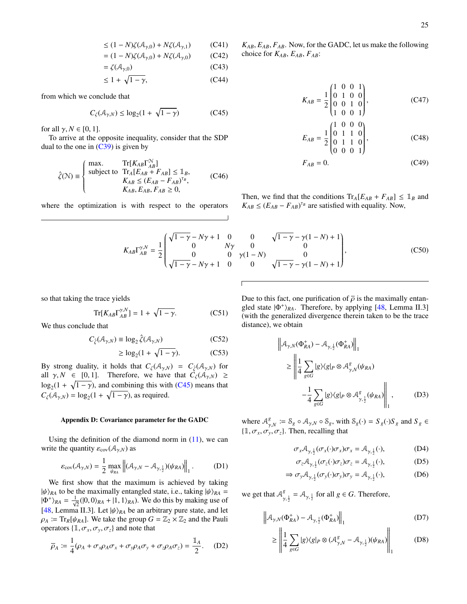$$
\leq (1 - N)\zeta(\mathcal{A}_{\gamma,0}) + N\zeta(\mathcal{A}_{\gamma,1})
$$
 (C41)

$$
= (1 - N)\zeta(\mathcal{A}_{\gamma,0}) + N\zeta(\mathcal{A}_{\gamma,0})
$$
 (C42)

$$
= \zeta(\mathcal{A}_{\gamma,0}) \tag{C43}
$$

$$
\leq 1 + \sqrt{1 - \gamma},\tag{C44}
$$

from which we conclude that

<span id="page-25-1"></span>
$$
C_{\zeta}(\mathcal{A}_{\gamma,N}) \le \log_2(1 + \sqrt{1 - \gamma})
$$
 (C45)

for all  $\gamma$ ,  $N \in [0, 1]$ .

To arrive at the opposite inequality, consider that the SDP dual to the one in  $(C39)$  is given by

$$
\hat{\zeta}(\mathcal{N}) \equiv \begin{cases}\n\max. & \text{Tr}[K_{AB}\Gamma_{AB}^{\mathcal{N}}] \\
\text{subject to} & \text{Tr}_{A}[E_{AB} + F_{AB}] \leq \mathbb{1}_{B}, \\
K_{AB} \leq (E_{AB} - F_{AB})^{\mathsf{T}_{B}}, \\
K_{AB}, E_{AB}, F_{AB} \geq 0,\n\end{cases} \tag{C46}
$$

where the optimization is with respect to the operators

$$
K_{AB}\Gamma_{AB}^{\gamma,N}=\frac{1}{2}\left(\begin{matrix}\sqrt{1-\gamma}-N\gamma+1&0\\0&N\gamma\\0&0\end{matrix}\right)
$$

so that taking the trace yields

$$
Tr[K_{AB}\Gamma_{AB}^{\gamma,N}] = 1 + \sqrt{1 - \gamma}.
$$
 (C51)

We thus conclude that

$$
C_{\hat{\zeta}}(\mathcal{A}_{\gamma,N}) \equiv \log_2 \hat{\zeta}(\mathcal{A}_{\gamma,N})
$$
 (C52)

$$
\geq \log_2(1 + \sqrt{1 - \gamma}).\tag{C53}
$$

By strong duality, it holds that  $C_{\zeta}(\mathcal{A}_{\gamma,N}) = C_{\hat{\zeta}}(\mathcal{A}_{\gamma,N})$  for all  $\gamma$ ,  $N \in [0, 1]$ . Therefore, we have that  $\mathcal{C}_{\zeta}(\mathcal{A}_{\gamma, N}) \geq$  $\log_2(1 + \sqrt{1-\gamma})$ , and combining this with [\(C45\)](#page-25-1) means that  $C_{\zeta}(\mathcal{A}_{\gamma,N}) = \log_2(1 + \sqrt{1 - \gamma})$ , as required.

#### <span id="page-25-0"></span>Appendix D: Covariance parameter for the GADC

Using the definition of the diamond norm in  $(11)$ , we can write the quantity  $\varepsilon_{\text{cov}}(\mathcal{A}_{\gamma,N})$  as

$$
\varepsilon_{\text{cov}}(\mathcal{A}_{\gamma,N}) = \frac{1}{2} \max_{\psi_{RA}} \left\| (\mathcal{A}_{\gamma,N} - \mathcal{A}_{\gamma,\frac{1}{2}}) (\psi_{RA}) \right\|_1.
$$
 (D1)

We first show that the maximum is achieved by taking  $|\psi\rangle_{RA}$  to be the maximally entangled state, i.e., taking  $|\psi\rangle_{RA} =$  $|\Phi^{+}\rangle_{RA} = \frac{1}{\sqrt{2}}(|0,0\rangle_{RA} + |1,1\rangle_{RA})$ . We do this by making use of [\[48,](#page-31-6) Lemma II.3]. Let  $|\psi\rangle_{RA}$  be an arbitrary pure state, and let  $\rho_A$  = Tr<sub>*R*</sub>[ $\psi_{RA}$ ]. We take the group  $G = \mathbb{Z}_2 \times \mathbb{Z}_2$  and the Pauli operators  $\{\mathbb{1}, \sigma_x, \sigma_y, \sigma_z\}$  and note that

$$
\overline{\rho}_A := \frac{1}{4}(\rho_A + \sigma_x \rho_A \sigma_x + \sigma_y \rho_A \sigma_y + \sigma_z \rho_A \sigma_z) = \frac{\mathbb{1}_A}{2}.
$$
 (D2)

*KAB*, *EAB*, *FAB*. Now, for the GADC, let us make the following choice for *KAB*, *EAB*, *FAB*:

$$
K_{AB} = \frac{1}{2} \begin{pmatrix} 1 & 0 & 0 & 1 \\ 0 & 1 & 0 & 0 \\ 0 & 0 & 1 & 0 \\ 1 & 0 & 0 & 1 \end{pmatrix},
$$
 (C47)

$$
E_{AB} = \frac{1}{2} \begin{pmatrix} 1 & 0 & 0 & 0 \\ 0 & 1 & 1 & 0 \\ 0 & 1 & 1 & 0 \\ 0 & 0 & 0 & 1 \end{pmatrix},
$$
 (C48)

$$
F_{AB} = 0.\t\t(C49)
$$

Then, we find that the conditions  $Tr_A[E_{AB} + F_{AB}] \leq \mathbb{1}_B$  and  $K_{AB} \leq (E_{AB} - F_{AB})^{\tau_B}$  are satisfied with equality. Now,

$$
\begin{array}{ccc}\n\overline{1-\gamma} - N\gamma + 1 & 0 & 0 & \sqrt{1-\gamma} - \gamma(1-N) + 1 \\
0 & N\gamma & 0 & 0 \\
0 & 0 & \gamma(1-N) & 0 \\
\overline{1-\gamma} - N\gamma + 1 & 0 & 0 & \sqrt{1-\gamma} - \gamma(1-N) + 1\n\end{array}
$$
\n(C50)

Due to this fact, one purification of  $\bar{\rho}$  is the maximally entangled state  $|\Phi^+\rangle_{RA}$ . Therefore, by applying [\[48,](#page-31-6) Lemma II.3] (with the generalized divergence therein taken to be the trace distance), we obtain

$$
\left\| \mathcal{A}_{\gamma,N}(\Phi_{RA}^+) - \mathcal{A}_{\gamma,\frac{1}{2}}(\Phi_{RA}^+) \right\|_1
$$
  
\n
$$
\ge \left\| \frac{1}{4} \sum_{g \in G} |g\rangle\langle g|_P \otimes \mathcal{A}_{\gamma,N}^g(\psi_{RA}) - \frac{1}{4} \sum_{g \in G} |g\rangle\langle g|_P \otimes \mathcal{A}_{\gamma,\frac{1}{2}}^g(\psi_{RA}) \right\|_1, \tag{D3}
$$

where  $\mathcal{A}_{\gamma,N}^g := \mathcal{S}_g \circ \mathcal{A}_{\gamma,N} \circ \mathcal{S}_g$ , with  $\mathcal{S}_g(\cdot) = S_g(\cdot)S_g$  and  $S_g \in$  $\{\mathbb{1}, \sigma_x, \sigma_y, \sigma_z\}$ . Then, recalling that

$$
\sigma_x \mathcal{A}_{\gamma, \frac{1}{2}} (\sigma_x(\cdot) \sigma_x) \sigma_x = \mathcal{A}_{\gamma, \frac{1}{2}}(\cdot), \tag{D4}
$$

<span id="page-25-2"></span>
$$
\sigma_z \mathcal{A}_{\gamma, \frac{1}{2}} (\sigma_z(\cdot) \sigma_z) \sigma_z = \mathcal{A}_{\gamma, \frac{1}{2}} (\cdot), \tag{D5}
$$

$$
\Rightarrow \sigma_y \mathcal{A}_{\gamma, \frac{1}{2}} (\sigma_y(\cdot) \sigma_y) \sigma_y = \mathcal{A}_{\gamma, \frac{1}{2}} (\cdot), \tag{D6}
$$

we get that  $A^g$  $S_{\gamma, \frac{1}{2}}^g = A_{\gamma, \frac{1}{2}}$  for all  $g \in G$ . Therefore,

$$
\left\| \mathcal{A}_{\gamma,N}(\Phi_{RA}^+) - \mathcal{A}_{\gamma,\frac{1}{2}}(\Phi_{RA}^+) \right\|_1 \tag{D7}
$$

$$
\geq \left\| \frac{1}{4} \sum_{g \in G} |g\rangle\langle g|_P \otimes (\mathcal{A}_{\gamma,N}^g - \mathcal{A}_{\gamma,\frac{1}{2}})(\psi_{RA}) \right\|_1
$$
 (D8)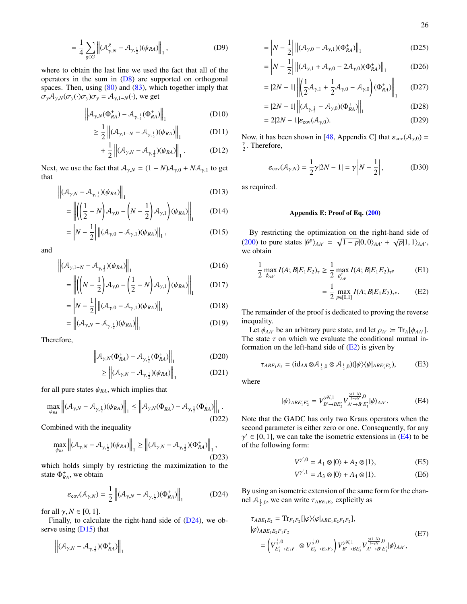$$
= \frac{1}{4} \sum_{g \in G} \left\| (\mathcal{A}_{\gamma,N}^{g} - \mathcal{A}_{\gamma,\frac{1}{2}}) (\psi_{RA}) \right\|_{1},
$$
 (D9)

where to obtain the last line we used the fact that all of the operators in the sum in [\(D8\)](#page-25-2) are supported on orthogonal spaces. Then, using  $(80)$  and  $(83)$ , which together imply that  $\sigma_y A_{\gamma,N}(\sigma_y(\cdot)\sigma_y)\sigma_y = A_{\gamma,1-N}(\cdot)$ , we get

$$
\left\| \mathcal{A}_{\gamma,N}(\Phi_{RA}^+) - \mathcal{A}_{\gamma,\frac{1}{2}}(\Phi_{RA}^+) \right\|_1
$$
 (D10)

$$
\geq \frac{1}{2} \left\| (\mathcal{A}_{\gamma, 1 - N} - \mathcal{A}_{\gamma, \frac{1}{2}}) (\psi_{RA}) \right\|_{1}
$$
 (D11)

$$
+\frac{1}{2}\left\|(\mathcal{A}_{\gamma,N}-\mathcal{A}_{\gamma,\frac{1}{2}})(\psi_{RA})\right\|_{1}.\tag{D12}
$$

Next, we use the fact that  $A_{\gamma,N} = (1 - N)A_{\gamma,0} + N A_{\gamma,1}$  to get that

$$
\left\| (\mathcal{A}_{\gamma,N} - \mathcal{A}_{\gamma,\frac{1}{2}}) (\psi_{RA}) \right\|_1
$$
 (D13)

$$
= \left\| \left( \left( \frac{1}{2} - N \right) \mathcal{A}_{\gamma,0} - \left( N - \frac{1}{2} \right) \mathcal{A}_{\gamma,1} \right) (\psi_{RA}) \right\|_1 \qquad (D14)
$$

$$
= \left| N - \frac{1}{2} \right| \| (\mathcal{A}_{\gamma,0} - \mathcal{A}_{\gamma,1}) (\psi_{RA}) \|_{1}, \qquad (D15)
$$

and

$$
\left\| (\mathcal{A}_{\gamma,1-N} - \mathcal{A}_{\gamma,\frac{1}{2}}) (\psi_{RA}) \right\|_1
$$
 (D16)

$$
= \left\| \left( \left( N - \frac{1}{2} \right) \mathcal{A}_{\gamma,0} - \left( \frac{1}{2} - N \right) \mathcal{A}_{\gamma,1} \right) (\psi_{RA}) \right\|_1 \qquad \text{(D17)}
$$

$$
= \left| N - \frac{1}{2} \right| \| (\mathcal{A}_{\gamma,0} - \mathcal{A}_{\gamma,1}) (\psi_{RA}) \|_{1}
$$
 (D18)

$$
= \left\| (\mathcal{A}_{\gamma,N} - \mathcal{A}_{\gamma,\frac{1}{2}}) (\psi_{RA}) \right\|_1
$$
 (D19)

Therefore,

$$
\left\| \mathcal{A}_{\gamma,N}(\Phi_{RA}^+) - \mathcal{A}_{\gamma,\frac{1}{2}}(\Phi_{RA}^+) \right\|_1
$$
 (D20)

$$
\geq \left\| (\mathcal{A}_{\gamma,N} - \mathcal{A}_{\gamma,\frac{1}{2}})(\psi_{RA}) \right\|_1
$$
 (D21)

for all pure states  $\psi_{RA}$ , which implies that

$$
\max_{\psi_{RA}} \left\| (\mathcal{A}_{\gamma,N} - \mathcal{A}_{\gamma,\frac{1}{2}}) (\psi_{RA}) \right\|_1 \le \left\| \mathcal{A}_{\gamma,N} (\Phi_{RA}^+) - \mathcal{A}_{\gamma,\frac{1}{2}} (\Phi_{RA}^+) \right\|_1.
$$
\n(D22)

Combined with the inequality

$$
\max_{\psi_{RA}} \left\| (\mathcal{A}_{\gamma,N} - \mathcal{A}_{\gamma,\frac{1}{2}}) (\psi_{RA}) \right\|_1 \ge \left\| (\mathcal{A}_{\gamma,N} - \mathcal{A}_{\gamma,\frac{1}{2}}) (\Phi_{RA}^+) \right\|_1,
$$
\n(D23)

which holds simply by restricting the maximization to the state  $\Phi_{RA}^+$ , we obtain

<span id="page-26-1"></span>
$$
\varepsilon_{\text{cov}}(\mathcal{A}_{\gamma,N}) = \frac{1}{2} \left\| (\mathcal{A}_{\gamma,N} - \mathcal{A}_{\gamma,\frac{1}{2}}) (\Phi_{RA}^+) \right\|_1 \tag{D24}
$$

for all  $\gamma$ ,  $N \in [0, 1]$ .

Finally, to calculate the right-hand side of  $(D24)$ , we observe using  $(D15)$  that

$$
\left\|(\mathcal {A}_{\gamma,N}-\mathcal {A}_{\gamma,\frac{1}{2}})(\Phi_{RA}^+)\right\|_1
$$

$$
= \left| N - \frac{1}{2} \right| \left\| (\mathcal{A}_{\gamma,0} - \mathcal{A}_{\gamma,1})(\Phi_{RA}^+) \right\|_1
$$
 (D25)

$$
= \left| N - \frac{1}{2} \right| \left\| (\mathcal{A}_{\gamma,1} + \mathcal{A}_{\gamma,0} - 2\mathcal{A}_{\gamma,0}) (\Phi_{RA}^+) \right\|_1
$$
 (D26)

$$
=|2N-1|\left\|\left(\frac{1}{2}\mathcal{A}_{\gamma,1}+\frac{1}{2}\mathcal{A}_{\gamma,0}-\mathcal{A}_{\gamma,0}\right)(\Phi_{RA}^{+})\right\|_{1}
$$
 (D27)

$$
=|2N-1|\left\|_{\mathcal{A}_{\gamma,\frac{1}{2}}}-\mathcal{A}_{\gamma,0})(\Phi_{RA}^{+})\right\|_{1}
$$
 (D28)

$$
= 2|2N - 1|\varepsilon_{\text{cov}}(\mathcal{A}_{\gamma,0}). \tag{D29}
$$

Now, it has been shown in [\[48,](#page-31-6) Appendix C] that  $\varepsilon_{\text{cov}}(\mathcal{A}_{\gamma,0}) =$ γ  $\frac{\gamma}{2}$ . Therefore,

$$
\varepsilon_{\text{cov}}(\mathcal{A}_{\gamma,N}) = \frac{1}{2}\gamma|2N-1| = \gamma\left|N-\frac{1}{2}\right|,\tag{D30}
$$

as required.

# <span id="page-26-0"></span>Appendix E: Proof of Eq. [\(200\)](#page-18-8)

<span id="page-26-2"></span>By restricting the optimization on the right-hand side of  $(200)$  to pure states  $|\theta^p\rangle_{AA'} = \sqrt{1-p}|0, 0\rangle_{AA'} + \sqrt{p}|1, 1\rangle_{AA'},$ we obtain

$$
\frac{1}{2} \max_{\phi_{AA'}} I(A; B | E_1 E_2)_{\tau} \ge \frac{1}{2} \max_{\theta_{AA'}^{\rho}} I(A; B | E_1 E_2)_{\tau^{\rho}}
$$
(E1)

<span id="page-26-3"></span>
$$
= \frac{1}{2} \max_{p \in [0,1]} I(A;B|E_1E_2)_{\tau^p}.
$$
 (E2)

The remainder of the proof is dedicated to proving the reverse inequality.

Let  $\phi_{AA'}$  be an arbitrary pure state, and let  $\rho_{A'} \coloneqq \text{Tr}_A[\phi_{AA'}]$ . The state  $\tau$  on which we evaluate the conditional mutual information on the left-hand side of  $(E2)$  is given by

$$
\tau_{ABE_1E_2} = (\mathrm{id}_{AB} \otimes \mathcal{A}_{\frac{1}{2},0} \otimes \mathcal{A}_{\frac{1}{2},0})(|\psi\rangle\langle\psi|_{ABE_1'E_2'},\tag{E3}
$$

where

<span id="page-26-4"></span>
$$
|\psi\rangle_{ABE'_1E'_2} = V_{B'\to BE'_2}^{\gamma N,1} V_{A'\to B'E'_1}^{\frac{\gamma(1-N)}{1-\gamma N},0} |\phi\rangle_{AA'}.
$$
 (E4)

Note that the GADC has only two Kraus operators when the second parameter is either zero or one. Consequently, for any  $\gamma' \in [0, 1]$ , we can take the isometric extensions in [\(E4\)](#page-26-4) to be of the following form:

$$
V^{\gamma',0} = A_1 \otimes |0\rangle + A_2 \otimes |1\rangle, \tag{E5}
$$

$$
V^{\gamma',1} = A_3 \otimes |0\rangle + A_4 \otimes |1\rangle. \tag{E6}
$$

By using an isometric extension of the same form for the channel  $A_{\frac{1}{2},0}$ , we can write  $\tau_{ABE_1E_2}$  explicitly as

<span id="page-26-5"></span>
$$
\tau_{ABE_1E_2} = \text{Tr}_{F_1F_2} [|\varphi\rangle\langle\varphi|_{ABE_1E_2F_1F_2}],
$$
  
\n
$$
|\varphi\rangle_{ABE_1E_2F_1F_2}
$$
\n
$$
= \left(V_{E'_1 \to E_1F_1}^{\frac{1}{2},0} \otimes V_{E'_2 \to E_2F_2}^{\frac{1}{2},0}\right) V_{B' \to BE'_2}^{\gamma N,1} V_{A' \to B' E'_1}^{\frac{\gamma(1-N)}{1-N},0} |\phi\rangle_{AA'},
$$
\n(E7)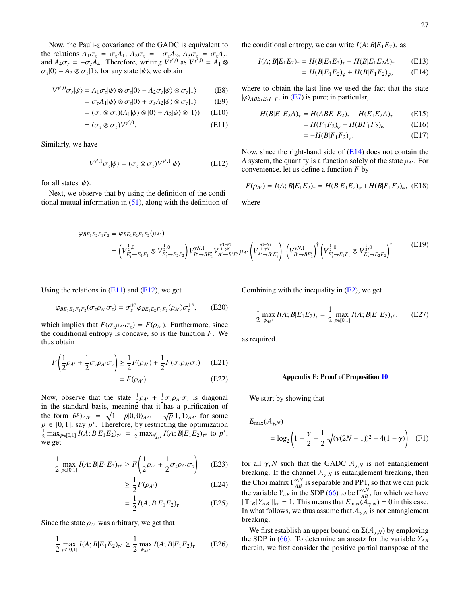Now, the Pauli-*z* covariance of the GADC is equivalent to the relations  $A_1\sigma_z = \sigma_z A_1$ ,  $A_2\sigma_z = -\sigma_z A_2$ ,  $A_3\sigma_z = \sigma_z A_3$ , and  $A_4 \sigma_z = -\sigma_z A_4$ . Therefore, writing  $V^{\gamma',0}$  as  $V^{\gamma',0} = A_1 \otimes$  $\sigma_z$ |0} –  $A_2 \otimes \sigma_z$ |1}, for any state  $|\psi\rangle$ , we obtain

$$
V^{\gamma',0}\sigma_z|\psi\rangle = A_1\sigma_z|\psi\rangle \otimes \sigma_z|0\rangle - A_2\sigma_z|\psi\rangle \otimes \sigma_z|1\rangle \tag{E8}
$$

$$
= \sigma_z A_1 |\psi\rangle \otimes \sigma_z |0\rangle + \sigma_z A_2 |\psi\rangle \otimes \sigma_z |1\rangle \tag{E9}
$$

$$
= (\sigma_z \otimes \sigma_z)(A_1|\psi\rangle \otimes |0\rangle + A_2|\psi\rangle \otimes |1\rangle) \qquad (E10)
$$

$$
= (\sigma_z \otimes \sigma_z) V^{\gamma',0}.
$$
 (E11)

Similarly, we have

<span id="page-27-3"></span>
$$
V^{\gamma',1}\sigma_z|\psi\rangle = (\sigma_z \otimes \sigma_z)V^{\gamma',1}|\psi\rangle
$$
 (E12)

for all states  $|\psi\rangle$ .

Next, we observe that by using the definition of the conditional mutual information in  $(51)$ , along with the definition of the conditional entropy, we can write  $I(A; B | E_1 E_2)_\tau$  as

$$
I(A;B|E_1E_2)_{\tau} = H(B|E_1E_2)_{\tau} - H(B|E_1E_2A)_{\tau}
$$
 (E13)

<span id="page-27-1"></span>
$$
= H(B|E_1E_2)_{\varphi} + H(B|F_1F_2)_{\varphi}, \qquad (E14)
$$

<span id="page-27-2"></span>where to obtain the last line we used the fact that the state  $|\varphi\rangle_{ABE_1E_2F_1F_2}$  in [\(E7\)](#page-26-5) is pure; in particular,

$$
H(B|E_1E_2A)_{\tau} = H(ABE_1E_2)_{\tau} - H(E_1E_2A)_{\tau}
$$
 (E15)

$$
=H(F_1F_2)_{\varphi}-H(BF_1F_2)_{\varphi} \tag{E16}
$$

$$
=-H(B|F_1F_2)_{\varphi}.\tag{E17}
$$

Now, since the right-hand side of  $(E14)$  does not contain the *A* system, the quantity is a function solely of the state  $\rho_{A}$ . For convenience, let us define a function *F* by

$$
F(\rho_{A'}) = I(A; B|E_1E_2)_{\tau} = H(B|E_1E_2)_{\varphi} + H(B|F_1F_2)_{\varphi}, \quad (E18)
$$

where

$$
\varphi_{BE_1E_2F_1F_2} \equiv \varphi_{BE_1E_2F_1F_2}(\rho_{A'})
$$
\n
$$
= \left(V_{E_1'\to E_1F_1}^{\frac{1}{2},0} \otimes V_{E_2'\to E_2F_2}^{\frac{1}{2},0}\right)V_{B'\to BE_2'}^{\gamma N,1} V_{A'\to B'E_1'}^{\frac{\gamma(1-N)}{1-\gamma N}} \rho_{A'} \left(V_{A'\to B'E_1'}^{\frac{\gamma(1-N)}{1-\gamma N}}\right)^{\dagger} \left(V_{B'\to BE_2'}^{\gamma N,1}\right)^{\dagger} \left(V_{E_1'\to E_1F_1}^{\frac{1}{2},0} \otimes V_{E_2'\to E_2F_2}^{\frac{1}{2},0}\right)^{\dagger}
$$
\n(E19)

Using the relations in  $(E11)$  and  $(E12)$ , we get

$$
\varphi_{BE_1E_2F_1F_2}(\sigma_z \rho_{A'} \sigma_z) = \sigma_z^{\otimes 5} \varphi_{BE_1E_2F_1F_2}(\rho_{A'}) \sigma_z^{\otimes 5}, \qquad \text{(E20)}
$$

which implies that  $F(\sigma_z \rho_{A'} \sigma_z) = F(\rho_{A'})$ . Furthermore, since the conditional entropy is concave, so is the function *F*. We thus obtain

$$
F\left(\frac{1}{2}\rho_{A'} + \frac{1}{2}\sigma_z\rho_{A'}\sigma_z\right) \ge \frac{1}{2}F(\rho_{A'}) + \frac{1}{2}F(\sigma_z\rho_{A'}\sigma_z) \quad (E21)
$$

$$
= F(\rho_{A'}). \tag{E22}
$$

Now, observe that the state  $\frac{1}{2}\rho_{A'} + \frac{1}{2}\sigma_z\rho_{A'}\sigma_z$  is diagonal in the standard basis, meaning that it has a purification of the form  $|\theta^p\rangle_{AA'} = \sqrt{1-p}|0,0\rangle_{AA'} + \sqrt{p}|1,1\rangle_{AA'}$  for some  $p \in [0, 1]$ , say  $p^*$ . Therefore, by restricting the optimization  $\frac{1}{2} \max_{p \in [0,1]} I(A; B | E_1 E_2)_{\tau^p} = \frac{1}{2} \max_{\theta_{AA'}^p} I(A; B | E_1 E_2)_{\tau^p}$  to  $p^*$ , we get

$$
\frac{1}{2} \max_{p \in [0,1]} I(A; B | E_1 E_2)_{\tau^p} \ge F\left(\frac{1}{2}\rho_{A'} + \frac{1}{2}\sigma_z \rho_{A'} \sigma_z\right) \tag{E23}
$$

$$
\geq \frac{1}{2}F(\rho_{A'})
$$
 (E24)

$$
= \frac{1}{2} I(A; B | E_1 E_2)_{\tau}.
$$
 (E25)

Since the state  $\rho_{A}$  was arbitrary, we get that

$$
\frac{1}{2} \max_{p \in [0,1]} I(A; B | E_1 E_2)_{\tau^p} \ge \frac{1}{2} \max_{\phi_{AA'}} I(A; B | E_1 E_2)_{\tau}.
$$
 (E26)

Combining with the inequality in  $(E2)$ , we get

$$
\frac{1}{2} \max_{\phi_{AA'}} I(A; B | E_1 E_2)_{\tau} = \frac{1}{2} \max_{p \in [0,1]} I(A; B | E_1 E_2)_{\tau^p}, \quad \text{(E27)}
$$

as required.

# <span id="page-27-4"></span><span id="page-27-0"></span>Appendix F: Proof of Proposition [10](#page-19-3)

We start by showing that

$$
E_{\text{max}}(\mathcal{A}_{\gamma,N})
$$
  
=  $\log_2 \left(1 - \frac{\gamma}{2} + \frac{1}{2} \sqrt{(\gamma (2N-1))^2 + 4(1-\gamma)}\right)$  (F1)

for all  $\gamma$ , *N* such that the GADC  $A_{\gamma,N}$  is not entanglement breaking. If the channel  $A_{\gamma,N}$  is entanglement breaking, then the Choi matrix  $\Gamma_{AB}^{\gamma,N}$  is separable and PPT, so that we can pick the variable  $Y_{AB}$  in the SDP [\(66\)](#page-8-8) to be  $\Gamma^{\gamma,N}_{AB}$ , for which we have  $||\text{Tr}_B[Y_{AB}]||_{\infty} = 1$ . This means that  $E_{\text{max}}(\mathcal{A}_{\gamma,N}) = 0$  in this case. In what follows, we thus assume that  $A_{\gamma,N}$  is not entanglement breaking.

We first establish an upper bound on  $\Sigma(\mathcal{A}_{\gamma,N})$  by employing the SDP in [\(66\)](#page-8-8). To determine an ansatz for the variable *YAB* therein, we first consider the positive partial transpose of the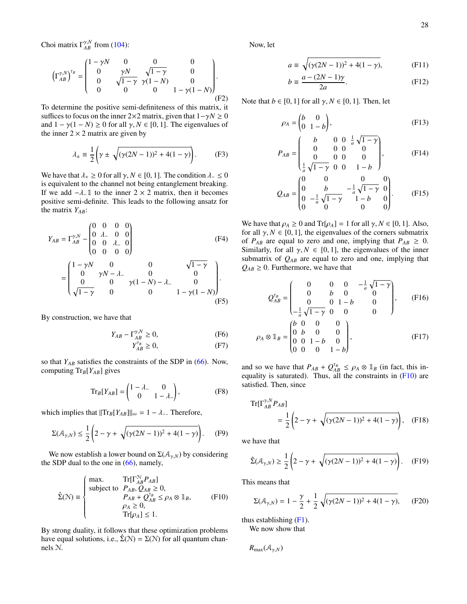Choi matrix  $\Gamma_{AB}^{\gamma,N}$  from [\(104\)](#page-10-8):

$$
\left(\Gamma_{AB}^{\gamma,N}\right)^{\tau_B} = \begin{pmatrix} 1 - \gamma N & 0 & 0 & 0 \\ 0 & \gamma N & \sqrt{1 - \gamma} & 0 \\ 0 & \sqrt{1 - \gamma} & \gamma (1 - N) & 0 \\ 0 & 0 & 0 & 1 - \gamma (1 - N) \end{pmatrix}.
$$
\n(F2)

To determine the positive semi-definiteness of this matrix, it suffices to focus on the inner 2×2 matrix, given that  $1-\gamma N \ge 0$ and  $1 - \gamma(1 - N) \ge 0$  for all  $\gamma, N \in [0, 1]$ . The eigenvalues of the inner  $2 \times 2$  matrix are given by

$$
\lambda_{\pm} \equiv \frac{1}{2} \left( \gamma \pm \sqrt{(\gamma (2N - 1))^2 + 4(1 - \gamma)} \right). \tag{F3}
$$

We have that  $\lambda_+ \geq 0$  for all  $\gamma, N \in [0, 1]$ . The condition  $\lambda_- \leq 0$ is equivalent to the channel not being entanglement breaking. If we add  $-\lambda_1$  to the inner 2 × 2 matrix, then it becomes positive semi-definite. This leads to the following ansatz for the matrix *YAB*:

$$
Y_{AB} = \Gamma_{AB}^{\gamma, N} - \begin{pmatrix} 0 & 0 & 0 & 0 \\ 0 & \lambda_{-} & 0 & 0 \\ 0 & 0 & \lambda_{-} & 0 \\ 0 & 0 & 0 & 0 \end{pmatrix}
$$
 (F4)  
= 
$$
\begin{pmatrix} 1 - \gamma N & 0 & 0 & \sqrt{1 - \gamma} \\ 0 & \gamma N - \lambda_{-} & 0 & 0 \\ 0 & 0 & \gamma (1 - N) - \lambda_{-} & 0 \\ \sqrt{1 - \gamma} & 0 & 0 & 1 - \gamma (1 - N) \end{pmatrix}.
$$
 (F5)

By construction, we have that

$$
Y_{AB} - \Gamma_{AB}^{\gamma, N} \ge 0,\tag{F6}
$$

$$
Y_{AB}^{\tau_B} \ge 0,\tag{F7}
$$

so that *YAB* satisfies the constraints of the SDP in [\(66\)](#page-8-8). Now, computing Tr*B*[*YAB*] gives

$$
\mathrm{Tr}_B[Y_{AB}] = \begin{pmatrix} 1 - \lambda_- & 0 \\ 0 & 1 - \lambda_- \end{pmatrix},\tag{F8}
$$

which implies that  $||\text{Tr}_B[Y_{AB}]||_{\infty} = 1 - \lambda$ . Therefore,

$$
\Sigma(\mathcal{A}_{\gamma,N}) \le \frac{1}{2} \left( 2 - \gamma + \sqrt{(\gamma(2N-1))^2 + 4(1-\gamma)} \right). \tag{F9}
$$

We now establish a lower bound on  $\Sigma(\mathcal{A}_{\gamma,N})$  by considering the SDP dual to the one in  $(66)$ , namely,

<span id="page-28-0"></span>
$$
\hat{\Sigma}(\mathcal{N}) \equiv \begin{cases}\n\max. & \text{Tr}[\Gamma_{AB}^{\mathcal{N}} P_{AB}] \\
\text{subject to } P_{AB}, Q_{AB} \ge 0, \\
P_{AB} + Q_{AB}^{\mathsf{T}_B} \le \rho_A \otimes \mathbb{1}_B, \\
\rho_A \ge 0, \\
\text{Tr}[\rho_A] \le 1.\n\end{cases} \tag{F10}
$$

By strong duality, it follows that these optimization problems have equal solutions, i.e.,  $\Sigma(N) = \Sigma(N)$  for all quantum channels N.

Now, let

$$
a \equiv \sqrt{(\gamma(2N-1))^2 + 4(1-\gamma)},
$$
 (F11)

$$
b \equiv \frac{a - (2N - 1)\gamma}{2a}.
$$
 (F12)

Note that  $b \in [0, 1]$  for all  $\gamma, N \in [0, 1]$ . Then, let

$$
\rho_A = \begin{pmatrix} b & 0 \\ 0 & 1 - b \end{pmatrix},\tag{F13}
$$

$$
P_{AB} = \begin{pmatrix} b & 0 & 0 & \frac{1}{a}\sqrt{1-\gamma} \\ 0 & 0 & 0 & 0 \\ 0 & 0 & 0 & 0 \\ \frac{1}{a}\sqrt{1-\gamma} & 0 & 0 & 1-b \end{pmatrix}, \quad (F14)
$$

$$
Q_{AB} = \begin{pmatrix} 0 & 0 & 0 & 0 \\ 0 & b & -\frac{1}{a}\sqrt{1-\gamma} & 0 \\ 0 & -\frac{1}{a}\sqrt{1-\gamma} & 1-b & 0 \\ 0 & 0 & 0 & 0 \end{pmatrix}.
$$
 (F15)

We have that  $\rho_A \ge 0$  and  $Tr[\rho_A] = 1$  for all  $\gamma, N \in [0, 1]$ . Also, for all  $\gamma$ ,  $N \in [0, 1]$ , the eigenvalues of the corners submatrix of  $P_{AB}$  are equal to zero and one, implying that  $P_{AB} \geq 0$ . Similarly, for all  $\gamma$ ,  $N \in [0, 1]$ , the eigenvalues of the inner submatrix of  $Q_{AB}$  are equal to zero and one, implying that  $Q_{AB} \geq 0$ . Furthermore, we have that

$$
Q_{AB}^{\tau_B} = \begin{pmatrix} 0 & 0 & 0 & -\frac{1}{a}\sqrt{1-\gamma} \\ 0 & b & 0 & 0 \\ 0 & 0 & 1-b & 0 \\ -\frac{1}{a}\sqrt{1-\gamma} & 0 & 0 & 0 \end{pmatrix}, \quad (F16)
$$

$$
\rho_A \otimes \mathbb{1}_B = \begin{pmatrix} b & 0 & 0 & 0 \\ 0 & b & 0 & 0 \\ 0 & 0 & 1-b & 0 \\ 0 & 0 & 0 & 1-b \end{pmatrix}, \quad (F17)
$$

and so we have that  $P_{AB} + Q_{AB}^{T_B} \le \rho_A \otimes \mathbb{1}_B$  (in fact, this inequality is saturated). Thus, all the constraints in  $(F10)$  are satisfied. Then, since

Tr
$$
\left[\Gamma_{AB}^{\gamma,N}P_{AB}\right]
$$
  
=  $\frac{1}{2}\left(2-\gamma+\sqrt{(\gamma(2N-1))^2+4(1-\gamma)}\right)$ , (F18)

we have that

$$
\hat{\Sigma}(\mathcal{A}_{\gamma,N}) \ge \frac{1}{2} \left( 2 - \gamma + \sqrt{(\gamma(2N-1))^2 + 4(1-\gamma)} \right). \quad (F19)
$$

This means that

$$
\Sigma(\mathcal{A}_{\gamma,N}) = 1 - \frac{\gamma}{2} + \frac{1}{2} \sqrt{(\gamma(2N-1))^2 + 4(1-\gamma)},
$$
 (F20)

thus establishing [\(F1\)](#page-27-4).

We now show that

 $R_{\text{max}}(\mathcal{A}_{\gamma,N})$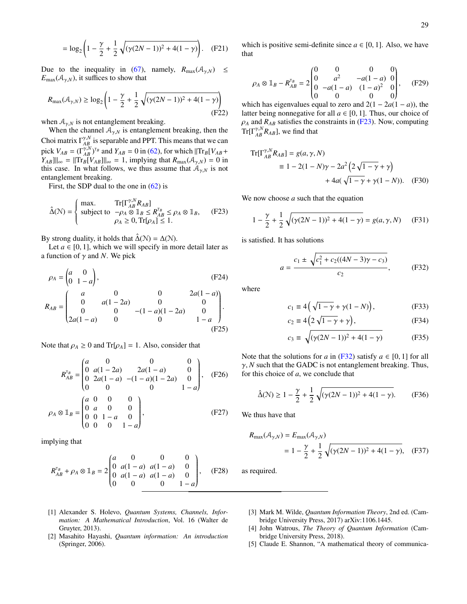$$
= \log_2 \left( 1 - \frac{\gamma}{2} + \frac{1}{2} \sqrt{(\gamma (2N - 1))^2 + 4(1 - \gamma)} \right). \quad (F21)
$$

Due to the inequality in [\(67\)](#page-8-4), namely,  $R_{\text{max}}(A_{\gamma,N}) \leq$  $E_{\text{max}}(\mathcal{A}_{\gamma,N})$ , it suffices to show that

$$
R_{\max}(\mathcal{A}_{\gamma,N}) \ge \log_2 \left( 1 - \frac{\gamma}{2} + \frac{1}{2} \sqrt{(\gamma(2N-1))^2 + 4(1-\gamma)} \right)
$$
(F22)

when  $A_{\gamma,N}$  is not entanglement breaking.

When the channel  $A_{\gamma,N}$  is entanglement breaking, then the Choi matrix  $\Gamma^{\gamma,N}_{AB}$  is separable and PPT. This means that we can pick  $V_{AB} = (\Gamma_{AB}^{\gamma,N})^{\tau_B}$  and  $Y_{AB} = 0$  in [\(62\)](#page-8-7), for which  $||\text{Tr}_B[V_{AB} +$  $Y_{AB}$ ] $\| \infty = \| \text{Tr}_B[V_{AB}] \|_{\infty} = 1$ , implying that  $R_{\text{max}}(\mathcal{A}_{\gamma,N}) = 0$  in this case. In what follows, we thus assume that  $A_{\gamma,N}$  is not entanglement breaking.

First, the SDP dual to the one in  $(62)$  is

<span id="page-29-5"></span>
$$
\hat{\Delta}(\mathcal{N}) = \begin{cases}\n\max. & \text{Tr}[\Gamma_{AB}^{\gamma,N} R_{AB}] \\
\text{subject to} & -\rho_A \otimes \mathbb{1}_B \le R_{AB}^{\mathsf{T}_B} \le \rho_A \otimes \mathbb{1}_B, \\
\rho_A \ge 0, \text{Tr}[\rho_A] \le 1.\n\end{cases} (F23)
$$

By strong duality, it holds that  $\hat{\Delta}(N) = \Delta(N)$ .

Let  $a \in [0, 1]$ , which we will specify in more detail later as a function of  $\gamma$  and *N*. We pick

$$
\rho_A = \begin{pmatrix} a & 0 \\ 0 & 1 - a \end{pmatrix},
$$
\n(F24)  
\n
$$
R_{AB} = \begin{pmatrix} a & 0 & 0 & 2a(1 - a) \\ 0 & a(1 - 2a) & 0 & 0 \\ 0 & 0 & -(1 - a)(1 - 2a) & 0 \\ 2a(1 - a) & 0 & 0 & 1 - a \end{pmatrix}.
$$
\n(F25)

Note that  $\rho_A \geq 0$  and Tr[ $\rho_A$ ] = 1. Also, consider that

$$
R_{AB}^{\tau_B} = \begin{pmatrix} a & 0 & 0 & 0 \\ 0 & a(1 - 2a) & 2a(1 - a) & 0 \\ 0 & 2a(1 - a) & -(1 - a)(1 - 2a) & 0 \\ 0 & 0 & 0 & 1 - a \end{pmatrix}, \quad \text{(F26)}
$$

$$
\rho_A \otimes 1_B = \begin{pmatrix} a & 0 & 0 & 0 \\ 0 & a & 0 & 0 \\ 0 & 0 & 1 - a & 0 \\ 0 & 0 & 0 & 1 - a \end{pmatrix}, \quad \text{(F27)}
$$

implying that

$$
R_{AB}^{\mathsf{T}_B} + \rho_A \otimes \mathbb{1}_B = 2 \begin{pmatrix} a & 0 & 0 & 0 \\ 0 & a(1-a) & a(1-a) & 0 \\ 0 & a(1-a) & a(1-a) & 0 \\ 0 & 0 & 0 & 1-a \end{pmatrix}, \quad \text{(F28)}
$$

which is positive semi-definite since  $a \in [0, 1]$ . Also, we have that

$$
\rho_A \otimes \mathbb{1}_B - R_{AB}^{\mathsf{T}_B} = 2 \begin{pmatrix} 0 & 0 & 0 & 0 \\ 0 & a^2 & -a(1-a) & 0 \\ 0 & -a(1-a) & (1-a)^2 & 0 \\ 0 & 0 & 0 & 0 \end{pmatrix}, \quad (\text{F29})
$$

which has eigenvalues equal to zero and  $2(1 - 2a(1 - a))$ , the latter being nonnegative for all  $a \in [0, 1]$ . Thus, our choice of  $\rho_A$  and  $R_{AB}$  satisfies the constraints in [\(F23\)](#page-29-5). Now, computing  $\text{Tr}[\Gamma^{\gamma,N}_{AB}R_{AB}]$ , we find that

Tr
$$
\left[\Gamma_{AB}^{\gamma,N}R_{AB}\right] = g(a, \gamma, N)
$$
  
\n
$$
\equiv 1 - 2(1 - N)\gamma - 2a^2\left(2\sqrt{1 - \gamma} + \gamma\right) + 4a(\sqrt{1 - \gamma} + \gamma(1 - N)).
$$
 (F30)

We now choose *a* such that the equation

$$
1 - \frac{\gamma}{2} + \frac{1}{2} \sqrt{(\gamma(2N - 1))^2 + 4(1 - \gamma)} = g(a, \gamma, N)
$$
 (F31)

is satisfied. It has solutions

<span id="page-29-6"></span>
$$
a = \frac{c_1 \pm \sqrt{c_1^2 + c_2((4N - 3)\gamma - c_3)}}{c_2},
$$
 (F32)

where

$$
c_1 \equiv 4\left(\sqrt{1-\gamma} + \gamma(1-N)\right),\tag{F33}
$$

$$
c_2 \equiv 4\left(2\sqrt{1-\gamma} + \gamma\right),\tag{F34}
$$

$$
c_3 \equiv \sqrt{(\gamma(2N-1))^2 + 4(1-\gamma)}
$$
 (F35)

Note that the solutions for *a* in [\(F32\)](#page-29-6) satisfy  $a \in [0, 1]$  for all  $\gamma$ , *N* such that the GADC is not entanglement breaking. Thus, for this choice of *a*, we conclude that

$$
\hat{\Delta}(\mathcal{N}) \ge 1 - \frac{\gamma}{2} + \frac{1}{2} \sqrt{(\gamma (2N - 1))^2 + 4(1 - \gamma)}.
$$
 (F36)

We thus have that

$$
R_{\max}(\mathcal{A}_{\gamma,N}) = E_{\max}(\mathcal{A}_{\gamma,N})
$$
  
=  $1 - \frac{\gamma}{2} + \frac{1}{2} \sqrt{(\gamma(2N-1))^2 + 4(1-\gamma)}$ , (F37)

as required.

- <span id="page-29-0"></span>[1] Alexander S. Holevo, *Quantum Systems, Channels, Information: A Mathematical Introduction*, Vol. 16 (Walter de Gruyter, 2013).
- <span id="page-29-3"></span>[2] Masahito Hayashi, *Quantum information: An introduction* (Springer, 2006).
- <span id="page-29-4"></span>[3] Mark M. Wilde, *Quantum Information Theory*, 2nd ed. (Cambridge University Press, 2017) arXiv:1106.1445.
- <span id="page-29-1"></span>[4] John Watrous, *The Theory of Quantum Information* (Cambridge University Press, 2018).
- <span id="page-29-2"></span>[5] Claude E. Shannon, "A mathematical theory of communica-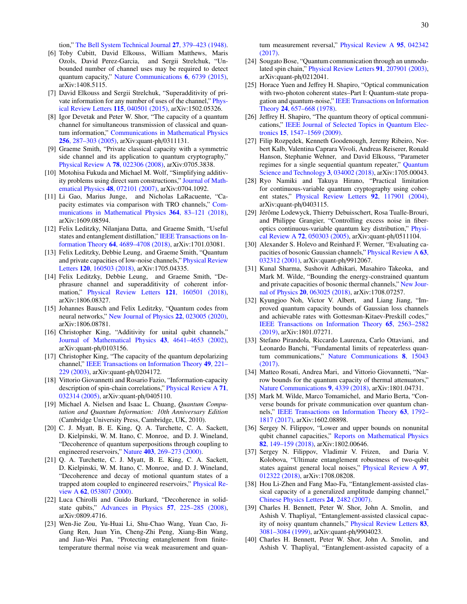tion," [The Bell System Technical Journal](https://ieeexplore.ieee.org/document/6773024?arnumber=6773024) 27, 379–423 (1948).

- <span id="page-30-0"></span>[6] Toby Cubitt, David Elkouss, William Matthews, Maris Ozols, David Perez-Garcia, and Sergii Strelchuk, "Unbounded number of channel uses may be required to detect quantum capacity," [Nature Communications](https://doi.org/10.1038/ncomms7739) 6, 6739 (2015), arXiv:1408.5115.
- <span id="page-30-1"></span>[7] David Elkouss and Sergii Strelchuk, "Superadditivity of private information for any number of uses of the channel," [Phys](http://dx.doi.org/10.1103/PhysRevLett.115.040501)[ical Review Letters](http://dx.doi.org/10.1103/PhysRevLett.115.040501) 115, 040501 (2015), arXiv:1502.05326.
- <span id="page-30-2"></span>[8] Igor Devetak and Peter W. Shor, "The capacity of a quantum channel for simultaneous transmission of classical and quantum information," [Communications in Mathematical Physics](https://link.springer.com/article/10.1007/s00220-005-1317-6) 256[, 287–303 \(2005\),](https://link.springer.com/article/10.1007/s00220-005-1317-6) arXiv:quant-ph/0311131.
- <span id="page-30-3"></span>[9] Graeme Smith, "Private classical capacity with a symmetric side channel and its application to quantum cryptography," [Physical Review A](http://dx.doi.org/10.1103/PhysRevA.78.022306) 78, 022306 (2008), arXiv:0705.3838.
- <span id="page-30-4"></span>[10] Motohisa Fukuda and Michael M. Wolf, "Simplifying additivity problems using direct sum constructions," [Journal of Math](http://dx.doi.org/10.1063/1.2746128)[ematical Physics](http://dx.doi.org/10.1063/1.2746128) 48, 072101 (2007), arXiv:0704.1092.
- <span id="page-30-5"></span>[11] Li Gao, Marius Junge, and Nicholas LaRacuente, "Capacity estimates via comparison with TRO channels," [Com](https://link.springer.com/article/10.1007/s00220-018-3249-y)[munications in Mathematical Physics](https://link.springer.com/article/10.1007/s00220-018-3249-y) 364, 83–121 (2018), arXiv:1609.08594.
- <span id="page-30-6"></span>[12] Felix Leditzky, Nilanjana Datta, and Graeme Smith, "Useful states and entanglement distillation," [IEEE Transactions on In](https://ieeexplore.ieee.org/document/8119865)formation Theory 64[, 4689–4708 \(2018\),](https://ieeexplore.ieee.org/document/8119865) arXiv:1701.03081.
- <span id="page-30-29"></span>[13] Felix Leditzky, Debbie Leung, and Graeme Smith, "Quantum and private capacities of low-noise channels," [Physical Review](http://dx.doi.org/ 10.1103/PhysRevLett.120.160503) Letters 120[, 160503 \(2018\),](http://dx.doi.org/ 10.1103/PhysRevLett.120.160503) arXiv:1705.04335.
- [14] Felix Leditzky, Debbie Leung, and Graeme Smith, "Dephrasure channel and superadditivity of coherent information," [Physical Review Letters](http://dx.doi.org/ 10.1103/PhysRevLett.121.160501) 121, 160501 (2018), arXiv:1806.08327.
- <span id="page-30-7"></span>[15] Johannes Bausch and Felix Leditzky, "Quantum codes from neural networks," [New Journal of Physics](http://dx.doi.org/ 10.1088/1367-2630/ab6cdd) 22, 023005 (2020), arXiv:1806.08781.
- <span id="page-30-8"></span>[16] Christopher King, "Additivity for unital qubit channels," [Journal of Mathematical Physics](http://dx.doi.org/10.1063/1.1500791) 43, 4641–4653 (2002), arXiv:quant-ph/0103156.
- <span id="page-30-9"></span>[17] Christopher King, "The capacity of the quantum depolarizing channel," [IEEE Transactions on Information Theory](http://dx.doi.org/ 10.1109/TIT.2002.806153) 49, 221– [229 \(2003\),](http://dx.doi.org/ 10.1109/TIT.2002.806153) arXiv:quant-ph/0204172.
- <span id="page-30-10"></span>[18] Vittorio Giovannetti and Rosario Fazio, "Information-capacity description of spin-chain correlations," [Physical Review A](http://dx.doi.org/10.1103/PhysRevA.71.032314) 71, [032314 \(2005\),](http://dx.doi.org/10.1103/PhysRevA.71.032314) arXiv:quant-ph/0405110.
- <span id="page-30-11"></span>[19] Michael A. Nielsen and Isaac L. Chuang, *Quantum Computation and Quantum Information: 10th Anniversary Edition* (Cambridge University Press, Cambridge, UK, 2010).
- [20] C. J. Myatt, B. E. King, Q. A. Turchette, C. A. Sackett, D. Kielpinski, W. M. Itano, C. Monroe, and D. J. Wineland, "Decoherence of quantum superpositions through coupling to engineered reservoirs," Nature 403[, 269–273 \(2000\).](https://doi.org/10.1038/35002001)
- <span id="page-30-12"></span>[21] Q. A. Turchette, C. J. Myatt, B. E. King, C. A. Sackett, D. Kielpinski, W. M. Itano, C. Monroe, and D. J. Wineland, "Decoherence and decay of motional quantum states of a trapped atom coupled to engineered reservoirs," [Physical Re](http://dx.doi.org/ 10.1103/PhysRevA.62.053807)view A 62[, 053807 \(2000\).](http://dx.doi.org/ 10.1103/PhysRevA.62.053807)
- <span id="page-30-13"></span>[22] Luca Chirolli and Guido Burkard, "Decoherence in solidstate qubits," [Advances in Physics](http://dx.doi.org/10.1080/00018730802218067) 57, 225–285 (2008), arXiv:0809.4716.
- <span id="page-30-14"></span>[23] Wen-Jie Zou, Yu-Huai Li, Shu-Chao Wang, Yuan Cao, Ji-Gang Ren, Juan Yin, Cheng-Zhi Peng, Xiang-Bin Wang, and Jian-Wei Pan, "Protecting entanglement from finitetemperature thermal noise via weak measurement and quan-

tum measurement reversal," [Physical Review A](http://dx.doi.org/ 10.1103/PhysRevA.95.042342) 95, 042342 [\(2017\).](http://dx.doi.org/ 10.1103/PhysRevA.95.042342)

- <span id="page-30-15"></span>[24] Sougato Bose, "Quantum communication through an unmodulated spin chain," [Physical Review Letters](http://dx.doi.org/ 10.1103/PhysRevLett.91.207901) 91, 207901 (2003), arXiv:quant-ph/0212041.
- <span id="page-30-16"></span>[25] Horace Yuen and Jeffrey H. Shapiro, "Optical communication with two-photon coherent states–Part I: Quantum-state propagation and quantum-noise," [IEEE Transactions on Information](http://dx.doi.org/10.1109/TIT.1978.1055958) Theory 24[, 657–668 \(1978\).](http://dx.doi.org/10.1109/TIT.1978.1055958)
- [26] Jeffrey H. Shapiro, "The quantum theory of optical communications," [IEEE Journal of Selected Topics in Quantum Elec](http://dx.doi.org/ 10.1109/JSTQE.2009.2024959)tronics 15[, 1547–1569 \(2009\).](http://dx.doi.org/ 10.1109/JSTQE.2009.2024959)
- <span id="page-30-17"></span>[27] Filip Rozpędek, Kenneth Goodenough, Jeremy Ribeiro, Norbert Kalb, Valentina Caprara Vivoli, Andreas Reiserer, Ronald Hanson, Stephanie Wehner, and David Elkouss, "Parameter regimes for a single sequential quantum repeater," [Quantum](https://doi.org/10.1088%2F2058-9565%2Faab31b) [Science and Technology](https://doi.org/10.1088%2F2058-9565%2Faab31b) 3, 034002 (2018), arXiv:1705.00043.
- <span id="page-30-18"></span>[28] Ryo Namiki and Takuya Hirano, "Practical limitation for continuous-variable quantum cryptography using coherent states," [Physical Review Letters](http://dx.doi.org/10.1103/PhysRevLett.92.117901) 92, 117901 (2004), arXiv:quant-ph/0403115.
- <span id="page-30-19"></span>[29] Jérôme Lodewyck, Thierry Debuisschert, Rosa Tualle-Brouri, and Philippe Grangier, "Controlling excess noise in fiberoptics continuous-variable quantum key distribution," [Physi](http://dx.doi.org/ 10.1103/PhysRevA.72.050303)cal Review A 72[, 050303 \(2005\),](http://dx.doi.org/ 10.1103/PhysRevA.72.050303) arXiv:quant-ph/0511104.
- <span id="page-30-20"></span>[30] Alexander S. Holevo and Reinhard F. Werner, "Evaluating capacities of bosonic Gaussian channels," [Physical Review A](http://dx.doi.org/ 10.1103/PhysRevA.63.032312) 63, [032312 \(2001\),](http://dx.doi.org/ 10.1103/PhysRevA.63.032312) arXiv:quant-ph/9912067.
- <span id="page-30-21"></span>[31] Kunal Sharma, Sushovit Adhikari, Masahiro Takeoka, and Mark M. Wilde, "Bounding the energy-constrained quantum and private capacities of bosonic thermal channels," [New Jour](https://iopscience.iop.org/article/10.1088/1367-2630/aac11a)nal of Physics 20[, 063025 \(2018\),](https://iopscience.iop.org/article/10.1088/1367-2630/aac11a) arXiv:1708.07257.
- <span id="page-30-22"></span>[32] Kyungjoo Noh, Victor V. Albert, and Liang Jiang, "Improved quantum capacity bounds of Gaussian loss channels and achievable rates with Gottesman-Kitaev-Preskill codes," [IEEE Transactions on Information Theory](https://arxiv.org/abs/1801.07271) 65, 2563–2582 [\(2019\),](https://arxiv.org/abs/1801.07271) arXiv:1801.07271.
- <span id="page-30-30"></span>[33] Stefano Pirandola, Riccardo Laurenza, Carlo Ottaviani, and Leonardo Banchi, "Fundamental limits of repeaterless quantum communications," [Nature Communications](https://doi.org/10.1038/ncomms15043) 8, 15043 [\(2017\).](https://doi.org/10.1038/ncomms15043)
- <span id="page-30-24"></span>[34] Matteo Rosati, Andrea Mari, and Vittorio Giovannetti, "Narrow bounds for the quantum capacity of thermal attenuators," [Nature Communications](https://doi.org/10.1038/s41467-018-06848-0) 9, 4339 (2018), arXiv:1801.04731.
- <span id="page-30-23"></span>[35] Mark M. Wilde, Marco Tomamichel, and Mario Berta, "Converse bounds for private communication over quantum channels," [IEEE Transactions on Information Theory](https://ieeexplore.ieee.org/document/7807212) 63, 1792– [1817 \(2017\),](https://ieeexplore.ieee.org/document/7807212) arXiv:1602.08898.
- <span id="page-30-25"></span>[36] Sergey N. Filippov, "Lower and upper bounds on nonunital qubit channel capacities," [Reports on Mathematical Physics](http://dx.doi.org/https://doi.org/10.1016/S0034-4877(18)30083-1) 82[, 149–159 \(2018\),](http://dx.doi.org/https://doi.org/10.1016/S0034-4877(18)30083-1) arXiv:1802.00646.
- <span id="page-30-26"></span>[37] Sergey N. Filippov, Vladimir V. Frizen, and Daria V. Kolobova, "Ultimate entanglement robustness of two-qubit states against general local noises," [Physical Review A](http://dx.doi.org/10.1103/PhysRevA.97.012322) 97, [012322 \(2018\),](http://dx.doi.org/10.1103/PhysRevA.97.012322) arXiv:1708.08208.
- <span id="page-30-27"></span>[38] Hou Li-Zhen and Fang Mao-Fa, "Entanglement-assisted classical capacity of a generalized amplitude damping channel," [Chinese Physics Letters](http://stacks.iop.org/0256-307X/24/i=9/a=006) 24, 2482 (2007).
- <span id="page-30-28"></span>[39] Charles H. Bennett, Peter W. Shor, John A. Smolin, and Ashish V. Thapliyal, "Entanglement-assisted classical capacity of noisy quantum channels," [Physical Review Letters](http://dx.doi.org/10.1103/PhysRevLett.83.3081) 83, [3081–3084 \(1999\),](http://dx.doi.org/10.1103/PhysRevLett.83.3081) arXiv:quant-ph/9904023.
- [40] Charles H. Bennett, Peter W. Shor, John A. Smolin, and Ashish V. Thapliyal, "Entanglement-assisted capacity of a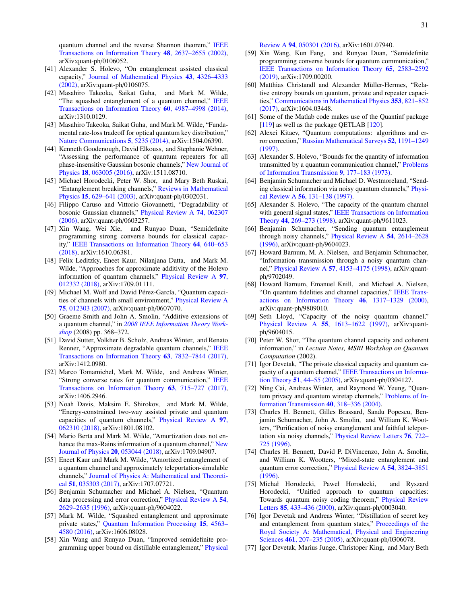quantum channel and the reverse Shannon theorem," [IEEE](http://dx.doi.org/10.1109/TIT.2002.802612) [Transactions on Information Theory](http://dx.doi.org/10.1109/TIT.2002.802612) 48, 2637–2655 (2002), arXiv:quant-ph/0106052.

- <span id="page-31-0"></span>[41] Alexander S. Holevo, "On entanglement assisted classical capacity," [Journal of Mathematical Physics](https://doi.org/10.1063/1.1495877) 43, 4326–4333 [\(2002\),](https://doi.org/10.1063/1.1495877) arXiv:quant-ph/0106075.
- <span id="page-31-1"></span>[42] Masahiro Takeoka, Saikat Guha, and Mark M. Wilde, "The squashed entanglement of a quantum channel," [IEEE](http://dx.doi.org/ 10.1109/TIT.2014.2330313) [Transactions on Information Theory](http://dx.doi.org/ 10.1109/TIT.2014.2330313) 60, 4987–4998 (2014), arXiv:1310.0129.
- <span id="page-31-12"></span>[43] Masahiro Takeoka, Saikat Guha, and Mark M. Wilde, "Fundamental rate-loss tradeoff for optical quantum key distribution," [Nature Communications](http://dx.doi.org/10.1038/ncomms6235) 5, 5235 (2014), arXiv:1504.06390.
- <span id="page-31-2"></span>[44] Kenneth Goodenough, David Elkouss, and Stephanie Wehner, "Assessing the performance of quantum repeaters for all phase-insensitive Gaussian bosonic channels," [New Journal of](https://doi.org/10.1088%2F1367-2630%2F18%2F6%2F063005) Physics 18[, 063005 \(2016\),](https://doi.org/10.1088%2F1367-2630%2F18%2F6%2F063005) arXiv:1511.08710.
- <span id="page-31-3"></span>[45] Michael Horodecki, Peter W. Shor, and Mary Beth Ruskai, "Entanglement breaking channels," [Reviews in Mathematical](https://www.worldscientific.com/doi/abs/10.1142/S0129055X03001709) Physics 15[, 629–641 \(2003\),](https://www.worldscientific.com/doi/abs/10.1142/S0129055X03001709) arXiv:quant-ph/0302031.
- <span id="page-31-4"></span>[46] Filippo Caruso and Vittorio Giovannetti, "Degradability of bosonic Gaussian channels," [Physical Review A](https://journals.aps.org/pra/abstract/10.1103/PhysRevA.74.062307) 74, 062307 [\(2006\),](https://journals.aps.org/pra/abstract/10.1103/PhysRevA.74.062307) arXiv:quant-ph/0603257.
- <span id="page-31-5"></span>[47] Xin Wang, Wei Xie, and Runyao Duan, "Semidefinite programming strong converse bounds for classical capacity," [IEEE Transactions on Information Theory](http://dx.doi.org/ 10.1109/TIT.2017.2741101) 64, 640–653 [\(2018\),](http://dx.doi.org/ 10.1109/TIT.2017.2741101) arXiv:1610.06381.
- <span id="page-31-6"></span>[48] Felix Leditzky, Eneet Kaur, Nilanjana Datta, and Mark M. Wilde, "Approaches for approximate additivity of the Holevo information of quantum channels," [Physical Review A](http://dx.doi.org/10.1103/PhysRevA.97.012332) 97, [012332 \(2018\),](http://dx.doi.org/10.1103/PhysRevA.97.012332) arXiv:1709.01111.
- <span id="page-31-7"></span>[49] Michael M. Wolf and David Pérez-García, "Quantum capacities of channels with small environment," [Physical Review A](http://dx.doi.org/10.1103/PhysRevA.75.012303) 75[, 012303 \(2007\),](http://dx.doi.org/10.1103/PhysRevA.75.012303) arXiv:quant-ph/0607070.
- <span id="page-31-8"></span>[50] Graeme Smith and John A. Smolin, "Additive extensions of a quantum channel," in *[2008 IEEE Information Theory Work](http://dx.doi.org/ 10.1109/ITW.2008.4578688)[shop](http://dx.doi.org/ 10.1109/ITW.2008.4578688)* (2008) pp. 368–372.
- <span id="page-31-10"></span>[51] David Sutter, Volkher B. Scholz, Andreas Winter, and Renato Renner, "Approximate degradable quantum channels," [IEEE](http://dx.doi.org/10.1109/TIT.2017.2754268) [Transactions on Information Theory](http://dx.doi.org/10.1109/TIT.2017.2754268) 63, 7832–7844 (2017), arXiv:1412.0980.
- <span id="page-31-11"></span>[52] Marco Tomamichel, Mark M. Wilde, and Andreas Winter, "Strong converse rates for quantum communication," [IEEE](http://dx.doi.org/ 10.1109/TIT.2016.2615847) [Transactions on Information Theory](http://dx.doi.org/ 10.1109/TIT.2016.2615847) 63, 715–727 (2017), arXiv:1406.2946.
- <span id="page-31-18"></span>[53] Noah Davis, Maksim E. Shirokov, and Mark M. Wilde, "Energy-constrained two-way assisted private and quantum capacities of quantum channels," [Physical Review A](http://dx.doi.org/10.1103/PhysRevA.97.062310) 97, [062310 \(2018\),](http://dx.doi.org/10.1103/PhysRevA.97.062310) arXiv:1801.08102.
- <span id="page-31-17"></span>[54] Mario Berta and Mark M. Wilde, "Amortization does not en-hance the max-Rains information of a quantum channel," [New](http://stacks.iop.org/1367-2630/20/i=5/a=053044) [Journal of Physics](http://stacks.iop.org/1367-2630/20/i=5/a=053044) 20, 053044 (2018), arXiv:1709.04907.
- <span id="page-31-19"></span>[55] Eneet Kaur and Mark M. Wilde, "Amortized entanglement of a quantum channel and approximately teleportation-simulable channels," [Journal of Physics A: Mathematical and Theoreti](http://dx.doi.org/10.1088/1751-8121/aa9da7)cal 51[, 035303 \(2017\),](http://dx.doi.org/10.1088/1751-8121/aa9da7) arXiv:1707.07721.
- <span id="page-31-9"></span>[56] Benjamin Schumacher and Michael A. Nielsen, "Quantum data processing and error correction," [Physical Review A](https://journals.aps.org/pra/abstract/10.1103/PhysRevA.54.2629) 54, [2629–2635 \(1996\),](https://journals.aps.org/pra/abstract/10.1103/PhysRevA.54.2629) arXiv:quant-ph/9604022.
- <span id="page-31-13"></span>[57] Mark M. Wilde, "Squashed entanglement and approximate private states," [Quantum Information Processing](https://link.springer.com/article/10.1007%2Fs11128-016-1432-7) 15, 4563– [4580 \(2016\),](https://link.springer.com/article/10.1007%2Fs11128-016-1432-7) arXiv:1606.08028.
- <span id="page-31-14"></span>[58] Xin Wang and Runyao Duan, "Improved semidefinite programming upper bound on distillable entanglement," [Physical](http://dx.doi.org/10.1103/PhysRevA.94.050301)

Review A 94[, 050301 \(2016\),](http://dx.doi.org/10.1103/PhysRevA.94.050301) arXiv:1601.07940.

- <span id="page-31-15"></span>[59] Xin Wang, Kun Fang, and Runyao Duan, "Semidefinite programming converse bounds for quantum communication," [IEEE Transactions on Information Theory](https://ieeexplore.ieee.org/document/8482492) 65, 2583–2592 [\(2019\),](https://ieeexplore.ieee.org/document/8482492) arXiv:1709.00200.
- <span id="page-31-16"></span>[60] Matthias Christandl and Alexander Müller-Hermes, "Relative entropy bounds on quantum, private and repeater capacities," [Communications in Mathematical Physics](http://dx.doi.org/10.1007/s00220-017-2885-y) 353, 821–852 [\(2017\),](http://dx.doi.org/10.1007/s00220-017-2885-y) arXiv:1604.03448.
- <span id="page-31-20"></span>[61] Some of the Matlab code makes use of the Quantinf package [\[119\]](#page-33-3) as well as the package QETLAB [\[120\]](#page-33-4).
- <span id="page-31-21"></span>[62] Alexei Kitaev, "Quantum computations: algorithms and error correction," [Russian Mathematical Surveys](http://dx.doi.org/ 10.1070/RM1997v052n06ABEH002155) 52, 1191–1249 [\(1997\).](http://dx.doi.org/ 10.1070/RM1997v052n06ABEH002155)
- <span id="page-31-22"></span>[63] Alexander S. Holevo, "Bounds for the quantity of information transmitted by a quantum communication channel," [Problems](http://www.mathnet.ru/php/archive.phtml?wshow=paper&jrnid=ppi&paperid=903&option_lang=eng) [of Information Transmission](http://www.mathnet.ru/php/archive.phtml?wshow=paper&jrnid=ppi&paperid=903&option_lang=eng) 9, 177–183 (1973).
- [64] Benjamin Schumacher and Michael D. Westmoreland, "Sending classical information via noisy quantum channels," [Physi](http://dx.doi.org/10.1103/PhysRevA.56.131)cal Review A 56[, 131–138 \(1997\).](http://dx.doi.org/10.1103/PhysRevA.56.131)
- <span id="page-31-23"></span>[65] Alexander S. Holevo, "The capacity of the quantum channel with general signal states," [IEEE Transactions on Information](http://dx.doi.org/10.1109/18.651037) Theory 44[, 269–273 \(1998\),](http://dx.doi.org/10.1109/18.651037) arXiv:quant-ph/9611023.
- <span id="page-31-24"></span>[66] Benjamin Schumacher, "Sending quantum entanglement through noisy channels," [Physical Review A](https://journals.aps.org/pra/abstract/10.1103/PhysRevA.54.2614) 54, 2614–2628 [\(1996\),](https://journals.aps.org/pra/abstract/10.1103/PhysRevA.54.2614) arXiv:quant-ph/9604023.
- [67] Howard Barnum, M. A. Nielsen, and Benjamin Schumacher, "Information transmission through a noisy quantum channel," Physical Review A 57[, 4153–4175 \(1998\),](https://journals.aps.org/pra/abstract/10.1103/PhysRevA.57.4153) arXiv:quantph/9702049.
- [68] Howard Barnum, Emanuel Knill, and Michael A. Nielsen, "On quantum fidelities and channel capacities," [IEEE Trans](https://ieeexplore.ieee.org/document/850671)[actions on Information Theory](https://ieeexplore.ieee.org/document/850671) 46, 1317–1329 (2000), arXiv:quant-ph/9809010.
- [69] Seth Lloyd, "Capacity of the noisy quantum channel," Physical Review A 55[, 1613–1622 \(1997\),](http://dx.doi.org/10.1103/PhysRevA.55.1613) arXiv:quantph/9604015.
- [70] Peter W. Shor, "The quantum channel capacity and coherent information," in *Lecture Notes, MSRI Workshop on Quantum Computation* (2002).
- <span id="page-31-25"></span>[71] Igor Devetak, "The private classical capacity and quantum capacity of a quantum channel," [IEEE Transactions on Informa](http://dx.doi.org/10.1109/TIT.2004.839515)tion Theory 51[, 44–55 \(2005\),](http://dx.doi.org/10.1109/TIT.2004.839515) arXiv:quant-ph/0304127.
- <span id="page-31-26"></span>[72] Ning Cai, Andreas Winter, and Raymond W. Yeung, "Quantum privacy and quantum wiretap channels," [Problems of In](http://dx.doi.org/10.1007/s11122-005-0002-x)[formation Transmission](http://dx.doi.org/10.1007/s11122-005-0002-x) 40, 318–336 (2004).
- <span id="page-31-27"></span>[73] Charles H. Bennett, Gilles Brassard, Sandu Popescu, Benjamin Schumacher, John A. Smolin, and William K. Wootters, "Purification of noisy entanglement and faithful teleportation via noisy channels," [Physical Review Letters](http://dx.doi.org/10.1103/PhysRevLett.76.722) 76, 722– [725 \(1996\).](http://dx.doi.org/10.1103/PhysRevLett.76.722)
- <span id="page-31-28"></span>[74] Charles H. Bennett, David P. DiVincenzo, John A. Smolin, and William K. Wootters, "Mixed-state entanglement and quantum error correction," [Physical Review A](http://dx.doi.org/ 10.1103/PhysRevA.54.3824) 54, 3824–3851 [\(1996\).](http://dx.doi.org/ 10.1103/PhysRevA.54.3824)
- <span id="page-31-29"></span>[75] Michał Horodecki, Paweł Horodecki, and Ryszard Horodecki, "Unified approach to quantum capacities: Towards quantum noisy coding theorem," [Physical Review](http://dx.doi.org/10.1103/PhysRevLett.85.433) Letters 85[, 433–436 \(2000\),](http://dx.doi.org/10.1103/PhysRevLett.85.433) arXiv:quant-ph/0003040.
- <span id="page-31-31"></span>[76] Igor Devetak and Andreas Winter, "Distillation of secret key and entanglement from quantum states," [Proceedings of the](http://dx.doi.org/ 10.1098/rspa.2004.1372) [Royal Society A: Mathematical, Physical and Engineering](http://dx.doi.org/ 10.1098/rspa.2004.1372) Sciences 461[, 207–235 \(2005\),](http://dx.doi.org/ 10.1098/rspa.2004.1372) arXiv:quant-ph/0306078.
- <span id="page-31-30"></span>[77] Igor Devetak, Marius Junge, Christoper King, and Mary Beth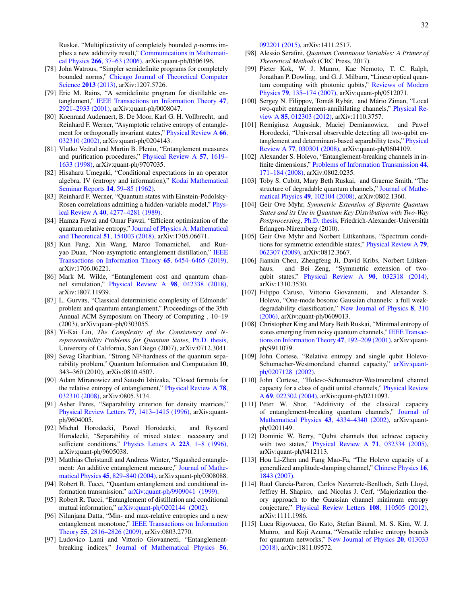Ruskai, "Multiplicativity of completely bounded *p*-norms implies a new additivity result," [Communications in Mathemati](http://dx.doi.org/10.1007/s00220-006-0034-0)cal Physics 266[, 37–63 \(2006\),](http://dx.doi.org/10.1007/s00220-006-0034-0) arXiv:quant-ph/0506196.

- <span id="page-32-0"></span>[78] John Watrous, "Simpler semidefinite programs for completely bounded norms," [Chicago Journal of Theoretical Computer](http://cjtcs.cs.uchicago.edu/articles/2013/8/contents.html) [Science](http://cjtcs.cs.uchicago.edu/articles/2013/8/contents.html) 2013 (2013), arXiv:1207.5726.
- <span id="page-32-1"></span>[79] Eric M. Rains, "A semidefinite program for distillable entanglement," [IEEE Transactions on Information Theory](http://dx.doi.org/10.1109/18.959270) 47, [2921–2933 \(2001\),](http://dx.doi.org/10.1109/18.959270) arXiv:quant-ph/0008047.
- <span id="page-32-2"></span>[80] Koenraad Audenaert, B. De Moor, Karl G. H. Vollbrecht, and Reinhard F. Werner, "Asymptotic relative entropy of entangle-ment for orthogonally invariant states," [Physical Review A](http://dx.doi.org/10.1103/PhysRevA.66.032310) 66, [032310 \(2002\),](http://dx.doi.org/10.1103/PhysRevA.66.032310) arXiv:quant-ph/0204143.
- <span id="page-32-3"></span>[81] Vlatko Vedral and Martin B. Plenio, "Entanglement measures and purification procedures," [Physical Review A](http://dx.doi.org/ 10.1103/PhysRevA.57.1619) 57, 1619– [1633 \(1998\),](http://dx.doi.org/ 10.1103/PhysRevA.57.1619) arXiv:quant-ph/9707035.
- <span id="page-32-4"></span>[82] Hisaharu Umegaki, "Conditional expectations in an operator algebra, IV (entropy and information)," [Kodai Mathematical](http://dx.doi.org/10.2996/kmj/1138844604) [Seminar Reports](http://dx.doi.org/10.2996/kmj/1138844604) 14, 59–85 (1962).
- <span id="page-32-5"></span>[83] Reinhard F. Werner, "Quantum states with Einstein-Podolsky-Rosen correlations admitting a hidden-variable model," [Phys](http://dx.doi.org/10.1103/PhysRevA.40.4277)ical Review A 40[, 4277–4281 \(1989\).](http://dx.doi.org/10.1103/PhysRevA.40.4277)
- <span id="page-32-6"></span>[84] Hamza Fawzi and Omar Fawzi, "Efficient optimization of the quantum relative entropy," [Journal of Physics A: Mathematical](http://stacks.iop.org/1751-8121/51/i=15/a=154003) and Theoretical 51[, 154003 \(2018\),](http://stacks.iop.org/1751-8121/51/i=15/a=154003) arXiv:1705.06671.
- [85] Kun Fang, Xin Wang, Marco Tomamichel, and Runyao Duan, "Non-asymptotic entanglement distillation," [IEEE](https://ieeexplore.ieee.org/document/8707001) [Transactions on Information Theory](https://ieeexplore.ieee.org/document/8707001) 65, 6454–6465 (2019), arXiv:1706.06221.
- <span id="page-32-7"></span>[86] Mark M. Wilde, "Entanglement cost and quantum channel simulation," [Physical Review A](http://dx.doi.org/ 10.1103/PhysRevA.98.042338) 98, 042338 (2018), arXiv:1807.11939.
- <span id="page-32-8"></span>[87] L. Gurvits, "Classical deterministic complexity of Edmonds" problem and quantum entanglement," Proceedings of the 35th Annual ACM Symposium on Theory of Computing , 10–19 (2003), arXiv:quant-ph/0303055.
- [88] Yi-Kai Liu, *The Complexity of the Consistency and Nrepresentability Problems for Quantum States*, [Ph.D. thesis,](https://arxiv.org/abs/0712.3041) University of California, San Diego (2007), arXiv:0712.3041.
- <span id="page-32-9"></span>[89] Sevag Gharibian, "Strong NP-hardness of the quantum separability problem," Quantum Information and Computation 10, 343–360 (2010), arXiv:0810.4507.
- <span id="page-32-10"></span>[90] Adam Miranowicz and Satoshi Ishizaka, "Closed formula for the relative entropy of entanglement," [Physical Review A](http://dx.doi.org/ 10.1103/PhysRevA.78.032310) 78, [032310 \(2008\),](http://dx.doi.org/ 10.1103/PhysRevA.78.032310) arXiv:0805.3134.
- <span id="page-32-11"></span>[91] Asher Peres, "Separability criterion for density matrices," [Physical Review Letters](http://dx.doi.org/ 10.1103/PhysRevLett.77.1413) 77, 1413–1415 (1996), arXiv:quantph/9604005.
- <span id="page-32-12"></span>[92] Michał Horodecki, Paweł Horodecki, and Ryszard Horodecki, "Separability of mixed states: necessary and sufficient conditions," [Physics Letters A](http://dx.doi.org/https://doi.org/10.1016/S0375-9601(96)00706-2) 223, 1-8 (1996), arXiv:quant-ph/9605038.
- <span id="page-32-13"></span>[93] Matthias Christandl and Andreas Winter, "Squashed entanglement: An additive entanglement measure," [Journal of Mathe](https://doi.org/10.1063/1.1643788)matical Physics 45[, 829–840 \(2004\),](https://doi.org/10.1063/1.1643788) arXiv:quant-ph/0308088.
- <span id="page-32-14"></span>[94] Robert R. Tucci, "Quantum entanglement and conditional information transmission," arXiv:quant-ph/[9909041 \(1999\).](https://arxiv.org/abs/quant-ph/9909041)
- <span id="page-32-15"></span>[95] Robert R. Tucci, "Entanglement of distillation and conditional mutual information," arXiv:quant-ph/[0202144 \(2002\).](https://arxiv.org/abs/quant-ph/0202144)
- <span id="page-32-16"></span>[96] Nilanjana Datta, "Min- and max-relative entropies and a new entanglement monotone," [IEEE Transactions on Information](https://ieeexplore.ieee.org/document/4957651) Theory 55[, 2816–2826 \(2009\),](https://ieeexplore.ieee.org/document/4957651) arXiv:0803.2770.
- <span id="page-32-17"></span>[97] Ludovico Lami and Vittorio Giovannetti, "Entanglementbreaking indices," [Journal of Mathematical Physics](http://dx.doi.org/10.1063/1.4931482) 56,

[092201 \(2015\),](http://dx.doi.org/10.1063/1.4931482) arXiv:1411.2517.

- <span id="page-32-18"></span>[98] Alessio Serafini, *Quantum Continuous Variables: A Primer of Theoretical Methods* (CRC Press, 2017).
- <span id="page-32-19"></span>[99] Pieter Kok, W. J. Munro, Kae Nemoto, T. C. Ralph, Jonathan P. Dowling, and G. J. Milburn, "Linear optical quantum computing with photonic qubits," [Reviews of Modern](http://dx.doi.org/10.1103/RevModPhys.79.135) Physics 79[, 135–174 \(2007\),](http://dx.doi.org/10.1103/RevModPhys.79.135) arXiv:quant-ph/0512071.
- <span id="page-32-20"></span>[100] Sergey N. Filippov, Tomáš Rybár, and Mário Ziman, "Local two-qubit entanglement-annihilating channels," [Physical Re](http://dx.doi.org/ 10.1103/PhysRevA.85.012303)view A 85[, 012303 \(2012\),](http://dx.doi.org/ 10.1103/PhysRevA.85.012303) arXiv:1110.3757.
- <span id="page-32-21"></span>[101] Remigiusz Augusiak, Maciej Demianowicz, and Paweł Horodecki, "Universal observable detecting all two-qubit entanglement and determinant-based separability tests," [Physical](http://dx.doi.org/ 10.1103/PhysRevA.77.030301) Review A 77[, 030301 \(2008\),](http://dx.doi.org/ 10.1103/PhysRevA.77.030301) arXiv:quant-ph/0604109.
- <span id="page-32-22"></span>[102] Alexander S. Holevo, "Entanglement-breaking channels in infinite dimensions," [Problems of Information Transmission](http://dx.doi.org/ 10.1134/S0032946008030010) 44, [171–184 \(2008\),](http://dx.doi.org/ 10.1134/S0032946008030010) arXiv:0802.0235.
- <span id="page-32-23"></span>[103] Toby S. Cubitt, Mary Beth Ruskai, and Graeme Smith, "The structure of degradable quantum channels," [Journal of Mathe](http://dx.doi.org/10.1063/1.2953685)matical Physics 49[, 102104 \(2008\),](http://dx.doi.org/10.1063/1.2953685) arXiv:0802.1360.
- <span id="page-32-24"></span>[104] Geir Ove Myhr, *Symmetric Extension of Bipartite Quantum States and its Use in Quantum Key Distribution with Two-Way Postprocessing*, [Ph.D. thesis,](https://arxiv.org/abs/1103.0766) Friedrich-Alexander-Universität Erlangen-Nüremberg (2010).
- <span id="page-32-25"></span>[105] Geir Ove Myhr and Norbert Lütkenhaus, "Spectrum conditions for symmetric extendible states," [Physical Review A](http://dx.doi.org/10.1103/PhysRevA.79.062307) 79, [062307 \(2009\),](http://dx.doi.org/10.1103/PhysRevA.79.062307) arXiv:0812.3667.
- <span id="page-32-26"></span>[106] Jianxin Chen, Zhengfeng Ji, David Kribs, Norbert Lütkenhaus, and Bei Zeng, "Symmetric extension of twoqubit states," [Physical Review A](http://dx.doi.org/10.1103/PhysRevA.90.032318) 90, 032318 (2014), arXiv:1310.3530.
- <span id="page-32-27"></span>[107] Filippo Caruso, Vittorio Giovannetti, and Alexander S. Holevo, "One-mode bosonic Gaussian channels: a full weakdegradability classification," [New Journal of Physics](https://iopscience.iop.org/article/10.1088/1367-2630/8/12/310/meta) 8, 310 [\(2006\),](https://iopscience.iop.org/article/10.1088/1367-2630/8/12/310/meta) arXiv:quant-ph/0609013.
- <span id="page-32-28"></span>[108] Christopher King and Mary Beth Ruskai, "Minimal entropy of states emerging from noisy quantum channels," [IEEE Transac](https://ieeexplore.ieee.org/document/904522)[tions on Information Theory](https://ieeexplore.ieee.org/document/904522) 47, 192–209 (2001), arXiv:quantph/9911079.
- <span id="page-32-31"></span>[109] John Cortese, "Relative entropy and single qubit HolevoSchumacher-Westmoreland channel capacity," [arXiv:quant](https://arxiv.org/abs/quant-ph/0207128)ph/[0207128 \(2002\).](https://arxiv.org/abs/quant-ph/0207128)
- <span id="page-32-29"></span>[110] John Cortese, "Holevo-Schumacher-Westmoreland channel capacity for a class of qudit unital channels," [Physical Review](http://dx.doi.org/10.1103/PhysRevA.69.022302) A 69[, 022302 \(2004\),](http://dx.doi.org/10.1103/PhysRevA.69.022302) arXiv:quant-ph/0211093.
- <span id="page-32-30"></span>[111] Peter W. Shor, "Additivity of the classical capacity of entanglement-breaking quantum channels," [Journal of](https://doi.org/10.1063/1.1498000) [Mathematical Physics](https://doi.org/10.1063/1.1498000) 43, 4334–4340 (2002), arXiv:quantph/0201149.
- <span id="page-32-32"></span>[112] Dominic W. Berry, "Qubit channels that achieve capacity with two states," [Physical Review A](http://dx.doi.org/ 10.1103/PhysRevA.71.032334) 71, 032334 (2005), arXiv:quant-ph/0412113.
- <span id="page-32-33"></span>[113] Hou Li-Zhen and Fang Mao-Fa, "The Holevo capacity of a generalized amplitude-damping channel," [Chinese Physics](http://stacks.iop.org/1009-1963/16/i=7/a=006) 16, [1843 \(2007\).](http://stacks.iop.org/1009-1963/16/i=7/a=006)
- <span id="page-32-34"></span>[114] Raul Garcia-Patron, Carlos Navarrete-Benlloch, Seth Lloyd, Jeffrey H. Shapiro, and Nicolas J. Cerf, "Majorization theory approach to the Gaussian channel minimum entropy conjecture," [Physical Review Letters](https://journals.aps.org/prl/abstract/10.1103/PhysRevLett.108.110505) 108, 110505 (2012), arXiv:1111.1986.
- <span id="page-32-35"></span>[115] Luca Rigovacca, Go Kato, Stefan Bäuml, M. S. Kim, W. J. Munro, and Koji Azuma, "Versatile relative entropy bounds for quantum networks," [New Journal of Physics](http://dx.doi.org/10.1088/1367-2630/aa9fcf) 20, 013033 [\(2018\),](http://dx.doi.org/10.1088/1367-2630/aa9fcf) arXiv:1811.09572.